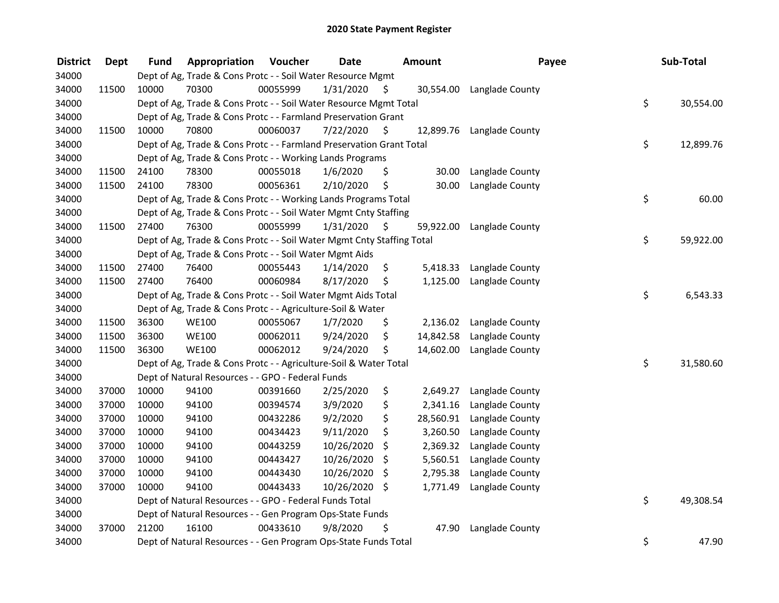| <b>District</b> | <b>Dept</b> | <b>Fund</b> | Appropriation                                                          | Voucher  | <b>Date</b> | <b>Amount</b>   | Payee                     | Sub-Total       |
|-----------------|-------------|-------------|------------------------------------------------------------------------|----------|-------------|-----------------|---------------------------|-----------------|
| 34000           |             |             | Dept of Ag, Trade & Cons Protc - - Soil Water Resource Mgmt            |          |             |                 |                           |                 |
| 34000           | 11500       | 10000       | 70300                                                                  | 00055999 | 1/31/2020   | \$              | 30,554.00 Langlade County |                 |
| 34000           |             |             | Dept of Ag, Trade & Cons Protc - - Soil Water Resource Mgmt Total      |          |             |                 |                           | \$<br>30,554.00 |
| 34000           |             |             | Dept of Ag, Trade & Cons Protc - - Farmland Preservation Grant         |          |             |                 |                           |                 |
| 34000           | 11500       | 10000       | 70800                                                                  | 00060037 | 7/22/2020   | \$              | 12,899.76 Langlade County |                 |
| 34000           |             |             | Dept of Ag, Trade & Cons Protc - - Farmland Preservation Grant Total   |          |             |                 |                           | \$<br>12,899.76 |
| 34000           |             |             | Dept of Ag, Trade & Cons Protc - - Working Lands Programs              |          |             |                 |                           |                 |
| 34000           | 11500       | 24100       | 78300                                                                  | 00055018 | 1/6/2020    | \$<br>30.00     | Langlade County           |                 |
| 34000           | 11500       | 24100       | 78300                                                                  | 00056361 | 2/10/2020   | \$<br>30.00     | Langlade County           |                 |
| 34000           |             |             | Dept of Ag, Trade & Cons Protc - - Working Lands Programs Total        |          |             |                 |                           | \$<br>60.00     |
| 34000           |             |             | Dept of Ag, Trade & Cons Protc - - Soil Water Mgmt Cnty Staffing       |          |             |                 |                           |                 |
| 34000           | 11500       | 27400       | 76300                                                                  | 00055999 | 1/31/2020   | \$<br>59,922.00 | Langlade County           |                 |
| 34000           |             |             | Dept of Ag, Trade & Cons Protc - - Soil Water Mgmt Cnty Staffing Total |          |             |                 |                           | \$<br>59,922.00 |
| 34000           |             |             | Dept of Ag, Trade & Cons Protc - - Soil Water Mgmt Aids                |          |             |                 |                           |                 |
| 34000           | 11500       | 27400       | 76400                                                                  | 00055443 | 1/14/2020   | \$<br>5,418.33  | Langlade County           |                 |
| 34000           | 11500       | 27400       | 76400                                                                  | 00060984 | 8/17/2020   | \$<br>1,125.00  | Langlade County           |                 |
| 34000           |             |             | Dept of Ag, Trade & Cons Protc - - Soil Water Mgmt Aids Total          |          |             |                 |                           | \$<br>6,543.33  |
| 34000           |             |             | Dept of Ag, Trade & Cons Protc - - Agriculture-Soil & Water            |          |             |                 |                           |                 |
| 34000           | 11500       | 36300       | <b>WE100</b>                                                           | 00055067 | 1/7/2020    | \$<br>2,136.02  | Langlade County           |                 |
| 34000           | 11500       | 36300       | <b>WE100</b>                                                           | 00062011 | 9/24/2020   | \$<br>14,842.58 | Langlade County           |                 |
| 34000           | 11500       | 36300       | <b>WE100</b>                                                           | 00062012 | 9/24/2020   | \$<br>14,602.00 | Langlade County           |                 |
| 34000           |             |             | Dept of Ag, Trade & Cons Protc - - Agriculture-Soil & Water Total      |          |             |                 |                           | \$<br>31,580.60 |
| 34000           |             |             | Dept of Natural Resources - - GPO - Federal Funds                      |          |             |                 |                           |                 |
| 34000           | 37000       | 10000       | 94100                                                                  | 00391660 | 2/25/2020   | \$<br>2,649.27  | Langlade County           |                 |
| 34000           | 37000       | 10000       | 94100                                                                  | 00394574 | 3/9/2020    | \$<br>2,341.16  | Langlade County           |                 |
| 34000           | 37000       | 10000       | 94100                                                                  | 00432286 | 9/2/2020    | \$<br>28,560.91 | Langlade County           |                 |
| 34000           | 37000       | 10000       | 94100                                                                  | 00434423 | 9/11/2020   | \$<br>3,260.50  | Langlade County           |                 |
| 34000           | 37000       | 10000       | 94100                                                                  | 00443259 | 10/26/2020  | \$<br>2,369.32  | Langlade County           |                 |
| 34000           | 37000       | 10000       | 94100                                                                  | 00443427 | 10/26/2020  | \$<br>5,560.51  | Langlade County           |                 |
| 34000           | 37000       | 10000       | 94100                                                                  | 00443430 | 10/26/2020  | \$<br>2,795.38  | Langlade County           |                 |
| 34000           | 37000       | 10000       | 94100                                                                  | 00443433 | 10/26/2020  | \$<br>1,771.49  | Langlade County           |                 |
| 34000           |             |             | Dept of Natural Resources - - GPO - Federal Funds Total                |          |             |                 |                           | \$<br>49,308.54 |
| 34000           |             |             | Dept of Natural Resources - - Gen Program Ops-State Funds              |          |             |                 |                           |                 |
| 34000           | 37000       | 21200       | 16100                                                                  | 00433610 | 9/8/2020    | \$<br>47.90     | Langlade County           |                 |
| 34000           |             |             | Dept of Natural Resources - - Gen Program Ops-State Funds Total        |          |             |                 |                           | \$<br>47.90     |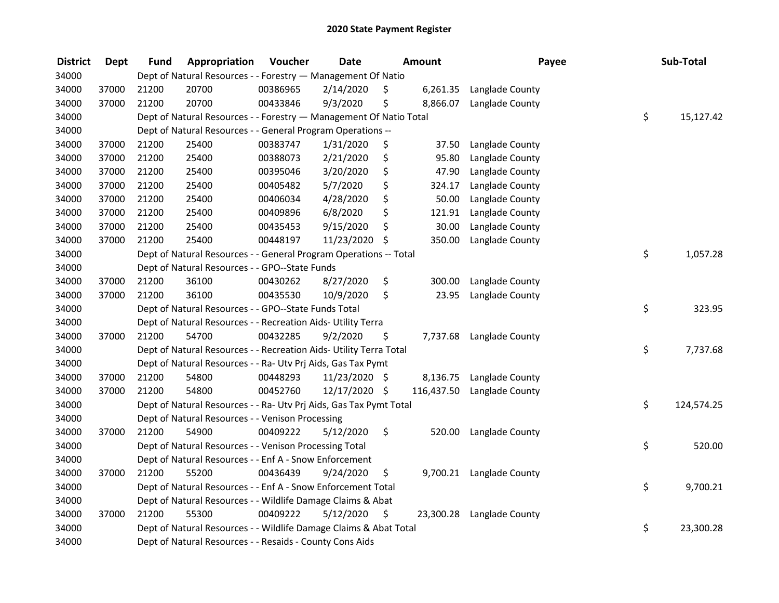| <b>District</b> | <b>Dept</b> | <b>Fund</b> | Appropriation                                                      | Voucher  | <b>Date</b>   | <b>Amount</b>   | Payee           | Sub-Total        |
|-----------------|-------------|-------------|--------------------------------------------------------------------|----------|---------------|-----------------|-----------------|------------------|
| 34000           |             |             | Dept of Natural Resources - - Forestry - Management Of Natio       |          |               |                 |                 |                  |
| 34000           | 37000       | 21200       | 20700                                                              | 00386965 | 2/14/2020     | \$<br>6,261.35  | Langlade County |                  |
| 34000           | 37000       | 21200       | 20700                                                              | 00433846 | 9/3/2020      | \$<br>8,866.07  | Langlade County |                  |
| 34000           |             |             | Dept of Natural Resources - - Forestry - Management Of Natio Total |          |               |                 |                 | \$<br>15,127.42  |
| 34000           |             |             | Dept of Natural Resources - - General Program Operations --        |          |               |                 |                 |                  |
| 34000           | 37000       | 21200       | 25400                                                              | 00383747 | 1/31/2020     | \$<br>37.50     | Langlade County |                  |
| 34000           | 37000       | 21200       | 25400                                                              | 00388073 | 2/21/2020     | \$<br>95.80     | Langlade County |                  |
| 34000           | 37000       | 21200       | 25400                                                              | 00395046 | 3/20/2020     | \$<br>47.90     | Langlade County |                  |
| 34000           | 37000       | 21200       | 25400                                                              | 00405482 | 5/7/2020      | \$<br>324.17    | Langlade County |                  |
| 34000           | 37000       | 21200       | 25400                                                              | 00406034 | 4/28/2020     | \$<br>50.00     | Langlade County |                  |
| 34000           | 37000       | 21200       | 25400                                                              | 00409896 | 6/8/2020      | \$<br>121.91    | Langlade County |                  |
| 34000           | 37000       | 21200       | 25400                                                              | 00435453 | 9/15/2020     | \$<br>30.00     | Langlade County |                  |
| 34000           | 37000       | 21200       | 25400                                                              | 00448197 | 11/23/2020    | \$<br>350.00    | Langlade County |                  |
| 34000           |             |             | Dept of Natural Resources - - General Program Operations -- Total  |          |               |                 |                 | \$<br>1,057.28   |
| 34000           |             |             | Dept of Natural Resources - - GPO--State Funds                     |          |               |                 |                 |                  |
| 34000           | 37000       | 21200       | 36100                                                              | 00430262 | 8/27/2020     | \$<br>300.00    | Langlade County |                  |
| 34000           | 37000       | 21200       | 36100                                                              | 00435530 | 10/9/2020     | \$<br>23.95     | Langlade County |                  |
| 34000           |             |             | Dept of Natural Resources - - GPO--State Funds Total               |          |               |                 |                 | \$<br>323.95     |
| 34000           |             |             | Dept of Natural Resources - - Recreation Aids- Utility Terra       |          |               |                 |                 |                  |
| 34000           | 37000       | 21200       | 54700                                                              | 00432285 | 9/2/2020      | \$<br>7,737.68  | Langlade County |                  |
| 34000           |             |             | Dept of Natural Resources - - Recreation Aids- Utility Terra Total |          |               |                 |                 | \$<br>7,737.68   |
| 34000           |             |             | Dept of Natural Resources - - Ra- Utv Prj Aids, Gas Tax Pymt       |          |               |                 |                 |                  |
| 34000           | 37000       | 21200       | 54800                                                              | 00448293 | 11/23/2020 \$ | 8,136.75        | Langlade County |                  |
| 34000           | 37000       | 21200       | 54800                                                              | 00452760 | 12/17/2020 \$ | 116,437.50      | Langlade County |                  |
| 34000           |             |             | Dept of Natural Resources - - Ra- Utv Prj Aids, Gas Tax Pymt Total |          |               |                 |                 | \$<br>124,574.25 |
| 34000           |             |             | Dept of Natural Resources - - Venison Processing                   |          |               |                 |                 |                  |
| 34000           | 37000       | 21200       | 54900                                                              | 00409222 | 5/12/2020     | \$<br>520.00    | Langlade County |                  |
| 34000           |             |             | Dept of Natural Resources - - Venison Processing Total             |          |               |                 |                 | \$<br>520.00     |
| 34000           |             |             | Dept of Natural Resources - - Enf A - Snow Enforcement             |          |               |                 |                 |                  |
| 34000           | 37000       | 21200       | 55200                                                              | 00436439 | 9/24/2020     | \$<br>9,700.21  | Langlade County |                  |
| 34000           |             |             | Dept of Natural Resources - - Enf A - Snow Enforcement Total       |          |               |                 |                 | \$<br>9,700.21   |
| 34000           |             |             | Dept of Natural Resources - - Wildlife Damage Claims & Abat        |          |               |                 |                 |                  |
| 34000           | 37000       | 21200       | 55300                                                              | 00409222 | 5/12/2020     | \$<br>23,300.28 | Langlade County |                  |
| 34000           |             |             | Dept of Natural Resources - - Wildlife Damage Claims & Abat Total  |          |               |                 |                 | \$<br>23,300.28  |
| 34000           |             |             | Dept of Natural Resources - - Resaids - County Cons Aids           |          |               |                 |                 |                  |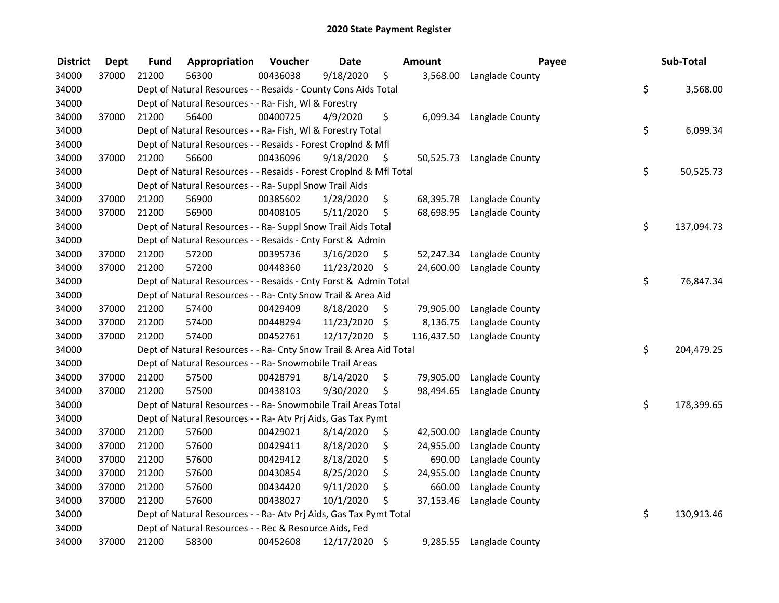| <b>District</b> | <b>Dept</b> | <b>Fund</b> | Appropriation                                                      | Voucher  | <b>Date</b>   |     | Amount     | Payee                     | Sub-Total        |
|-----------------|-------------|-------------|--------------------------------------------------------------------|----------|---------------|-----|------------|---------------------------|------------------|
| 34000           | 37000       | 21200       | 56300                                                              | 00436038 | 9/18/2020     | \$  | 3,568.00   | Langlade County           |                  |
| 34000           |             |             | Dept of Natural Resources - - Resaids - County Cons Aids Total     |          |               |     |            |                           | \$<br>3,568.00   |
| 34000           |             |             | Dept of Natural Resources - - Ra- Fish, WI & Forestry              |          |               |     |            |                           |                  |
| 34000           | 37000       | 21200       | 56400                                                              | 00400725 | 4/9/2020      | \$  | 6,099.34   | Langlade County           |                  |
| 34000           |             |             | Dept of Natural Resources - - Ra- Fish, WI & Forestry Total        |          |               |     |            |                           | \$<br>6,099.34   |
| 34000           |             |             | Dept of Natural Resources - - Resaids - Forest Croplnd & Mfl       |          |               |     |            |                           |                  |
| 34000           | 37000       | 21200       | 56600                                                              | 00436096 | 9/18/2020     | -\$ |            | 50,525.73 Langlade County |                  |
| 34000           |             |             | Dept of Natural Resources - - Resaids - Forest Croplnd & Mfl Total |          |               |     |            |                           | \$<br>50,525.73  |
| 34000           |             |             | Dept of Natural Resources - - Ra- Suppl Snow Trail Aids            |          |               |     |            |                           |                  |
| 34000           | 37000       | 21200       | 56900                                                              | 00385602 | 1/28/2020     | \$  | 68,395.78  | Langlade County           |                  |
| 34000           | 37000       | 21200       | 56900                                                              | 00408105 | 5/11/2020     | \$  | 68,698.95  | Langlade County           |                  |
| 34000           |             |             | Dept of Natural Resources - - Ra- Suppl Snow Trail Aids Total      |          |               |     |            |                           | \$<br>137,094.73 |
| 34000           |             |             | Dept of Natural Resources - - Resaids - Cnty Forst & Admin         |          |               |     |            |                           |                  |
| 34000           | 37000       | 21200       | 57200                                                              | 00395736 | 3/16/2020     | \$  | 52,247.34  | Langlade County           |                  |
| 34000           | 37000       | 21200       | 57200                                                              | 00448360 | 11/23/2020 \$ |     | 24,600.00  | Langlade County           |                  |
| 34000           |             |             | Dept of Natural Resources - - Resaids - Cnty Forst & Admin Total   |          |               |     |            |                           | \$<br>76,847.34  |
| 34000           |             |             | Dept of Natural Resources - - Ra- Cnty Snow Trail & Area Aid       |          |               |     |            |                           |                  |
| 34000           | 37000       | 21200       | 57400                                                              | 00429409 | 8/18/2020     | \$  | 79,905.00  | Langlade County           |                  |
| 34000           | 37000       | 21200       | 57400                                                              | 00448294 | 11/23/2020    | \$  | 8,136.75   | Langlade County           |                  |
| 34000           | 37000       | 21200       | 57400                                                              | 00452761 | 12/17/2020 \$ |     | 116,437.50 | Langlade County           |                  |
| 34000           |             |             | Dept of Natural Resources - - Ra- Cnty Snow Trail & Area Aid Total |          |               |     |            |                           | \$<br>204,479.25 |
| 34000           |             |             | Dept of Natural Resources - - Ra- Snowmobile Trail Areas           |          |               |     |            |                           |                  |
| 34000           | 37000       | 21200       | 57500                                                              | 00428791 | 8/14/2020     | \$  | 79,905.00  | Langlade County           |                  |
| 34000           | 37000       | 21200       | 57500                                                              | 00438103 | 9/30/2020     | \$  | 98,494.65  | Langlade County           |                  |
| 34000           |             |             | Dept of Natural Resources - - Ra- Snowmobile Trail Areas Total     |          |               |     |            |                           | \$<br>178,399.65 |
| 34000           |             |             | Dept of Natural Resources - - Ra- Atv Prj Aids, Gas Tax Pymt       |          |               |     |            |                           |                  |
| 34000           | 37000       | 21200       | 57600                                                              | 00429021 | 8/14/2020     | \$  | 42,500.00  | Langlade County           |                  |
| 34000           | 37000       | 21200       | 57600                                                              | 00429411 | 8/18/2020     | \$  | 24,955.00  | Langlade County           |                  |
| 34000           | 37000       | 21200       | 57600                                                              | 00429412 | 8/18/2020     | \$  | 690.00     | Langlade County           |                  |
| 34000           | 37000       | 21200       | 57600                                                              | 00430854 | 8/25/2020     | \$  | 24,955.00  | Langlade County           |                  |
| 34000           | 37000       | 21200       | 57600                                                              | 00434420 | 9/11/2020     | \$  | 660.00     | Langlade County           |                  |
| 34000           | 37000       | 21200       | 57600                                                              | 00438027 | 10/1/2020     | \$  | 37,153.46  | Langlade County           |                  |
| 34000           |             |             | Dept of Natural Resources - - Ra- Atv Prj Aids, Gas Tax Pymt Total |          |               |     |            |                           | \$<br>130,913.46 |
| 34000           |             |             | Dept of Natural Resources - - Rec & Resource Aids, Fed             |          |               |     |            |                           |                  |
| 34000           | 37000       | 21200       | 58300                                                              | 00452608 | 12/17/2020    | \$  | 9,285.55   | Langlade County           |                  |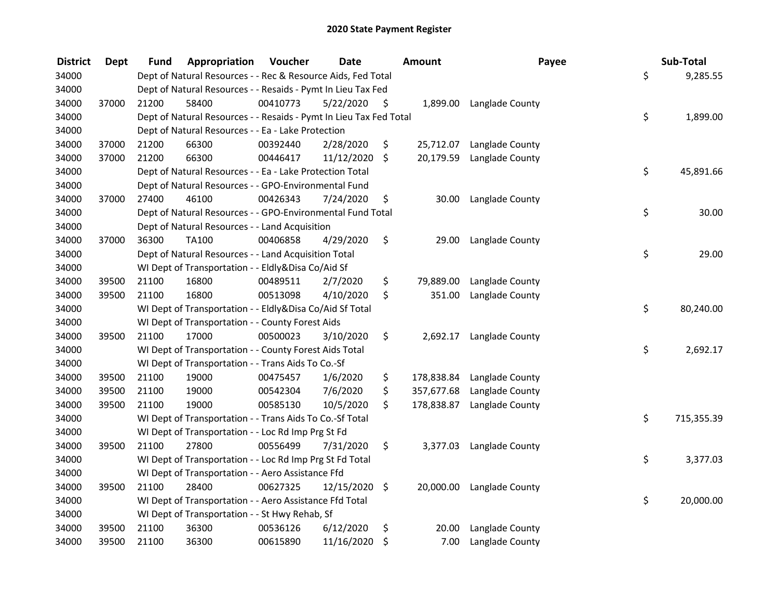| <b>District</b> | <b>Dept</b> | Fund  | Appropriation                                                      | Voucher  | <b>Date</b>   |                    | <b>Amount</b> | Payee           |     | Sub-Total  |
|-----------------|-------------|-------|--------------------------------------------------------------------|----------|---------------|--------------------|---------------|-----------------|-----|------------|
| 34000           |             |       | Dept of Natural Resources - - Rec & Resource Aids, Fed Total       |          |               |                    |               |                 | \$  | 9,285.55   |
| 34000           |             |       | Dept of Natural Resources - - Resaids - Pymt In Lieu Tax Fed       |          |               |                    |               |                 |     |            |
| 34000           | 37000       | 21200 | 58400                                                              | 00410773 | 5/22/2020     | S                  | 1,899.00      | Langlade County |     |            |
| 34000           |             |       | Dept of Natural Resources - - Resaids - Pymt In Lieu Tax Fed Total |          |               |                    |               |                 | \$  | 1,899.00   |
| 34000           |             |       | Dept of Natural Resources - - Ea - Lake Protection                 |          |               |                    |               |                 |     |            |
| 34000           | 37000       | 21200 | 66300                                                              | 00392440 | 2/28/2020     | \$                 | 25,712.07     | Langlade County |     |            |
| 34000           | 37000       | 21200 | 66300                                                              | 00446417 | 11/12/2020    | $\ddot{\varsigma}$ | 20,179.59     | Langlade County |     |            |
| 34000           |             |       | Dept of Natural Resources - - Ea - Lake Protection Total           |          |               |                    |               |                 | \$  | 45,891.66  |
| 34000           |             |       | Dept of Natural Resources - - GPO-Environmental Fund               |          |               |                    |               |                 |     |            |
| 34000           | 37000       | 27400 | 46100                                                              | 00426343 | 7/24/2020     | \$                 | 30.00         | Langlade County |     |            |
| 34000           |             |       | Dept of Natural Resources - - GPO-Environmental Fund Total         |          |               |                    |               |                 | \$  | 30.00      |
| 34000           |             |       | Dept of Natural Resources - - Land Acquisition                     |          |               |                    |               |                 |     |            |
| 34000           | 37000       | 36300 | TA100                                                              | 00406858 | 4/29/2020     | \$                 | 29.00         | Langlade County |     |            |
| 34000           |             |       | Dept of Natural Resources - - Land Acquisition Total               |          |               |                    |               |                 | \$  | 29.00      |
| 34000           |             |       | WI Dept of Transportation - - Eldly&Disa Co/Aid Sf                 |          |               |                    |               |                 |     |            |
| 34000           | 39500       | 21100 | 16800                                                              | 00489511 | 2/7/2020      | \$                 | 79,889.00     | Langlade County |     |            |
| 34000           | 39500       | 21100 | 16800                                                              | 00513098 | 4/10/2020     | \$                 | 351.00        | Langlade County |     |            |
| 34000           |             |       | WI Dept of Transportation - - Eldly&Disa Co/Aid Sf Total           |          |               |                    |               |                 | \$  | 80,240.00  |
| 34000           |             |       | WI Dept of Transportation - - County Forest Aids                   |          |               |                    |               |                 |     |            |
| 34000           | 39500       | 21100 | 17000                                                              | 00500023 | 3/10/2020     | \$                 | 2,692.17      | Langlade County |     |            |
| 34000           |             |       | WI Dept of Transportation - - County Forest Aids Total             |          |               |                    |               |                 | \$  | 2,692.17   |
| 34000           |             |       | WI Dept of Transportation - - Trans Aids To Co.-Sf                 |          |               |                    |               |                 |     |            |
| 34000           | 39500       | 21100 | 19000                                                              | 00475457 | 1/6/2020      | \$                 | 178,838.84    | Langlade County |     |            |
| 34000           | 39500       | 21100 | 19000                                                              | 00542304 | 7/6/2020      | \$                 | 357,677.68    | Langlade County |     |            |
| 34000           | 39500       | 21100 | 19000                                                              | 00585130 | 10/5/2020     | \$                 | 178,838.87    | Langlade County |     |            |
| 34000           |             |       | WI Dept of Transportation - - Trans Aids To Co.-Sf Total           |          |               |                    |               |                 | \$  | 715,355.39 |
| 34000           |             |       | WI Dept of Transportation - - Loc Rd Imp Prg St Fd                 |          |               |                    |               |                 |     |            |
| 34000           | 39500       | 21100 | 27800                                                              | 00556499 | 7/31/2020     | \$                 | 3,377.03      | Langlade County |     |            |
| 34000           |             |       | WI Dept of Transportation - - Loc Rd Imp Prg St Fd Total           |          |               |                    |               |                 | \$  | 3,377.03   |
| 34000           |             |       | WI Dept of Transportation - - Aero Assistance Ffd                  |          |               |                    |               |                 |     |            |
| 34000           | 39500       | 21100 | 28400                                                              | 00627325 | 12/15/2020 \$ |                    | 20,000.00     | Langlade County |     |            |
| 34000           |             |       | WI Dept of Transportation - - Aero Assistance Ffd Total            |          |               |                    |               |                 | \$. | 20,000.00  |
| 34000           |             |       | WI Dept of Transportation - - St Hwy Rehab, Sf                     |          |               |                    |               |                 |     |            |
| 34000           | 39500       | 21100 | 36300                                                              | 00536126 | 6/12/2020     | \$                 | 20.00         | Langlade County |     |            |
| 34000           | 39500       | 21100 | 36300                                                              | 00615890 | 11/16/2020    | \$                 | 7.00          | Langlade County |     |            |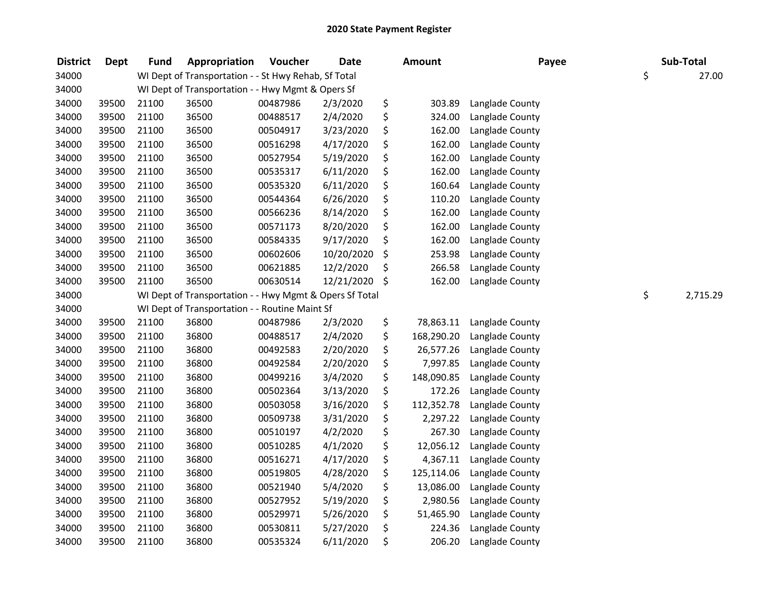| <b>District</b> | <b>Dept</b> | <b>Fund</b> | Appropriation                                           | Voucher  | <b>Date</b> | <b>Amount</b>    | Payee           | Sub-Total      |
|-----------------|-------------|-------------|---------------------------------------------------------|----------|-------------|------------------|-----------------|----------------|
| 34000           |             |             | WI Dept of Transportation - - St Hwy Rehab, Sf Total    |          |             |                  |                 | \$<br>27.00    |
| 34000           |             |             | WI Dept of Transportation - - Hwy Mgmt & Opers Sf       |          |             |                  |                 |                |
| 34000           | 39500       | 21100       | 36500                                                   | 00487986 | 2/3/2020    | \$<br>303.89     | Langlade County |                |
| 34000           | 39500       | 21100       | 36500                                                   | 00488517 | 2/4/2020    | \$<br>324.00     | Langlade County |                |
| 34000           | 39500       | 21100       | 36500                                                   | 00504917 | 3/23/2020   | \$<br>162.00     | Langlade County |                |
| 34000           | 39500       | 21100       | 36500                                                   | 00516298 | 4/17/2020   | \$<br>162.00     | Langlade County |                |
| 34000           | 39500       | 21100       | 36500                                                   | 00527954 | 5/19/2020   | \$<br>162.00     | Langlade County |                |
| 34000           | 39500       | 21100       | 36500                                                   | 00535317 | 6/11/2020   | \$<br>162.00     | Langlade County |                |
| 34000           | 39500       | 21100       | 36500                                                   | 00535320 | 6/11/2020   | \$<br>160.64     | Langlade County |                |
| 34000           | 39500       | 21100       | 36500                                                   | 00544364 | 6/26/2020   | \$<br>110.20     | Langlade County |                |
| 34000           | 39500       | 21100       | 36500                                                   | 00566236 | 8/14/2020   | \$<br>162.00     | Langlade County |                |
| 34000           | 39500       | 21100       | 36500                                                   | 00571173 | 8/20/2020   | \$<br>162.00     | Langlade County |                |
| 34000           | 39500       | 21100       | 36500                                                   | 00584335 | 9/17/2020   | \$<br>162.00     | Langlade County |                |
| 34000           | 39500       | 21100       | 36500                                                   | 00602606 | 10/20/2020  | \$<br>253.98     | Langlade County |                |
| 34000           | 39500       | 21100       | 36500                                                   | 00621885 | 12/2/2020   | \$<br>266.58     | Langlade County |                |
| 34000           | 39500       | 21100       | 36500                                                   | 00630514 | 12/21/2020  | \$<br>162.00     | Langlade County |                |
| 34000           |             |             | WI Dept of Transportation - - Hwy Mgmt & Opers Sf Total |          |             |                  |                 | \$<br>2,715.29 |
| 34000           |             |             | WI Dept of Transportation - - Routine Maint Sf          |          |             |                  |                 |                |
| 34000           | 39500       | 21100       | 36800                                                   | 00487986 | 2/3/2020    | \$<br>78,863.11  | Langlade County |                |
| 34000           | 39500       | 21100       | 36800                                                   | 00488517 | 2/4/2020    | \$<br>168,290.20 | Langlade County |                |
| 34000           | 39500       | 21100       | 36800                                                   | 00492583 | 2/20/2020   | \$<br>26,577.26  | Langlade County |                |
| 34000           | 39500       | 21100       | 36800                                                   | 00492584 | 2/20/2020   | \$<br>7,997.85   | Langlade County |                |
| 34000           | 39500       | 21100       | 36800                                                   | 00499216 | 3/4/2020    | \$<br>148,090.85 | Langlade County |                |
| 34000           | 39500       | 21100       | 36800                                                   | 00502364 | 3/13/2020   | \$<br>172.26     | Langlade County |                |
| 34000           | 39500       | 21100       | 36800                                                   | 00503058 | 3/16/2020   | \$<br>112,352.78 | Langlade County |                |
| 34000           | 39500       | 21100       | 36800                                                   | 00509738 | 3/31/2020   | \$<br>2,297.22   | Langlade County |                |
| 34000           | 39500       | 21100       | 36800                                                   | 00510197 | 4/2/2020    | \$<br>267.30     | Langlade County |                |
| 34000           | 39500       | 21100       | 36800                                                   | 00510285 | 4/1/2020    | \$<br>12,056.12  | Langlade County |                |
| 34000           | 39500       | 21100       | 36800                                                   | 00516271 | 4/17/2020   | \$<br>4,367.11   | Langlade County |                |
| 34000           | 39500       | 21100       | 36800                                                   | 00519805 | 4/28/2020   | \$<br>125,114.06 | Langlade County |                |
| 34000           | 39500       | 21100       | 36800                                                   | 00521940 | 5/4/2020    | \$<br>13,086.00  | Langlade County |                |
| 34000           | 39500       | 21100       | 36800                                                   | 00527952 | 5/19/2020   | \$<br>2,980.56   | Langlade County |                |
| 34000           | 39500       | 21100       | 36800                                                   | 00529971 | 5/26/2020   | \$<br>51,465.90  | Langlade County |                |
| 34000           | 39500       | 21100       | 36800                                                   | 00530811 | 5/27/2020   | \$<br>224.36     | Langlade County |                |
| 34000           | 39500       | 21100       | 36800                                                   | 00535324 | 6/11/2020   | \$<br>206.20     | Langlade County |                |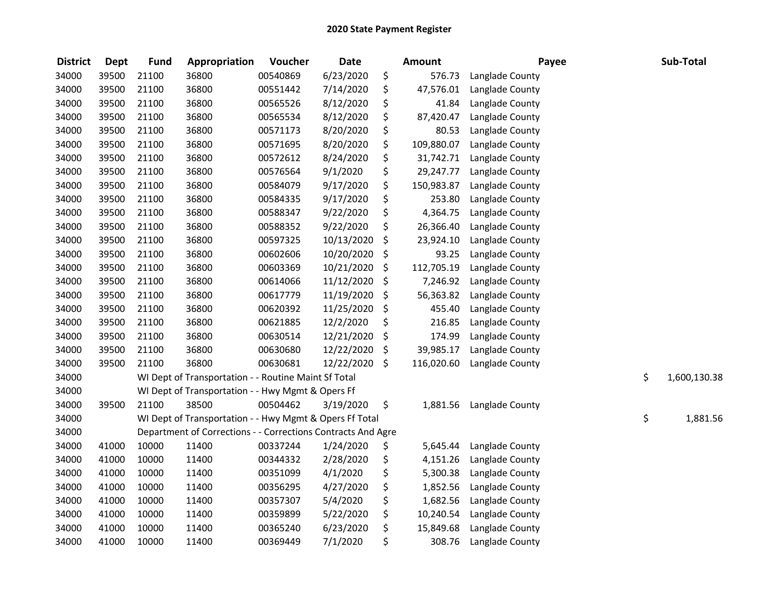| <b>District</b> | <b>Dept</b> | <b>Fund</b> | Appropriation                                                | Voucher  | <b>Date</b> | <b>Amount</b>    | Payee           | Sub-Total          |
|-----------------|-------------|-------------|--------------------------------------------------------------|----------|-------------|------------------|-----------------|--------------------|
| 34000           | 39500       | 21100       | 36800                                                        | 00540869 | 6/23/2020   | \$<br>576.73     | Langlade County |                    |
| 34000           | 39500       | 21100       | 36800                                                        | 00551442 | 7/14/2020   | \$<br>47,576.01  | Langlade County |                    |
| 34000           | 39500       | 21100       | 36800                                                        | 00565526 | 8/12/2020   | \$<br>41.84      | Langlade County |                    |
| 34000           | 39500       | 21100       | 36800                                                        | 00565534 | 8/12/2020   | \$<br>87,420.47  | Langlade County |                    |
| 34000           | 39500       | 21100       | 36800                                                        | 00571173 | 8/20/2020   | \$<br>80.53      | Langlade County |                    |
| 34000           | 39500       | 21100       | 36800                                                        | 00571695 | 8/20/2020   | \$<br>109,880.07 | Langlade County |                    |
| 34000           | 39500       | 21100       | 36800                                                        | 00572612 | 8/24/2020   | \$<br>31,742.71  | Langlade County |                    |
| 34000           | 39500       | 21100       | 36800                                                        | 00576564 | 9/1/2020    | \$<br>29,247.77  | Langlade County |                    |
| 34000           | 39500       | 21100       | 36800                                                        | 00584079 | 9/17/2020   | \$<br>150,983.87 | Langlade County |                    |
| 34000           | 39500       | 21100       | 36800                                                        | 00584335 | 9/17/2020   | \$<br>253.80     | Langlade County |                    |
| 34000           | 39500       | 21100       | 36800                                                        | 00588347 | 9/22/2020   | \$<br>4,364.75   | Langlade County |                    |
| 34000           | 39500       | 21100       | 36800                                                        | 00588352 | 9/22/2020   | \$<br>26,366.40  | Langlade County |                    |
| 34000           | 39500       | 21100       | 36800                                                        | 00597325 | 10/13/2020  | \$<br>23,924.10  | Langlade County |                    |
| 34000           | 39500       | 21100       | 36800                                                        | 00602606 | 10/20/2020  | \$<br>93.25      | Langlade County |                    |
| 34000           | 39500       | 21100       | 36800                                                        | 00603369 | 10/21/2020  | \$<br>112,705.19 | Langlade County |                    |
| 34000           | 39500       | 21100       | 36800                                                        | 00614066 | 11/12/2020  | \$<br>7,246.92   | Langlade County |                    |
| 34000           | 39500       | 21100       | 36800                                                        | 00617779 | 11/19/2020  | \$<br>56,363.82  | Langlade County |                    |
| 34000           | 39500       | 21100       | 36800                                                        | 00620392 | 11/25/2020  | \$<br>455.40     | Langlade County |                    |
| 34000           | 39500       | 21100       | 36800                                                        | 00621885 | 12/2/2020   | \$<br>216.85     | Langlade County |                    |
| 34000           | 39500       | 21100       | 36800                                                        | 00630514 | 12/21/2020  | \$<br>174.99     | Langlade County |                    |
| 34000           | 39500       | 21100       | 36800                                                        | 00630680 | 12/22/2020  | \$<br>39,985.17  | Langlade County |                    |
| 34000           | 39500       | 21100       | 36800                                                        | 00630681 | 12/22/2020  | \$<br>116,020.60 | Langlade County |                    |
| 34000           |             |             | WI Dept of Transportation - - Routine Maint Sf Total         |          |             |                  |                 | \$<br>1,600,130.38 |
| 34000           |             |             | WI Dept of Transportation - - Hwy Mgmt & Opers Ff            |          |             |                  |                 |                    |
| 34000           | 39500       | 21100       | 38500                                                        | 00504462 | 3/19/2020   | \$<br>1,881.56   | Langlade County |                    |
| 34000           |             |             | WI Dept of Transportation - - Hwy Mgmt & Opers Ff Total      |          |             |                  |                 | \$<br>1,881.56     |
| 34000           |             |             | Department of Corrections - - Corrections Contracts And Agre |          |             |                  |                 |                    |
| 34000           | 41000       | 10000       | 11400                                                        | 00337244 | 1/24/2020   | \$<br>5,645.44   | Langlade County |                    |
| 34000           | 41000       | 10000       | 11400                                                        | 00344332 | 2/28/2020   | \$<br>4,151.26   | Langlade County |                    |
| 34000           | 41000       | 10000       | 11400                                                        | 00351099 | 4/1/2020    | \$<br>5,300.38   | Langlade County |                    |
| 34000           | 41000       | 10000       | 11400                                                        | 00356295 | 4/27/2020   | \$<br>1,852.56   | Langlade County |                    |
| 34000           | 41000       | 10000       | 11400                                                        | 00357307 | 5/4/2020    | \$<br>1,682.56   | Langlade County |                    |
| 34000           | 41000       | 10000       | 11400                                                        | 00359899 | 5/22/2020   | \$<br>10,240.54  | Langlade County |                    |
| 34000           | 41000       | 10000       | 11400                                                        | 00365240 | 6/23/2020   | \$<br>15,849.68  | Langlade County |                    |
| 34000           | 41000       | 10000       | 11400                                                        | 00369449 | 7/1/2020    | \$<br>308.76     | Langlade County |                    |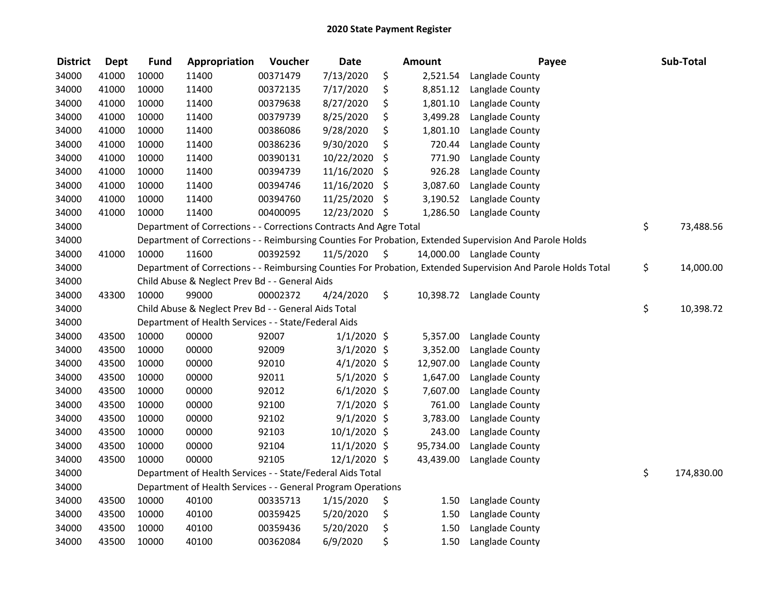| <b>District</b> | <b>Dept</b> | <b>Fund</b> | Appropriation                                                      | Voucher  | <b>Date</b>   | <b>Amount</b>  | Payee                                                                                                         | Sub-Total        |
|-----------------|-------------|-------------|--------------------------------------------------------------------|----------|---------------|----------------|---------------------------------------------------------------------------------------------------------------|------------------|
| 34000           | 41000       | 10000       | 11400                                                              | 00371479 | 7/13/2020     | \$<br>2,521.54 | Langlade County                                                                                               |                  |
| 34000           | 41000       | 10000       | 11400                                                              | 00372135 | 7/17/2020     | \$<br>8,851.12 | Langlade County                                                                                               |                  |
| 34000           | 41000       | 10000       | 11400                                                              | 00379638 | 8/27/2020     | \$<br>1,801.10 | Langlade County                                                                                               |                  |
| 34000           | 41000       | 10000       | 11400                                                              | 00379739 | 8/25/2020     | \$<br>3,499.28 | Langlade County                                                                                               |                  |
| 34000           | 41000       | 10000       | 11400                                                              | 00386086 | 9/28/2020     | \$<br>1,801.10 | Langlade County                                                                                               |                  |
| 34000           | 41000       | 10000       | 11400                                                              | 00386236 | 9/30/2020     | \$<br>720.44   | Langlade County                                                                                               |                  |
| 34000           | 41000       | 10000       | 11400                                                              | 00390131 | 10/22/2020    | \$<br>771.90   | Langlade County                                                                                               |                  |
| 34000           | 41000       | 10000       | 11400                                                              | 00394739 | 11/16/2020    | \$<br>926.28   | Langlade County                                                                                               |                  |
| 34000           | 41000       | 10000       | 11400                                                              | 00394746 | 11/16/2020    | \$<br>3,087.60 | Langlade County                                                                                               |                  |
| 34000           | 41000       | 10000       | 11400                                                              | 00394760 | 11/25/2020    | \$<br>3,190.52 | Langlade County                                                                                               |                  |
| 34000           | 41000       | 10000       | 11400                                                              | 00400095 | 12/23/2020 \$ | 1,286.50       | Langlade County                                                                                               |                  |
| 34000           |             |             | Department of Corrections - - Corrections Contracts And Agre Total |          |               |                |                                                                                                               | \$<br>73,488.56  |
| 34000           |             |             |                                                                    |          |               |                | Department of Corrections - - Reimbursing Counties For Probation, Extended Supervision And Parole Holds       |                  |
| 34000           | 41000       | 10000       | 11600                                                              | 00392592 | 11/5/2020     | \$             | 14,000.00 Langlade County                                                                                     |                  |
| 34000           |             |             |                                                                    |          |               |                | Department of Corrections - - Reimbursing Counties For Probation, Extended Supervision And Parole Holds Total | \$<br>14,000.00  |
| 34000           |             |             | Child Abuse & Neglect Prev Bd - - General Aids                     |          |               |                |                                                                                                               |                  |
| 34000           | 43300       | 10000       | 99000                                                              | 00002372 | 4/24/2020     | \$             | 10,398.72 Langlade County                                                                                     |                  |
| 34000           |             |             | Child Abuse & Neglect Prev Bd - - General Aids Total               |          |               |                |                                                                                                               | \$<br>10,398.72  |
| 34000           |             |             | Department of Health Services - - State/Federal Aids               |          |               |                |                                                                                                               |                  |
| 34000           | 43500       | 10000       | 00000                                                              | 92007    | $1/1/2020$ \$ | 5,357.00       | Langlade County                                                                                               |                  |
| 34000           | 43500       | 10000       | 00000                                                              | 92009    | 3/1/2020 \$   | 3,352.00       | Langlade County                                                                                               |                  |
| 34000           | 43500       | 10000       | 00000                                                              | 92010    | $4/1/2020$ \$ | 12,907.00      | Langlade County                                                                                               |                  |
| 34000           | 43500       | 10000       | 00000                                                              | 92011    | $5/1/2020$ \$ | 1,647.00       | Langlade County                                                                                               |                  |
| 34000           | 43500       | 10000       | 00000                                                              | 92012    | $6/1/2020$ \$ | 7,607.00       | Langlade County                                                                                               |                  |
| 34000           | 43500       | 10000       | 00000                                                              | 92100    | 7/1/2020 \$   | 761.00         | Langlade County                                                                                               |                  |
| 34000           | 43500       | 10000       | 00000                                                              | 92102    | $9/1/2020$ \$ | 3,783.00       | Langlade County                                                                                               |                  |
| 34000           | 43500       | 10000       | 00000                                                              | 92103    | 10/1/2020 \$  | 243.00         | Langlade County                                                                                               |                  |
| 34000           | 43500       | 10000       | 00000                                                              | 92104    | 11/1/2020 \$  | 95,734.00      | Langlade County                                                                                               |                  |
| 34000           | 43500       | 10000       | 00000                                                              | 92105    | 12/1/2020 \$  | 43,439.00      | Langlade County                                                                                               |                  |
| 34000           |             |             | Department of Health Services - - State/Federal Aids Total         |          |               |                |                                                                                                               | \$<br>174,830.00 |
| 34000           |             |             | Department of Health Services - - General Program Operations       |          |               |                |                                                                                                               |                  |
| 34000           | 43500       | 10000       | 40100                                                              | 00335713 | 1/15/2020     | \$<br>1.50     | Langlade County                                                                                               |                  |
| 34000           | 43500       | 10000       | 40100                                                              | 00359425 | 5/20/2020     | \$<br>1.50     | Langlade County                                                                                               |                  |
| 34000           | 43500       | 10000       | 40100                                                              | 00359436 | 5/20/2020     | \$<br>1.50     | Langlade County                                                                                               |                  |
| 34000           | 43500       | 10000       | 40100                                                              | 00362084 | 6/9/2020      | \$<br>1.50     | Langlade County                                                                                               |                  |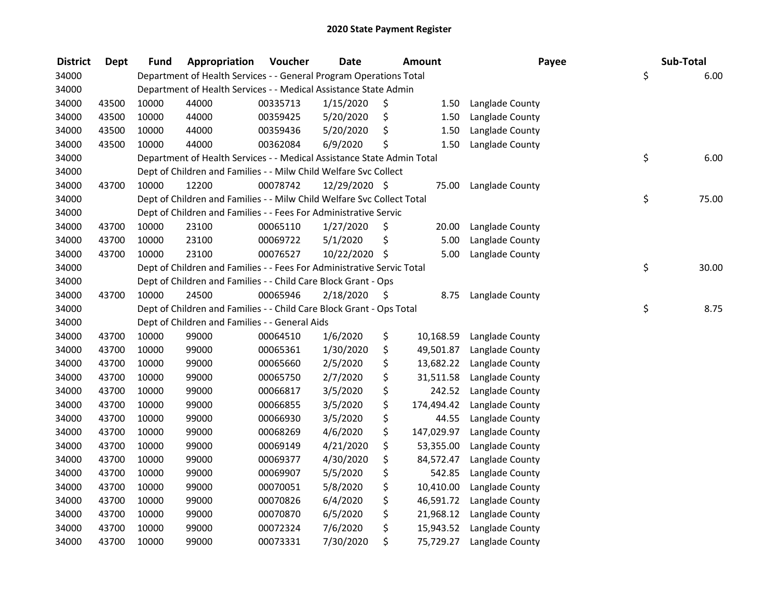| <b>District</b> | Dept  | <b>Fund</b> | Appropriation                                                          | Voucher  | <b>Date</b>   | <b>Amount</b>    | Payee           | Sub-Total   |
|-----------------|-------|-------------|------------------------------------------------------------------------|----------|---------------|------------------|-----------------|-------------|
| 34000           |       |             | Department of Health Services - - General Program Operations Total     |          |               |                  |                 | \$<br>6.00  |
| 34000           |       |             | Department of Health Services - - Medical Assistance State Admin       |          |               |                  |                 |             |
| 34000           | 43500 | 10000       | 44000                                                                  | 00335713 | 1/15/2020     | \$<br>1.50       | Langlade County |             |
| 34000           | 43500 | 10000       | 44000                                                                  | 00359425 | 5/20/2020     | \$<br>1.50       | Langlade County |             |
| 34000           | 43500 | 10000       | 44000                                                                  | 00359436 | 5/20/2020     | \$<br>1.50       | Langlade County |             |
| 34000           | 43500 | 10000       | 44000                                                                  | 00362084 | 6/9/2020      | \$<br>1.50       | Langlade County |             |
| 34000           |       |             | Department of Health Services - - Medical Assistance State Admin Total |          |               |                  |                 | \$<br>6.00  |
| 34000           |       |             | Dept of Children and Families - - Milw Child Welfare Svc Collect       |          |               |                  |                 |             |
| 34000           | 43700 | 10000       | 12200                                                                  | 00078742 | 12/29/2020 \$ | 75.00            | Langlade County |             |
| 34000           |       |             | Dept of Children and Families - - Milw Child Welfare Svc Collect Total |          |               |                  |                 | \$<br>75.00 |
| 34000           |       |             | Dept of Children and Families - - Fees For Administrative Servic       |          |               |                  |                 |             |
| 34000           | 43700 | 10000       | 23100                                                                  | 00065110 | 1/27/2020     | \$<br>20.00      | Langlade County |             |
| 34000           | 43700 | 10000       | 23100                                                                  | 00069722 | 5/1/2020      | \$<br>5.00       | Langlade County |             |
| 34000           | 43700 | 10000       | 23100                                                                  | 00076527 | 10/22/2020    | \$<br>5.00       | Langlade County |             |
| 34000           |       |             | Dept of Children and Families - - Fees For Administrative Servic Total |          |               |                  |                 | \$<br>30.00 |
| 34000           |       |             | Dept of Children and Families - - Child Care Block Grant - Ops         |          |               |                  |                 |             |
| 34000           | 43700 | 10000       | 24500                                                                  | 00065946 | 2/18/2020     | \$<br>8.75       | Langlade County |             |
| 34000           |       |             | Dept of Children and Families - - Child Care Block Grant - Ops Total   |          |               |                  |                 | \$<br>8.75  |
| 34000           |       |             | Dept of Children and Families - - General Aids                         |          |               |                  |                 |             |
| 34000           | 43700 | 10000       | 99000                                                                  | 00064510 | 1/6/2020      | \$<br>10,168.59  | Langlade County |             |
| 34000           | 43700 | 10000       | 99000                                                                  | 00065361 | 1/30/2020     | \$<br>49,501.87  | Langlade County |             |
| 34000           | 43700 | 10000       | 99000                                                                  | 00065660 | 2/5/2020      | \$<br>13,682.22  | Langlade County |             |
| 34000           | 43700 | 10000       | 99000                                                                  | 00065750 | 2/7/2020      | \$<br>31,511.58  | Langlade County |             |
| 34000           | 43700 | 10000       | 99000                                                                  | 00066817 | 3/5/2020      | \$<br>242.52     | Langlade County |             |
| 34000           | 43700 | 10000       | 99000                                                                  | 00066855 | 3/5/2020      | \$<br>174,494.42 | Langlade County |             |
| 34000           | 43700 | 10000       | 99000                                                                  | 00066930 | 3/5/2020      | \$<br>44.55      | Langlade County |             |
| 34000           | 43700 | 10000       | 99000                                                                  | 00068269 | 4/6/2020      | \$<br>147,029.97 | Langlade County |             |
| 34000           | 43700 | 10000       | 99000                                                                  | 00069149 | 4/21/2020     | \$<br>53,355.00  | Langlade County |             |
| 34000           | 43700 | 10000       | 99000                                                                  | 00069377 | 4/30/2020     | \$<br>84,572.47  | Langlade County |             |
| 34000           | 43700 | 10000       | 99000                                                                  | 00069907 | 5/5/2020      | \$<br>542.85     | Langlade County |             |
| 34000           | 43700 | 10000       | 99000                                                                  | 00070051 | 5/8/2020      | \$<br>10,410.00  | Langlade County |             |
| 34000           | 43700 | 10000       | 99000                                                                  | 00070826 | 6/4/2020      | \$<br>46,591.72  | Langlade County |             |
| 34000           | 43700 | 10000       | 99000                                                                  | 00070870 | 6/5/2020      | \$<br>21,968.12  | Langlade County |             |
| 34000           | 43700 | 10000       | 99000                                                                  | 00072324 | 7/6/2020      | \$<br>15,943.52  | Langlade County |             |
| 34000           | 43700 | 10000       | 99000                                                                  | 00073331 | 7/30/2020     | \$<br>75,729.27  | Langlade County |             |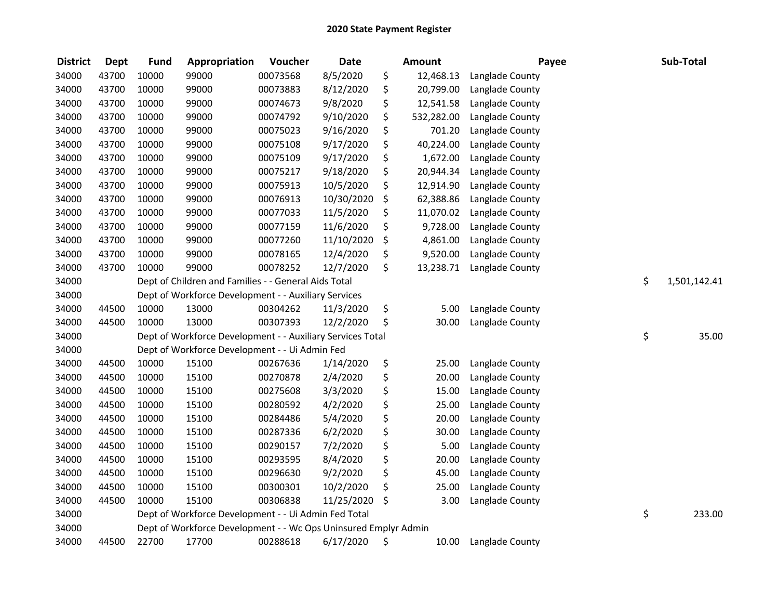| <b>District</b> | <b>Dept</b> | <b>Fund</b> | Appropriation                                                   | Voucher  | <b>Date</b> | <b>Amount</b>    | Payee           | Sub-Total          |
|-----------------|-------------|-------------|-----------------------------------------------------------------|----------|-------------|------------------|-----------------|--------------------|
| 34000           | 43700       | 10000       | 99000                                                           | 00073568 | 8/5/2020    | \$<br>12,468.13  | Langlade County |                    |
| 34000           | 43700       | 10000       | 99000                                                           | 00073883 | 8/12/2020   | \$<br>20,799.00  | Langlade County |                    |
| 34000           | 43700       | 10000       | 99000                                                           | 00074673 | 9/8/2020    | \$<br>12,541.58  | Langlade County |                    |
| 34000           | 43700       | 10000       | 99000                                                           | 00074792 | 9/10/2020   | \$<br>532,282.00 | Langlade County |                    |
| 34000           | 43700       | 10000       | 99000                                                           | 00075023 | 9/16/2020   | \$<br>701.20     | Langlade County |                    |
| 34000           | 43700       | 10000       | 99000                                                           | 00075108 | 9/17/2020   | \$<br>40,224.00  | Langlade County |                    |
| 34000           | 43700       | 10000       | 99000                                                           | 00075109 | 9/17/2020   | \$<br>1,672.00   | Langlade County |                    |
| 34000           | 43700       | 10000       | 99000                                                           | 00075217 | 9/18/2020   | \$<br>20,944.34  | Langlade County |                    |
| 34000           | 43700       | 10000       | 99000                                                           | 00075913 | 10/5/2020   | \$<br>12,914.90  | Langlade County |                    |
| 34000           | 43700       | 10000       | 99000                                                           | 00076913 | 10/30/2020  | \$<br>62,388.86  | Langlade County |                    |
| 34000           | 43700       | 10000       | 99000                                                           | 00077033 | 11/5/2020   | \$<br>11,070.02  | Langlade County |                    |
| 34000           | 43700       | 10000       | 99000                                                           | 00077159 | 11/6/2020   | \$<br>9,728.00   | Langlade County |                    |
| 34000           | 43700       | 10000       | 99000                                                           | 00077260 | 11/10/2020  | \$<br>4,861.00   | Langlade County |                    |
| 34000           | 43700       | 10000       | 99000                                                           | 00078165 | 12/4/2020   | \$<br>9,520.00   | Langlade County |                    |
| 34000           | 43700       | 10000       | 99000                                                           | 00078252 | 12/7/2020   | \$<br>13,238.71  | Langlade County |                    |
| 34000           |             |             | Dept of Children and Families - - General Aids Total            |          |             |                  |                 | \$<br>1,501,142.41 |
| 34000           |             |             | Dept of Workforce Development - - Auxiliary Services            |          |             |                  |                 |                    |
| 34000           | 44500       | 10000       | 13000                                                           | 00304262 | 11/3/2020   | \$<br>5.00       | Langlade County |                    |
| 34000           | 44500       | 10000       | 13000                                                           | 00307393 | 12/2/2020   | \$<br>30.00      | Langlade County |                    |
| 34000           |             |             | Dept of Workforce Development - - Auxiliary Services Total      |          |             |                  |                 | \$<br>35.00        |
| 34000           |             |             | Dept of Workforce Development - - Ui Admin Fed                  |          |             |                  |                 |                    |
| 34000           | 44500       | 10000       | 15100                                                           | 00267636 | 1/14/2020   | \$<br>25.00      | Langlade County |                    |
| 34000           | 44500       | 10000       | 15100                                                           | 00270878 | 2/4/2020    | \$<br>20.00      | Langlade County |                    |
| 34000           | 44500       | 10000       | 15100                                                           | 00275608 | 3/3/2020    | \$<br>15.00      | Langlade County |                    |
| 34000           | 44500       | 10000       | 15100                                                           | 00280592 | 4/2/2020    | \$<br>25.00      | Langlade County |                    |
| 34000           | 44500       | 10000       | 15100                                                           | 00284486 | 5/4/2020    | \$<br>20.00      | Langlade County |                    |
| 34000           | 44500       | 10000       | 15100                                                           | 00287336 | 6/2/2020    | \$<br>30.00      | Langlade County |                    |
| 34000           | 44500       | 10000       | 15100                                                           | 00290157 | 7/2/2020    | \$<br>5.00       | Langlade County |                    |
| 34000           | 44500       | 10000       | 15100                                                           | 00293595 | 8/4/2020    | \$<br>20.00      | Langlade County |                    |
| 34000           | 44500       | 10000       | 15100                                                           | 00296630 | 9/2/2020    | \$<br>45.00      | Langlade County |                    |
| 34000           | 44500       | 10000       | 15100                                                           | 00300301 | 10/2/2020   | \$<br>25.00      | Langlade County |                    |
| 34000           | 44500       | 10000       | 15100                                                           | 00306838 | 11/25/2020  | \$<br>3.00       | Langlade County |                    |
| 34000           |             |             | Dept of Workforce Development - - Ui Admin Fed Total            |          |             |                  |                 | \$<br>233.00       |
| 34000           |             |             | Dept of Workforce Development - - Wc Ops Uninsured Emplyr Admin |          |             |                  |                 |                    |
| 34000           | 44500       | 22700       | 17700                                                           | 00288618 | 6/17/2020   | \$<br>10.00      | Langlade County |                    |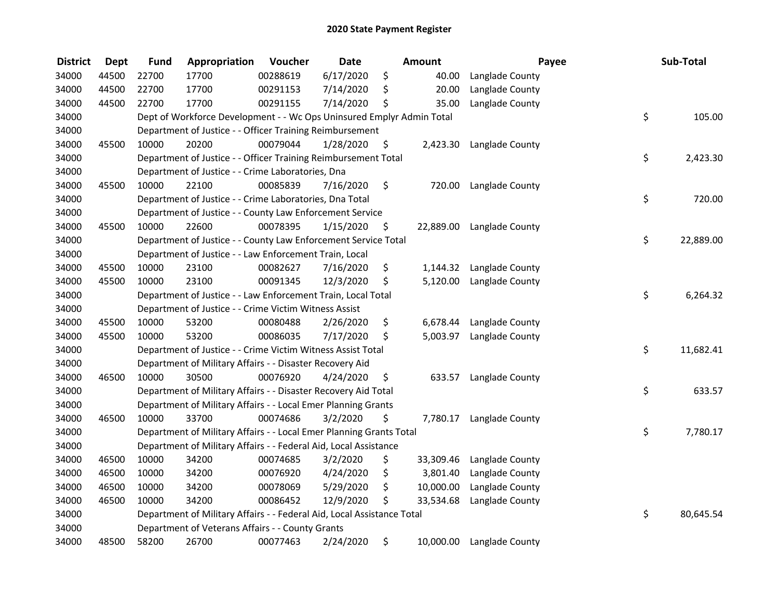| <b>District</b> | <b>Dept</b> | <b>Fund</b> | Appropriation                                                          | Voucher  | <b>Date</b> |     | Amount    | Payee           | Sub-Total       |
|-----------------|-------------|-------------|------------------------------------------------------------------------|----------|-------------|-----|-----------|-----------------|-----------------|
| 34000           | 44500       | 22700       | 17700                                                                  | 00288619 | 6/17/2020   | \$  | 40.00     | Langlade County |                 |
| 34000           | 44500       | 22700       | 17700                                                                  | 00291153 | 7/14/2020   | \$  | 20.00     | Langlade County |                 |
| 34000           | 44500       | 22700       | 17700                                                                  | 00291155 | 7/14/2020   | \$  | 35.00     | Langlade County |                 |
| 34000           |             |             | Dept of Workforce Development - - Wc Ops Uninsured Emplyr Admin Total  |          |             |     |           |                 | \$<br>105.00    |
| 34000           |             |             | Department of Justice - - Officer Training Reimbursement               |          |             |     |           |                 |                 |
| 34000           | 45500       | 10000       | 20200                                                                  | 00079044 | 1/28/2020   | \$  | 2,423.30  | Langlade County |                 |
| 34000           |             |             | Department of Justice - - Officer Training Reimbursement Total         |          |             |     |           |                 | \$<br>2,423.30  |
| 34000           |             |             | Department of Justice - - Crime Laboratories, Dna                      |          |             |     |           |                 |                 |
| 34000           | 45500       | 10000       | 22100                                                                  | 00085839 | 7/16/2020   | \$  | 720.00    | Langlade County |                 |
| 34000           |             |             | Department of Justice - - Crime Laboratories, Dna Total                |          |             |     |           |                 | \$<br>720.00    |
| 34000           |             |             | Department of Justice - - County Law Enforcement Service               |          |             |     |           |                 |                 |
| 34000           | 45500       | 10000       | 22600                                                                  | 00078395 | 1/15/2020   | \$. | 22,889.00 | Langlade County |                 |
| 34000           |             |             | Department of Justice - - County Law Enforcement Service Total         |          |             |     |           |                 | \$<br>22,889.00 |
| 34000           |             |             | Department of Justice - - Law Enforcement Train, Local                 |          |             |     |           |                 |                 |
| 34000           | 45500       | 10000       | 23100                                                                  | 00082627 | 7/16/2020   | \$  | 1,144.32  | Langlade County |                 |
| 34000           | 45500       | 10000       | 23100                                                                  | 00091345 | 12/3/2020   | \$  | 5,120.00  | Langlade County |                 |
| 34000           |             |             | Department of Justice - - Law Enforcement Train, Local Total           |          |             |     |           |                 | \$<br>6,264.32  |
| 34000           |             |             | Department of Justice - - Crime Victim Witness Assist                  |          |             |     |           |                 |                 |
| 34000           | 45500       | 10000       | 53200                                                                  | 00080488 | 2/26/2020   | \$  | 6,678.44  | Langlade County |                 |
| 34000           | 45500       | 10000       | 53200                                                                  | 00086035 | 7/17/2020   | \$  | 5,003.97  | Langlade County |                 |
| 34000           |             |             | Department of Justice - - Crime Victim Witness Assist Total            |          |             |     |           |                 | \$<br>11,682.41 |
| 34000           |             |             | Department of Military Affairs - - Disaster Recovery Aid               |          |             |     |           |                 |                 |
| 34000           | 46500       | 10000       | 30500                                                                  | 00076920 | 4/24/2020   | \$  | 633.57    | Langlade County |                 |
| 34000           |             |             | Department of Military Affairs - - Disaster Recovery Aid Total         |          |             |     |           |                 | \$<br>633.57    |
| 34000           |             |             | Department of Military Affairs - - Local Emer Planning Grants          |          |             |     |           |                 |                 |
| 34000           | 46500       | 10000       | 33700                                                                  | 00074686 | 3/2/2020    | \$  | 7,780.17  | Langlade County |                 |
| 34000           |             |             | Department of Military Affairs - - Local Emer Planning Grants Total    |          |             |     |           |                 | \$<br>7,780.17  |
| 34000           |             |             | Department of Military Affairs - - Federal Aid, Local Assistance       |          |             |     |           |                 |                 |
| 34000           | 46500       | 10000       | 34200                                                                  | 00074685 | 3/2/2020    | \$  | 33,309.46 | Langlade County |                 |
| 34000           | 46500       | 10000       | 34200                                                                  | 00076920 | 4/24/2020   | \$  | 3,801.40  | Langlade County |                 |
| 34000           | 46500       | 10000       | 34200                                                                  | 00078069 | 5/29/2020   | \$  | 10,000.00 | Langlade County |                 |
| 34000           | 46500       | 10000       | 34200                                                                  | 00086452 | 12/9/2020   | \$  | 33,534.68 | Langlade County |                 |
| 34000           |             |             | Department of Military Affairs - - Federal Aid, Local Assistance Total |          |             |     |           |                 | \$<br>80,645.54 |
| 34000           |             |             | Department of Veterans Affairs - - County Grants                       |          |             |     |           |                 |                 |
| 34000           | 48500       | 58200       | 26700                                                                  | 00077463 | 2/24/2020   | \$  | 10,000.00 | Langlade County |                 |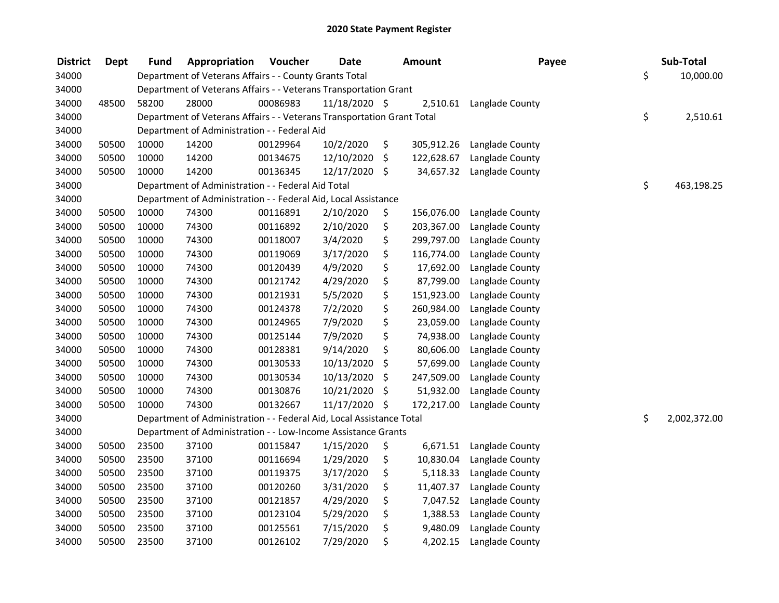| <b>District</b> | <b>Dept</b> | Fund  | Appropriation                                                          | Voucher  | <b>Date</b>   |     | <b>Amount</b> | Payee           | Sub-Total          |
|-----------------|-------------|-------|------------------------------------------------------------------------|----------|---------------|-----|---------------|-----------------|--------------------|
| 34000           |             |       | Department of Veterans Affairs - - County Grants Total                 |          |               |     |               |                 | \$<br>10,000.00    |
| 34000           |             |       | Department of Veterans Affairs - - Veterans Transportation Grant       |          |               |     |               |                 |                    |
| 34000           | 48500       | 58200 | 28000                                                                  | 00086983 | 11/18/2020 \$ |     | 2,510.61      | Langlade County |                    |
| 34000           |             |       | Department of Veterans Affairs - - Veterans Transportation Grant Total |          |               |     |               |                 | \$<br>2,510.61     |
| 34000           |             |       | Department of Administration - - Federal Aid                           |          |               |     |               |                 |                    |
| 34000           | 50500       | 10000 | 14200                                                                  | 00129964 | 10/2/2020     | \$  | 305,912.26    | Langlade County |                    |
| 34000           | 50500       | 10000 | 14200                                                                  | 00134675 | 12/10/2020    | \$  | 122,628.67    | Langlade County |                    |
| 34000           | 50500       | 10000 | 14200                                                                  | 00136345 | 12/17/2020    | -\$ | 34,657.32     | Langlade County |                    |
| 34000           |             |       | Department of Administration - - Federal Aid Total                     |          |               |     |               |                 | \$<br>463,198.25   |
| 34000           |             |       | Department of Administration - - Federal Aid, Local Assistance         |          |               |     |               |                 |                    |
| 34000           | 50500       | 10000 | 74300                                                                  | 00116891 | 2/10/2020     | \$  | 156,076.00    | Langlade County |                    |
| 34000           | 50500       | 10000 | 74300                                                                  | 00116892 | 2/10/2020     | \$  | 203,367.00    | Langlade County |                    |
| 34000           | 50500       | 10000 | 74300                                                                  | 00118007 | 3/4/2020      | \$  | 299,797.00    | Langlade County |                    |
| 34000           | 50500       | 10000 | 74300                                                                  | 00119069 | 3/17/2020     | \$  | 116,774.00    | Langlade County |                    |
| 34000           | 50500       | 10000 | 74300                                                                  | 00120439 | 4/9/2020      | \$  | 17,692.00     | Langlade County |                    |
| 34000           | 50500       | 10000 | 74300                                                                  | 00121742 | 4/29/2020     | \$  | 87,799.00     | Langlade County |                    |
| 34000           | 50500       | 10000 | 74300                                                                  | 00121931 | 5/5/2020      | \$  | 151,923.00    | Langlade County |                    |
| 34000           | 50500       | 10000 | 74300                                                                  | 00124378 | 7/2/2020      | \$  | 260,984.00    | Langlade County |                    |
| 34000           | 50500       | 10000 | 74300                                                                  | 00124965 | 7/9/2020      | \$  | 23,059.00     | Langlade County |                    |
| 34000           | 50500       | 10000 | 74300                                                                  | 00125144 | 7/9/2020      | \$  | 74,938.00     | Langlade County |                    |
| 34000           | 50500       | 10000 | 74300                                                                  | 00128381 | 9/14/2020     | \$  | 80,606.00     | Langlade County |                    |
| 34000           | 50500       | 10000 | 74300                                                                  | 00130533 | 10/13/2020    | \$  | 57,699.00     | Langlade County |                    |
| 34000           | 50500       | 10000 | 74300                                                                  | 00130534 | 10/13/2020    | \$  | 247,509.00    | Langlade County |                    |
| 34000           | 50500       | 10000 | 74300                                                                  | 00130876 | 10/21/2020    | \$  | 51,932.00     | Langlade County |                    |
| 34000           | 50500       | 10000 | 74300                                                                  | 00132667 | 11/17/2020 \$ |     | 172,217.00    | Langlade County |                    |
| 34000           |             |       | Department of Administration - - Federal Aid, Local Assistance Total   |          |               |     |               |                 | \$<br>2,002,372.00 |
| 34000           |             |       | Department of Administration - - Low-Income Assistance Grants          |          |               |     |               |                 |                    |
| 34000           | 50500       | 23500 | 37100                                                                  | 00115847 | 1/15/2020     | \$  | 6,671.51      | Langlade County |                    |
| 34000           | 50500       | 23500 | 37100                                                                  | 00116694 | 1/29/2020     | \$  | 10,830.04     | Langlade County |                    |
| 34000           | 50500       | 23500 | 37100                                                                  | 00119375 | 3/17/2020     | \$  | 5,118.33      | Langlade County |                    |
| 34000           | 50500       | 23500 | 37100                                                                  | 00120260 | 3/31/2020     | \$  | 11,407.37     | Langlade County |                    |
| 34000           | 50500       | 23500 | 37100                                                                  | 00121857 | 4/29/2020     | \$  | 7,047.52      | Langlade County |                    |
| 34000           | 50500       | 23500 | 37100                                                                  | 00123104 | 5/29/2020     | \$  | 1,388.53      | Langlade County |                    |
| 34000           | 50500       | 23500 | 37100                                                                  | 00125561 | 7/15/2020     | \$  | 9,480.09      | Langlade County |                    |
| 34000           | 50500       | 23500 | 37100                                                                  | 00126102 | 7/29/2020     | \$  | 4,202.15      | Langlade County |                    |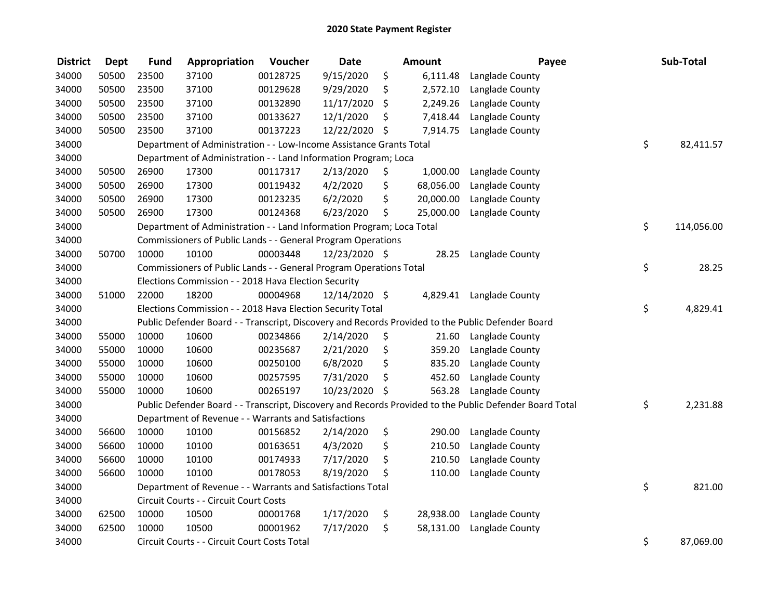| <b>District</b> | <b>Dept</b> | <b>Fund</b> | Appropriation                                                         | Voucher  | <b>Date</b>   | Amount          | Payee                                                                                                   | Sub-Total        |
|-----------------|-------------|-------------|-----------------------------------------------------------------------|----------|---------------|-----------------|---------------------------------------------------------------------------------------------------------|------------------|
| 34000           | 50500       | 23500       | 37100                                                                 | 00128725 | 9/15/2020     | \$<br>6,111.48  | Langlade County                                                                                         |                  |
| 34000           | 50500       | 23500       | 37100                                                                 | 00129628 | 9/29/2020     | \$<br>2,572.10  | Langlade County                                                                                         |                  |
| 34000           | 50500       | 23500       | 37100                                                                 | 00132890 | 11/17/2020    | \$<br>2,249.26  | Langlade County                                                                                         |                  |
| 34000           | 50500       | 23500       | 37100                                                                 | 00133627 | 12/1/2020     | \$<br>7,418.44  | Langlade County                                                                                         |                  |
| 34000           | 50500       | 23500       | 37100                                                                 | 00137223 | 12/22/2020    | \$<br>7,914.75  | Langlade County                                                                                         |                  |
| 34000           |             |             | Department of Administration - - Low-Income Assistance Grants Total   |          |               |                 |                                                                                                         | \$<br>82,411.57  |
| 34000           |             |             | Department of Administration - - Land Information Program; Loca       |          |               |                 |                                                                                                         |                  |
| 34000           | 50500       | 26900       | 17300                                                                 | 00117317 | 2/13/2020     | \$<br>1,000.00  | Langlade County                                                                                         |                  |
| 34000           | 50500       | 26900       | 17300                                                                 | 00119432 | 4/2/2020      | \$<br>68,056.00 | Langlade County                                                                                         |                  |
| 34000           | 50500       | 26900       | 17300                                                                 | 00123235 | 6/2/2020      | \$<br>20,000.00 | Langlade County                                                                                         |                  |
| 34000           | 50500       | 26900       | 17300                                                                 | 00124368 | 6/23/2020     | \$<br>25,000.00 | Langlade County                                                                                         |                  |
| 34000           |             |             | Department of Administration - - Land Information Program; Loca Total |          |               |                 |                                                                                                         | \$<br>114,056.00 |
| 34000           |             |             | Commissioners of Public Lands - - General Program Operations          |          |               |                 |                                                                                                         |                  |
| 34000           | 50700       | 10000       | 10100                                                                 | 00003448 | 12/23/2020 \$ | 28.25           | Langlade County                                                                                         |                  |
| 34000           |             |             | Commissioners of Public Lands - - General Program Operations Total    |          |               |                 |                                                                                                         | \$<br>28.25      |
| 34000           |             |             | Elections Commission - - 2018 Hava Election Security                  |          |               |                 |                                                                                                         |                  |
| 34000           | 51000       | 22000       | 18200                                                                 | 00004968 | 12/14/2020 \$ | 4,829.41        | Langlade County                                                                                         |                  |
| 34000           |             |             | Elections Commission - - 2018 Hava Election Security Total            |          |               |                 |                                                                                                         | \$<br>4,829.41   |
| 34000           |             |             |                                                                       |          |               |                 | Public Defender Board - - Transcript, Discovery and Records Provided to the Public Defender Board       |                  |
| 34000           | 55000       | 10000       | 10600                                                                 | 00234866 | 2/14/2020     | \$<br>21.60     | Langlade County                                                                                         |                  |
| 34000           | 55000       | 10000       | 10600                                                                 | 00235687 | 2/21/2020     | \$<br>359.20    | Langlade County                                                                                         |                  |
| 34000           | 55000       | 10000       | 10600                                                                 | 00250100 | 6/8/2020      | \$<br>835.20    | Langlade County                                                                                         |                  |
| 34000           | 55000       | 10000       | 10600                                                                 | 00257595 | 7/31/2020     | \$<br>452.60    | Langlade County                                                                                         |                  |
| 34000           | 55000       | 10000       | 10600                                                                 | 00265197 | 10/23/2020    | \$<br>563.28    | Langlade County                                                                                         |                  |
| 34000           |             |             |                                                                       |          |               |                 | Public Defender Board - - Transcript, Discovery and Records Provided to the Public Defender Board Total | \$<br>2,231.88   |
| 34000           |             |             | Department of Revenue - - Warrants and Satisfactions                  |          |               |                 |                                                                                                         |                  |
| 34000           | 56600       | 10000       | 10100                                                                 | 00156852 | 2/14/2020     | \$<br>290.00    | Langlade County                                                                                         |                  |
| 34000           | 56600       | 10000       | 10100                                                                 | 00163651 | 4/3/2020      | \$<br>210.50    | Langlade County                                                                                         |                  |
| 34000           | 56600       | 10000       | 10100                                                                 | 00174933 | 7/17/2020     | \$<br>210.50    | Langlade County                                                                                         |                  |
| 34000           | 56600       | 10000       | 10100                                                                 | 00178053 | 8/19/2020     | \$<br>110.00    | Langlade County                                                                                         |                  |
| 34000           |             |             | Department of Revenue - - Warrants and Satisfactions Total            |          |               |                 |                                                                                                         | \$<br>821.00     |
| 34000           |             |             | Circuit Courts - - Circuit Court Costs                                |          |               |                 |                                                                                                         |                  |
| 34000           | 62500       | 10000       | 10500                                                                 | 00001768 | 1/17/2020     | \$<br>28,938.00 | Langlade County                                                                                         |                  |
| 34000           | 62500       | 10000       | 10500                                                                 | 00001962 | 7/17/2020     | \$<br>58,131.00 | Langlade County                                                                                         |                  |
| 34000           |             |             | Circuit Courts - - Circuit Court Costs Total                          |          |               |                 |                                                                                                         | \$<br>87,069.00  |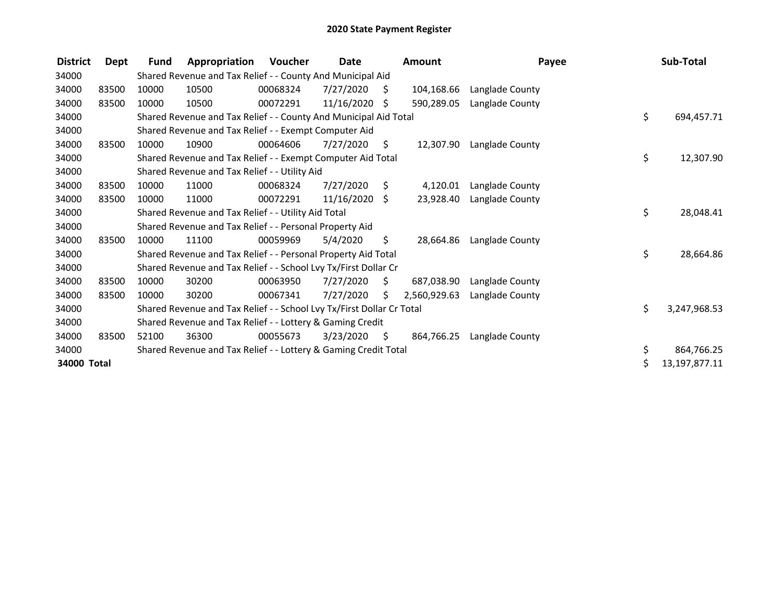| <b>District</b> | Dept  | <b>Fund</b> | Appropriation                                                         | Voucher  | Date       |    | <b>Amount</b> | Payee           | Sub-Total          |
|-----------------|-------|-------------|-----------------------------------------------------------------------|----------|------------|----|---------------|-----------------|--------------------|
| 34000           |       |             | Shared Revenue and Tax Relief - - County And Municipal Aid            |          |            |    |               |                 |                    |
| 34000           | 83500 | 10000       | 10500                                                                 | 00068324 | 7/27/2020  | S  | 104,168.66    | Langlade County |                    |
| 34000           | 83500 | 10000       | 10500                                                                 | 00072291 | 11/16/2020 | Ŝ. | 590,289.05    | Langlade County |                    |
| 34000           |       |             | Shared Revenue and Tax Relief - - County And Municipal Aid Total      |          |            |    |               |                 | \$<br>694,457.71   |
| 34000           |       |             | Shared Revenue and Tax Relief - - Exempt Computer Aid                 |          |            |    |               |                 |                    |
| 34000           | 83500 | 10000       | 10900                                                                 | 00064606 | 7/27/2020  | \$ | 12,307.90     | Langlade County |                    |
| 34000           |       |             | Shared Revenue and Tax Relief - - Exempt Computer Aid Total           |          |            |    |               |                 | \$<br>12,307.90    |
| 34000           |       |             | Shared Revenue and Tax Relief - - Utility Aid                         |          |            |    |               |                 |                    |
| 34000           | 83500 | 10000       | 11000                                                                 | 00068324 | 7/27/2020  | \$ | 4,120.01      | Langlade County |                    |
| 34000           | 83500 | 10000       | 11000                                                                 | 00072291 | 11/16/2020 | Ŝ. | 23,928.40     | Langlade County |                    |
| 34000           |       |             | Shared Revenue and Tax Relief - - Utility Aid Total                   |          |            |    |               |                 | \$<br>28,048.41    |
| 34000           |       |             | Shared Revenue and Tax Relief - - Personal Property Aid               |          |            |    |               |                 |                    |
| 34000           | 83500 | 10000       | 11100                                                                 | 00059969 | 5/4/2020   | \$ | 28.664.86     | Langlade County |                    |
| 34000           |       |             | Shared Revenue and Tax Relief - - Personal Property Aid Total         |          |            |    |               |                 | \$<br>28,664.86    |
| 34000           |       |             | Shared Revenue and Tax Relief - - School Lvy Tx/First Dollar Cr       |          |            |    |               |                 |                    |
| 34000           | 83500 | 10000       | 30200                                                                 | 00063950 | 7/27/2020  | \$ | 687,038.90    | Langlade County |                    |
| 34000           | 83500 | 10000       | 30200                                                                 | 00067341 | 7/27/2020  | S. | 2,560,929.63  | Langlade County |                    |
| 34000           |       |             | Shared Revenue and Tax Relief - - School Lvy Tx/First Dollar Cr Total |          |            |    |               |                 | \$<br>3,247,968.53 |
| 34000           |       |             | Shared Revenue and Tax Relief - - Lottery & Gaming Credit             |          |            |    |               |                 |                    |
| 34000           | 83500 | 52100       | 36300                                                                 | 00055673 | 3/23/2020  | \$ | 864,766.25    | Langlade County |                    |
| 34000           |       |             | Shared Revenue and Tax Relief - - Lottery & Gaming Credit Total       |          |            |    |               |                 | \$<br>864,766.25   |
| 34000 Total     |       |             |                                                                       |          |            |    |               |                 | 13,197,877.11      |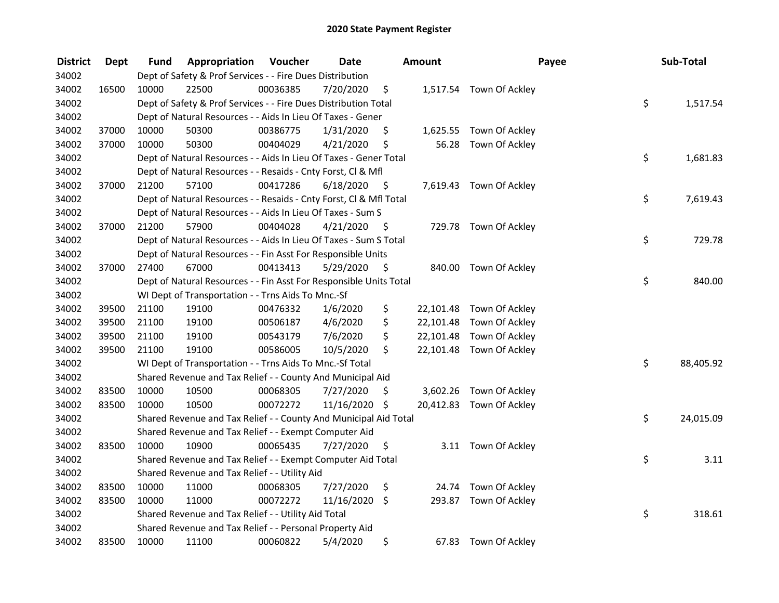| <b>District</b> | Dept  | Fund  | Appropriation                                                      | Voucher  | <b>Date</b> |      | <b>Amount</b> | Payee                    | Sub-Total       |
|-----------------|-------|-------|--------------------------------------------------------------------|----------|-------------|------|---------------|--------------------------|-----------------|
| 34002           |       |       | Dept of Safety & Prof Services - - Fire Dues Distribution          |          |             |      |               |                          |                 |
| 34002           | 16500 | 10000 | 22500                                                              | 00036385 | 7/20/2020   | \$   |               | 1,517.54 Town Of Ackley  |                 |
| 34002           |       |       | Dept of Safety & Prof Services - - Fire Dues Distribution Total    |          |             |      |               |                          | \$<br>1,517.54  |
| 34002           |       |       | Dept of Natural Resources - - Aids In Lieu Of Taxes - Gener        |          |             |      |               |                          |                 |
| 34002           | 37000 | 10000 | 50300                                                              | 00386775 | 1/31/2020   | \$   | 1,625.55      | Town Of Ackley           |                 |
| 34002           | 37000 | 10000 | 50300                                                              | 00404029 | 4/21/2020   | \$   | 56.28         | Town Of Ackley           |                 |
| 34002           |       |       | Dept of Natural Resources - - Aids In Lieu Of Taxes - Gener Total  |          |             |      |               |                          | \$<br>1,681.83  |
| 34002           |       |       | Dept of Natural Resources - - Resaids - Cnty Forst, Cl & Mfl       |          |             |      |               |                          |                 |
| 34002           | 37000 | 21200 | 57100                                                              | 00417286 | 6/18/2020   | - \$ |               | 7,619.43 Town Of Ackley  |                 |
| 34002           |       |       | Dept of Natural Resources - - Resaids - Cnty Forst, Cl & Mfl Total |          |             |      |               |                          | \$<br>7,619.43  |
| 34002           |       |       | Dept of Natural Resources - - Aids In Lieu Of Taxes - Sum S        |          |             |      |               |                          |                 |
| 34002           | 37000 | 21200 | 57900                                                              | 00404028 | 4/21/2020   | -\$  |               | 729.78 Town Of Ackley    |                 |
| 34002           |       |       | Dept of Natural Resources - - Aids In Lieu Of Taxes - Sum S Total  |          |             |      |               |                          | \$<br>729.78    |
| 34002           |       |       | Dept of Natural Resources - - Fin Asst For Responsible Units       |          |             |      |               |                          |                 |
| 34002           | 37000 | 27400 | 67000                                                              | 00413413 | 5/29/2020   | \$   |               | 840.00 Town Of Ackley    |                 |
| 34002           |       |       | Dept of Natural Resources - - Fin Asst For Responsible Units Total |          |             |      |               |                          | \$<br>840.00    |
| 34002           |       |       | WI Dept of Transportation - - Trns Aids To Mnc.-Sf                 |          |             |      |               |                          |                 |
| 34002           | 39500 | 21100 | 19100                                                              | 00476332 | 1/6/2020    | \$   | 22,101.48     | Town Of Ackley           |                 |
| 34002           | 39500 | 21100 | 19100                                                              | 00506187 | 4/6/2020    | \$   | 22,101.48     | Town Of Ackley           |                 |
| 34002           | 39500 | 21100 | 19100                                                              | 00543179 | 7/6/2020    | \$   | 22,101.48     | Town Of Ackley           |                 |
| 34002           | 39500 | 21100 | 19100                                                              | 00586005 | 10/5/2020   | \$   |               | 22,101.48 Town Of Ackley |                 |
| 34002           |       |       | WI Dept of Transportation - - Trns Aids To Mnc.-Sf Total           |          |             |      |               |                          | \$<br>88,405.92 |
| 34002           |       |       | Shared Revenue and Tax Relief - - County And Municipal Aid         |          |             |      |               |                          |                 |
| 34002           | 83500 | 10000 | 10500                                                              | 00068305 | 7/27/2020   | -S   | 3,602.26      | Town Of Ackley           |                 |
| 34002           | 83500 | 10000 | 10500                                                              | 00072272 | 11/16/2020  | - \$ |               | 20,412.83 Town Of Ackley |                 |
| 34002           |       |       | Shared Revenue and Tax Relief - - County And Municipal Aid Total   |          |             |      |               |                          | \$<br>24,015.09 |
| 34002           |       |       | Shared Revenue and Tax Relief - - Exempt Computer Aid              |          |             |      |               |                          |                 |
| 34002           | 83500 | 10000 | 10900                                                              | 00065435 | 7/27/2020   | \$   |               | 3.11 Town Of Ackley      |                 |
| 34002           |       |       | Shared Revenue and Tax Relief - - Exempt Computer Aid Total        |          |             |      |               |                          | \$<br>3.11      |
| 34002           |       |       | Shared Revenue and Tax Relief - - Utility Aid                      |          |             |      |               |                          |                 |
| 34002           | 83500 | 10000 | 11000                                                              | 00068305 | 7/27/2020   | \$   | 24.74         | Town Of Ackley           |                 |
| 34002           | 83500 | 10000 | 11000                                                              | 00072272 | 11/16/2020  | \$   |               | 293.87 Town Of Ackley    |                 |
| 34002           |       |       | Shared Revenue and Tax Relief - - Utility Aid Total                |          |             |      |               |                          | \$<br>318.61    |
| 34002           |       |       | Shared Revenue and Tax Relief - - Personal Property Aid            |          |             |      |               |                          |                 |
| 34002           | 83500 | 10000 | 11100                                                              | 00060822 | 5/4/2020    | \$   | 67.83         | Town Of Ackley           |                 |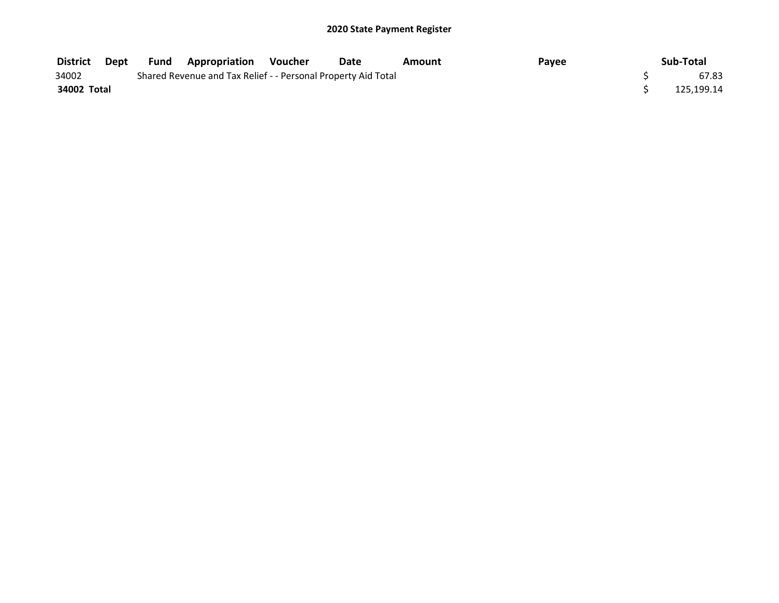| <b>District</b> | Dept | <b>Fund Appropriation Voucher</b>                             | <b>Date</b> | Amount | Payee | Sub-Total  |
|-----------------|------|---------------------------------------------------------------|-------------|--------|-------|------------|
| 34002           |      | Shared Revenue and Tax Relief - - Personal Property Aid Total |             |        |       | 67.83      |
| 34002 Total     |      |                                                               |             |        |       | 125.199.14 |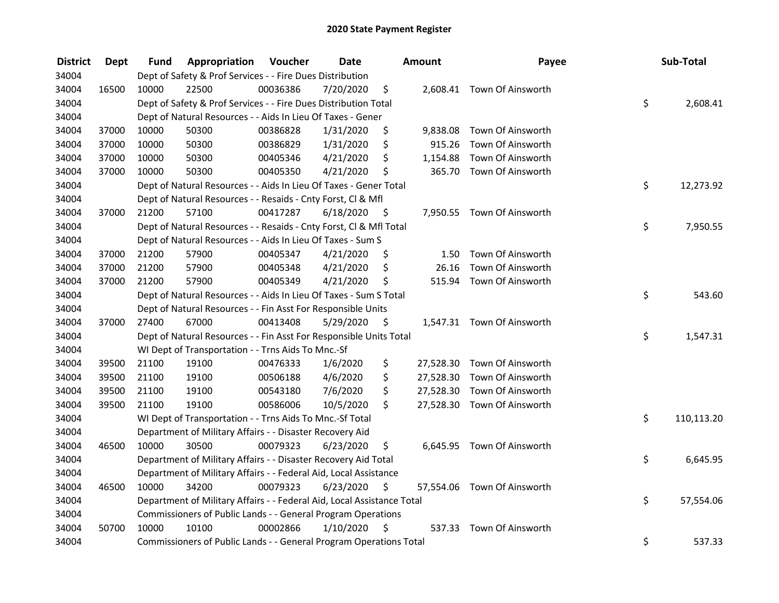| <b>District</b> | <b>Dept</b> | Fund  | Appropriation                                                          | Voucher  | <b>Date</b> |         | <b>Amount</b> | Payee                       | Sub-Total        |
|-----------------|-------------|-------|------------------------------------------------------------------------|----------|-------------|---------|---------------|-----------------------------|------------------|
| 34004           |             |       | Dept of Safety & Prof Services - - Fire Dues Distribution              |          |             |         |               |                             |                  |
| 34004           | 16500       | 10000 | 22500                                                                  | 00036386 | 7/20/2020   | \$      |               | 2,608.41 Town Of Ainsworth  |                  |
| 34004           |             |       | Dept of Safety & Prof Services - - Fire Dues Distribution Total        |          |             |         |               |                             | \$<br>2,608.41   |
| 34004           |             |       | Dept of Natural Resources - - Aids In Lieu Of Taxes - Gener            |          |             |         |               |                             |                  |
| 34004           | 37000       | 10000 | 50300                                                                  | 00386828 | 1/31/2020   | \$      | 9,838.08      | Town Of Ainsworth           |                  |
| 34004           | 37000       | 10000 | 50300                                                                  | 00386829 | 1/31/2020   | \$      | 915.26        | Town Of Ainsworth           |                  |
| 34004           | 37000       | 10000 | 50300                                                                  | 00405346 | 4/21/2020   | \$      | 1,154.88      | Town Of Ainsworth           |                  |
| 34004           | 37000       | 10000 | 50300                                                                  | 00405350 | 4/21/2020   | \$      | 365.70        | Town Of Ainsworth           |                  |
| 34004           |             |       | Dept of Natural Resources - - Aids In Lieu Of Taxes - Gener Total      |          |             |         |               |                             | \$<br>12,273.92  |
| 34004           |             |       | Dept of Natural Resources - - Resaids - Cnty Forst, CI & Mfl           |          |             |         |               |                             |                  |
| 34004           | 37000       | 21200 | 57100                                                                  | 00417287 | 6/18/2020   | - \$    |               | 7,950.55 Town Of Ainsworth  |                  |
| 34004           |             |       | Dept of Natural Resources - - Resaids - Cnty Forst, CI & Mfl Total     |          |             |         |               |                             | \$<br>7,950.55   |
| 34004           |             |       | Dept of Natural Resources - - Aids In Lieu Of Taxes - Sum S            |          |             |         |               |                             |                  |
| 34004           | 37000       | 21200 | 57900                                                                  | 00405347 | 4/21/2020   | \$,     | 1.50          | Town Of Ainsworth           |                  |
| 34004           | 37000       | 21200 | 57900                                                                  | 00405348 | 4/21/2020   | \$      | 26.16         | Town Of Ainsworth           |                  |
| 34004           | 37000       | 21200 | 57900                                                                  | 00405349 | 4/21/2020   | \$      | 515.94        | Town Of Ainsworth           |                  |
| 34004           |             |       | Dept of Natural Resources - - Aids In Lieu Of Taxes - Sum S Total      |          |             |         |               |                             | \$<br>543.60     |
| 34004           |             |       | Dept of Natural Resources - - Fin Asst For Responsible Units           |          |             |         |               |                             |                  |
| 34004           | 37000       | 27400 | 67000                                                                  | 00413408 | 5/29/2020   | $\zeta$ |               | 1,547.31 Town Of Ainsworth  |                  |
| 34004           |             |       | Dept of Natural Resources - - Fin Asst For Responsible Units Total     |          |             |         |               |                             | \$<br>1,547.31   |
| 34004           |             |       | WI Dept of Transportation - - Trns Aids To Mnc.-Sf                     |          |             |         |               |                             |                  |
| 34004           | 39500       | 21100 | 19100                                                                  | 00476333 | 1/6/2020    | \$      |               | 27,528.30 Town Of Ainsworth |                  |
| 34004           | 39500       | 21100 | 19100                                                                  | 00506188 | 4/6/2020    | \$      |               | 27,528.30 Town Of Ainsworth |                  |
| 34004           | 39500       | 21100 | 19100                                                                  | 00543180 | 7/6/2020    | \$      |               | 27,528.30 Town Of Ainsworth |                  |
| 34004           | 39500       | 21100 | 19100                                                                  | 00586006 | 10/5/2020   | \$      |               | 27,528.30 Town Of Ainsworth |                  |
| 34004           |             |       | WI Dept of Transportation - - Trns Aids To Mnc.-Sf Total               |          |             |         |               |                             | \$<br>110,113.20 |
| 34004           |             |       | Department of Military Affairs - - Disaster Recovery Aid               |          |             |         |               |                             |                  |
| 34004           | 46500       | 10000 | 30500                                                                  | 00079323 | 6/23/2020   | \$      |               | 6,645.95 Town Of Ainsworth  |                  |
| 34004           |             |       | Department of Military Affairs - - Disaster Recovery Aid Total         |          |             |         |               |                             | \$<br>6,645.95   |
| 34004           |             |       | Department of Military Affairs - - Federal Aid, Local Assistance       |          |             |         |               |                             |                  |
| 34004           | 46500       | 10000 | 34200                                                                  | 00079323 | 6/23/2020   | \$      |               | 57,554.06 Town Of Ainsworth |                  |
| 34004           |             |       | Department of Military Affairs - - Federal Aid, Local Assistance Total |          |             |         |               |                             | \$<br>57,554.06  |
| 34004           |             |       | Commissioners of Public Lands - - General Program Operations           |          |             |         |               |                             |                  |
| 34004           | 50700       | 10000 | 10100                                                                  | 00002866 | 1/10/2020   | - \$    | 537.33        | Town Of Ainsworth           |                  |
| 34004           |             |       | Commissioners of Public Lands - - General Program Operations Total     |          |             |         |               |                             | \$<br>537.33     |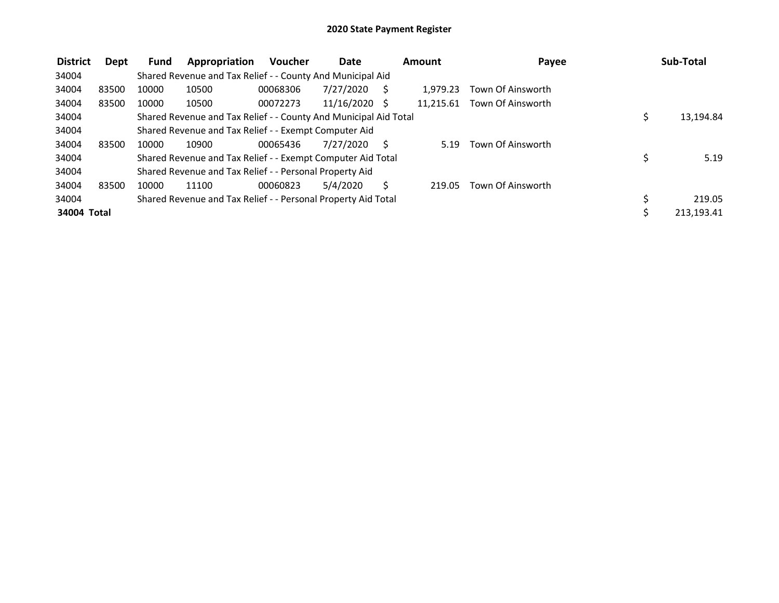| <b>District</b> | Dept  | Fund  | Appropriation                                                    | <b>Voucher</b> | <b>Date</b> |    | Amount    | Payee             | Sub-Total       |
|-----------------|-------|-------|------------------------------------------------------------------|----------------|-------------|----|-----------|-------------------|-----------------|
| 34004           |       |       | Shared Revenue and Tax Relief - - County And Municipal Aid       |                |             |    |           |                   |                 |
| 34004           | 83500 | 10000 | 10500                                                            | 00068306       | 7/27/2020   |    | 1.979.23  | Town Of Ainsworth |                 |
| 34004           | 83500 | 10000 | 10500                                                            | 00072273       | 11/16/2020  | -S | 11.215.61 | Town Of Ainsworth |                 |
| 34004           |       |       | Shared Revenue and Tax Relief - - County And Municipal Aid Total |                |             |    |           |                   | \$<br>13,194.84 |
| 34004           |       |       | Shared Revenue and Tax Relief - - Exempt Computer Aid            |                |             |    |           |                   |                 |
| 34004           | 83500 | 10000 | 10900                                                            | 00065436       | 7/27/2020   |    | 5.19      | Town Of Ainsworth |                 |
| 34004           |       |       | Shared Revenue and Tax Relief - - Exempt Computer Aid Total      |                |             |    |           |                   | \$<br>5.19      |
| 34004           |       |       | Shared Revenue and Tax Relief - - Personal Property Aid          |                |             |    |           |                   |                 |
| 34004           | 83500 | 10000 | 11100                                                            | 00060823       | 5/4/2020    |    | 219.05    | Town Of Ainsworth |                 |
| 34004           |       |       | Shared Revenue and Tax Relief - - Personal Property Aid Total    |                |             |    |           |                   | 219.05          |
| 34004 Total     |       |       |                                                                  |                |             |    |           |                   | 213,193.41      |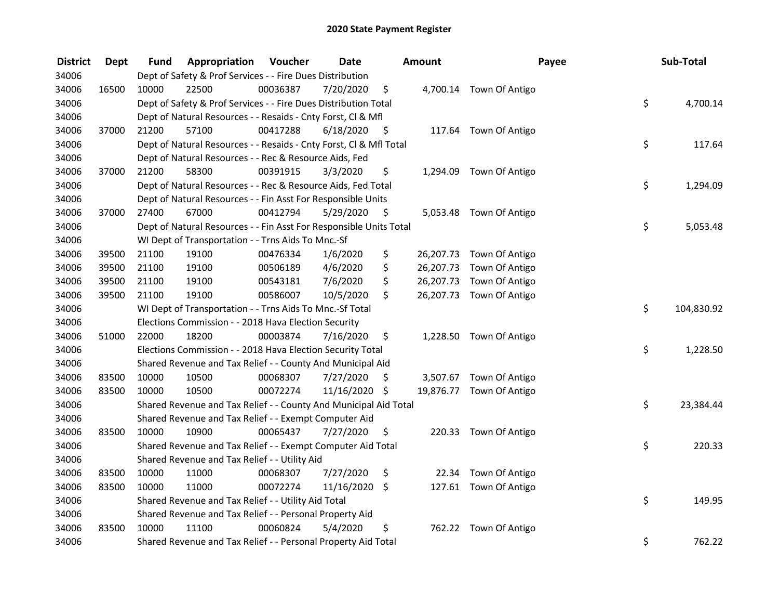| <b>District</b> | <b>Dept</b> | Fund  | Appropriation                                                      | Voucher  | <b>Date</b>   |      | Amount | Payee                    | Sub-Total        |
|-----------------|-------------|-------|--------------------------------------------------------------------|----------|---------------|------|--------|--------------------------|------------------|
| 34006           |             |       | Dept of Safety & Prof Services - - Fire Dues Distribution          |          |               |      |        |                          |                  |
| 34006           | 16500       | 10000 | 22500                                                              | 00036387 | 7/20/2020     | \$   |        | 4,700.14 Town Of Antigo  |                  |
| 34006           |             |       | Dept of Safety & Prof Services - - Fire Dues Distribution Total    |          |               |      |        |                          | \$<br>4,700.14   |
| 34006           |             |       | Dept of Natural Resources - - Resaids - Cnty Forst, Cl & Mfl       |          |               |      |        |                          |                  |
| 34006           | 37000       | 21200 | 57100                                                              | 00417288 | 6/18/2020     | - \$ |        | 117.64 Town Of Antigo    |                  |
| 34006           |             |       | Dept of Natural Resources - - Resaids - Cnty Forst, Cl & Mfl Total |          |               |      |        |                          | \$<br>117.64     |
| 34006           |             |       | Dept of Natural Resources - - Rec & Resource Aids, Fed             |          |               |      |        |                          |                  |
| 34006           | 37000       | 21200 | 58300                                                              | 00391915 | 3/3/2020      | \$   |        | 1,294.09 Town Of Antigo  |                  |
| 34006           |             |       | Dept of Natural Resources - - Rec & Resource Aids, Fed Total       |          |               |      |        |                          | \$<br>1,294.09   |
| 34006           |             |       | Dept of Natural Resources - - Fin Asst For Responsible Units       |          |               |      |        |                          |                  |
| 34006           | 37000       | 27400 | 67000                                                              | 00412794 | 5/29/2020     | \$   |        | 5,053.48 Town Of Antigo  |                  |
| 34006           |             |       | Dept of Natural Resources - - Fin Asst For Responsible Units Total |          |               |      |        |                          | \$<br>5,053.48   |
| 34006           |             |       | WI Dept of Transportation - - Trns Aids To Mnc.-Sf                 |          |               |      |        |                          |                  |
| 34006           | 39500       | 21100 | 19100                                                              | 00476334 | 1/6/2020      | \$   |        | 26,207.73 Town Of Antigo |                  |
| 34006           | 39500       | 21100 | 19100                                                              | 00506189 | 4/6/2020      | \$   |        | 26,207.73 Town Of Antigo |                  |
| 34006           | 39500       | 21100 | 19100                                                              | 00543181 | 7/6/2020      | \$   |        | 26,207.73 Town Of Antigo |                  |
| 34006           | 39500       | 21100 | 19100                                                              | 00586007 | 10/5/2020     | \$   |        | 26,207.73 Town Of Antigo |                  |
| 34006           |             |       | WI Dept of Transportation - - Trns Aids To Mnc.-Sf Total           |          |               |      |        |                          | \$<br>104,830.92 |
| 34006           |             |       | Elections Commission - - 2018 Hava Election Security               |          |               |      |        |                          |                  |
| 34006           | 51000       | 22000 | 18200                                                              | 00003874 | 7/16/2020     | \$   |        | 1,228.50 Town Of Antigo  |                  |
| 34006           |             |       | Elections Commission - - 2018 Hava Election Security Total         |          |               |      |        |                          | \$<br>1,228.50   |
| 34006           |             |       | Shared Revenue and Tax Relief - - County And Municipal Aid         |          |               |      |        |                          |                  |
| 34006           | 83500       | 10000 | 10500                                                              | 00068307 | 7/27/2020     | \$.  |        | 3,507.67 Town Of Antigo  |                  |
| 34006           | 83500       | 10000 | 10500                                                              | 00072274 | 11/16/2020 \$ |      |        | 19,876.77 Town Of Antigo |                  |
| 34006           |             |       | Shared Revenue and Tax Relief - - County And Municipal Aid Total   |          |               |      |        |                          | \$<br>23,384.44  |
| 34006           |             |       | Shared Revenue and Tax Relief - - Exempt Computer Aid              |          |               |      |        |                          |                  |
| 34006           | 83500       | 10000 | 10900                                                              | 00065437 | 7/27/2020     | \$   |        | 220.33 Town Of Antigo    |                  |
| 34006           |             |       | Shared Revenue and Tax Relief - - Exempt Computer Aid Total        |          |               |      |        |                          | \$<br>220.33     |
| 34006           |             |       | Shared Revenue and Tax Relief - - Utility Aid                      |          |               |      |        |                          |                  |
| 34006           | 83500       | 10000 | 11000                                                              | 00068307 | 7/27/2020     | \$   | 22.34  | Town Of Antigo           |                  |
| 34006           | 83500       | 10000 | 11000                                                              | 00072274 | 11/16/2020    | \$   |        | 127.61 Town Of Antigo    |                  |
| 34006           |             |       | Shared Revenue and Tax Relief - - Utility Aid Total                |          |               |      |        |                          | \$<br>149.95     |
| 34006           |             |       | Shared Revenue and Tax Relief - - Personal Property Aid            |          |               |      |        |                          |                  |
| 34006           | 83500       | 10000 | 11100                                                              | 00060824 | 5/4/2020      | \$   |        | 762.22 Town Of Antigo    |                  |
| 34006           |             |       | Shared Revenue and Tax Relief - - Personal Property Aid Total      |          |               |      |        |                          | \$<br>762.22     |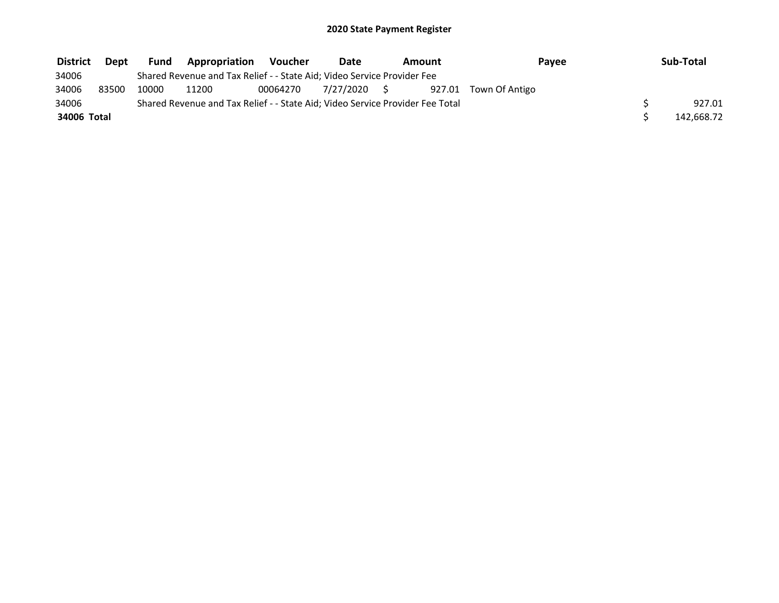| <b>District</b> | Dept  | <b>Fund</b> | <b>Appropriation</b>                                                          | Voucher  | Date         | Amount | Payee          | Sub-Total  |
|-----------------|-------|-------------|-------------------------------------------------------------------------------|----------|--------------|--------|----------------|------------|
| 34006           |       |             | Shared Revenue and Tax Relief - - State Aid; Video Service Provider Fee       |          |              |        |                |            |
| 34006           | 83500 | 10000       | 11200                                                                         | 00064270 | 7/27/2020 \$ | 927.01 | Town Of Antigo |            |
| 34006           |       |             | Shared Revenue and Tax Relief - - State Aid; Video Service Provider Fee Total |          |              |        |                | 927.01     |
| 34006 Total     |       |             |                                                                               |          |              |        |                | 142,668.72 |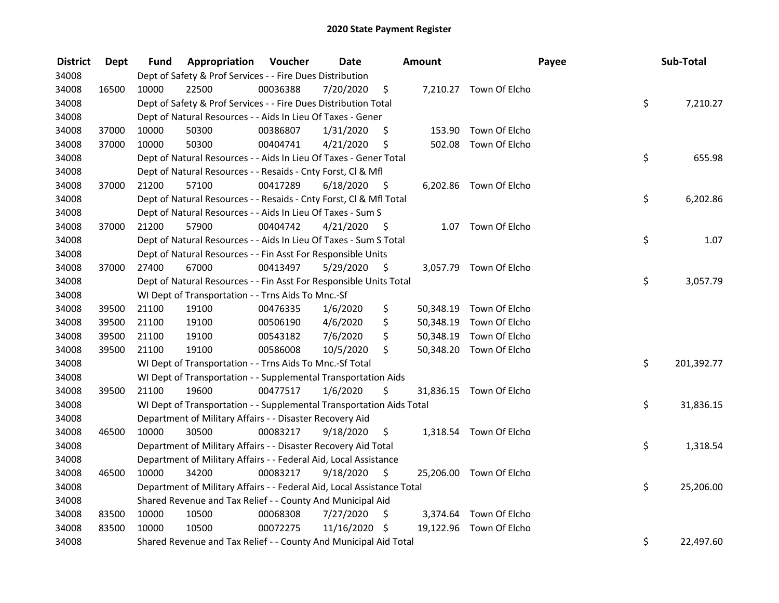| <b>District</b> | Dept  | Fund  | Appropriation                                                          | Voucher  | <b>Date</b>   |      | Amount    |                         | Payee | Sub-Total |            |
|-----------------|-------|-------|------------------------------------------------------------------------|----------|---------------|------|-----------|-------------------------|-------|-----------|------------|
| 34008           |       |       | Dept of Safety & Prof Services - - Fire Dues Distribution              |          |               |      |           |                         |       |           |            |
| 34008           | 16500 | 10000 | 22500                                                                  | 00036388 | 7/20/2020     | \$   |           | 7,210.27 Town Of Elcho  |       |           |            |
| 34008           |       |       | Dept of Safety & Prof Services - - Fire Dues Distribution Total        |          |               |      |           |                         |       | \$        | 7,210.27   |
| 34008           |       |       | Dept of Natural Resources - - Aids In Lieu Of Taxes - Gener            |          |               |      |           |                         |       |           |            |
| 34008           | 37000 | 10000 | 50300                                                                  | 00386807 | 1/31/2020     | \$   | 153.90    | Town Of Elcho           |       |           |            |
| 34008           | 37000 | 10000 | 50300                                                                  | 00404741 | 4/21/2020     | \$   | 502.08    | Town Of Elcho           |       |           |            |
| 34008           |       |       | Dept of Natural Resources - - Aids In Lieu Of Taxes - Gener Total      |          |               |      |           |                         |       | \$        | 655.98     |
| 34008           |       |       | Dept of Natural Resources - - Resaids - Cnty Forst, Cl & Mfl           |          |               |      |           |                         |       |           |            |
| 34008           | 37000 | 21200 | 57100                                                                  | 00417289 | 6/18/2020     | - \$ |           | 6,202.86 Town Of Elcho  |       |           |            |
| 34008           |       |       | Dept of Natural Resources - - Resaids - Cnty Forst, Cl & Mfl Total     |          |               |      |           |                         |       | \$        | 6,202.86   |
| 34008           |       |       | Dept of Natural Resources - - Aids In Lieu Of Taxes - Sum S            |          |               |      |           |                         |       |           |            |
| 34008           | 37000 | 21200 | 57900                                                                  | 00404742 | 4/21/2020     | - \$ |           | 1.07 Town Of Elcho      |       |           |            |
| 34008           |       |       | Dept of Natural Resources - - Aids In Lieu Of Taxes - Sum S Total      |          |               |      |           |                         |       | \$        | 1.07       |
| 34008           |       |       | Dept of Natural Resources - - Fin Asst For Responsible Units           |          |               |      |           |                         |       |           |            |
| 34008           | 37000 | 27400 | 67000                                                                  | 00413497 | 5/29/2020     | \$   |           | 3,057.79 Town Of Elcho  |       |           |            |
| 34008           |       |       | Dept of Natural Resources - - Fin Asst For Responsible Units Total     |          |               |      |           |                         |       | \$        | 3,057.79   |
| 34008           |       |       | WI Dept of Transportation - - Trns Aids To Mnc.-Sf                     |          |               |      |           |                         |       |           |            |
| 34008           | 39500 | 21100 | 19100                                                                  | 00476335 | 1/6/2020      | \$   | 50,348.19 | Town Of Elcho           |       |           |            |
| 34008           | 39500 | 21100 | 19100                                                                  | 00506190 | 4/6/2020      | \$   |           | 50,348.19 Town Of Elcho |       |           |            |
| 34008           | 39500 | 21100 | 19100                                                                  | 00543182 | 7/6/2020      | \$   |           | 50,348.19 Town Of Elcho |       |           |            |
| 34008           | 39500 | 21100 | 19100                                                                  | 00586008 | 10/5/2020     | \$   |           | 50,348.20 Town Of Elcho |       |           |            |
| 34008           |       |       | WI Dept of Transportation - - Trns Aids To Mnc.-Sf Total               |          |               |      |           |                         |       | \$        | 201,392.77 |
| 34008           |       |       | WI Dept of Transportation - - Supplemental Transportation Aids         |          |               |      |           |                         |       |           |            |
| 34008           | 39500 | 21100 | 19600                                                                  | 00477517 | 1/6/2020      | \$   |           | 31,836.15 Town Of Elcho |       |           |            |
| 34008           |       |       | WI Dept of Transportation - - Supplemental Transportation Aids Total   |          |               |      |           |                         |       | \$        | 31,836.15  |
| 34008           |       |       | Department of Military Affairs - - Disaster Recovery Aid               |          |               |      |           |                         |       |           |            |
| 34008           | 46500 | 10000 | 30500                                                                  | 00083217 | 9/18/2020     | \$   |           | 1,318.54 Town Of Elcho  |       |           |            |
| 34008           |       |       | Department of Military Affairs - - Disaster Recovery Aid Total         |          |               |      |           |                         |       | \$        | 1,318.54   |
| 34008           |       |       | Department of Military Affairs - - Federal Aid, Local Assistance       |          |               |      |           |                         |       |           |            |
| 34008           | 46500 | 10000 | 34200                                                                  | 00083217 | 9/18/2020     | \$   |           | 25,206.00 Town Of Elcho |       |           |            |
| 34008           |       |       | Department of Military Affairs - - Federal Aid, Local Assistance Total |          |               |      |           |                         |       | \$        | 25,206.00  |
| 34008           |       |       | Shared Revenue and Tax Relief - - County And Municipal Aid             |          |               |      |           |                         |       |           |            |
| 34008           | 83500 | 10000 | 10500                                                                  | 00068308 | 7/27/2020     | \$   |           | 3,374.64 Town Of Elcho  |       |           |            |
| 34008           | 83500 | 10000 | 10500                                                                  | 00072275 | 11/16/2020 \$ |      |           | 19,122.96 Town Of Elcho |       |           |            |
| 34008           |       |       | Shared Revenue and Tax Relief - - County And Municipal Aid Total       |          |               |      |           |                         |       | \$        | 22,497.60  |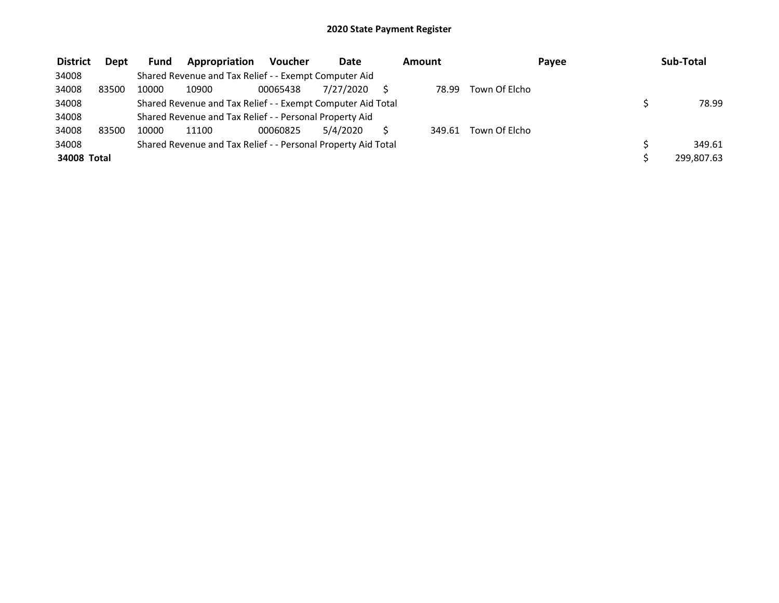| <b>District</b> | Dept  | <b>Fund</b> | Appropriation                                                 | <b>Voucher</b> | Date      | Amount |               | Payee | Sub-Total  |
|-----------------|-------|-------------|---------------------------------------------------------------|----------------|-----------|--------|---------------|-------|------------|
| 34008           |       |             | Shared Revenue and Tax Relief - - Exempt Computer Aid         |                |           |        |               |       |            |
| 34008           | 83500 | 10000       | 10900                                                         | 00065438       | 7/27/2020 | 78.99  | Town Of Elcho |       |            |
| 34008           |       |             | Shared Revenue and Tax Relief - - Exempt Computer Aid Total   |                |           |        |               |       | 78.99      |
| 34008           |       |             | Shared Revenue and Tax Relief - - Personal Property Aid       |                |           |        |               |       |            |
| 34008           | 83500 | 10000       | 11100                                                         | 00060825       | 5/4/2020  | 349.61 | Town Of Elcho |       |            |
| 34008           |       |             | Shared Revenue and Tax Relief - - Personal Property Aid Total |                |           |        |               |       | 349.61     |
| 34008 Total     |       |             |                                                               |                |           |        |               |       | 299.807.63 |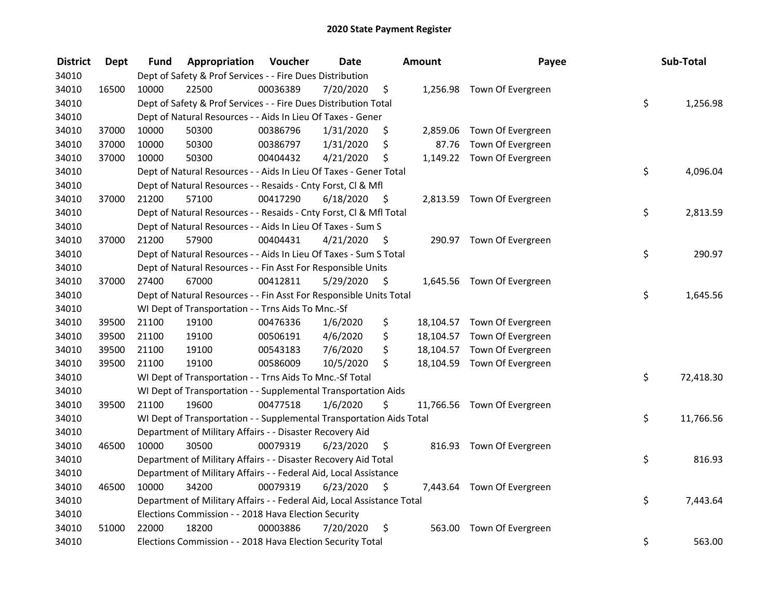| <b>District</b> | <b>Dept</b> | Fund  | Appropriation                                                          | Voucher  | <b>Date</b> |      | Amount   | Payee                       | Sub-Total       |
|-----------------|-------------|-------|------------------------------------------------------------------------|----------|-------------|------|----------|-----------------------------|-----------------|
| 34010           |             |       | Dept of Safety & Prof Services - - Fire Dues Distribution              |          |             |      |          |                             |                 |
| 34010           | 16500       | 10000 | 22500                                                                  | 00036389 | 7/20/2020   | \$   |          | 1,256.98 Town Of Evergreen  |                 |
| 34010           |             |       | Dept of Safety & Prof Services - - Fire Dues Distribution Total        |          |             |      |          |                             | \$<br>1,256.98  |
| 34010           |             |       | Dept of Natural Resources - - Aids In Lieu Of Taxes - Gener            |          |             |      |          |                             |                 |
| 34010           | 37000       | 10000 | 50300                                                                  | 00386796 | 1/31/2020   | \$   | 2,859.06 | Town Of Evergreen           |                 |
| 34010           | 37000       | 10000 | 50300                                                                  | 00386797 | 1/31/2020   | \$   | 87.76    | Town Of Evergreen           |                 |
| 34010           | 37000       | 10000 | 50300                                                                  | 00404432 | 4/21/2020   | \$   |          | 1,149.22 Town Of Evergreen  |                 |
| 34010           |             |       | Dept of Natural Resources - - Aids In Lieu Of Taxes - Gener Total      |          |             |      |          |                             | \$<br>4,096.04  |
| 34010           |             |       | Dept of Natural Resources - - Resaids - Cnty Forst, Cl & Mfl           |          |             |      |          |                             |                 |
| 34010           | 37000       | 21200 | 57100                                                                  | 00417290 | 6/18/2020   | - \$ |          | 2,813.59 Town Of Evergreen  |                 |
| 34010           |             |       | Dept of Natural Resources - - Resaids - Cnty Forst, Cl & Mfl Total     |          |             |      |          |                             | \$<br>2,813.59  |
| 34010           |             |       | Dept of Natural Resources - - Aids In Lieu Of Taxes - Sum S            |          |             |      |          |                             |                 |
| 34010           | 37000       | 21200 | 57900                                                                  | 00404431 | 4/21/2020   | -\$  |          | 290.97 Town Of Evergreen    |                 |
| 34010           |             |       | Dept of Natural Resources - - Aids In Lieu Of Taxes - Sum S Total      |          |             |      |          |                             | \$<br>290.97    |
| 34010           |             |       | Dept of Natural Resources - - Fin Asst For Responsible Units           |          |             |      |          |                             |                 |
| 34010           | 37000       | 27400 | 67000                                                                  | 00412811 | 5/29/2020   | \$   |          | 1,645.56 Town Of Evergreen  |                 |
| 34010           |             |       | Dept of Natural Resources - - Fin Asst For Responsible Units Total     |          |             |      |          |                             | \$<br>1,645.56  |
| 34010           |             |       | WI Dept of Transportation - - Trns Aids To Mnc.-Sf                     |          |             |      |          |                             |                 |
| 34010           | 39500       | 21100 | 19100                                                                  | 00476336 | 1/6/2020    | \$   |          | 18,104.57 Town Of Evergreen |                 |
| 34010           | 39500       | 21100 | 19100                                                                  | 00506191 | 4/6/2020    | \$   |          | 18,104.57 Town Of Evergreen |                 |
| 34010           | 39500       | 21100 | 19100                                                                  | 00543183 | 7/6/2020    | \$   |          | 18,104.57 Town Of Evergreen |                 |
| 34010           | 39500       | 21100 | 19100                                                                  | 00586009 | 10/5/2020   | \$   |          | 18,104.59 Town Of Evergreen |                 |
| 34010           |             |       | WI Dept of Transportation - - Trns Aids To Mnc.-Sf Total               |          |             |      |          |                             | \$<br>72,418.30 |
| 34010           |             |       | WI Dept of Transportation - - Supplemental Transportation Aids         |          |             |      |          |                             |                 |
| 34010           | 39500       | 21100 | 19600                                                                  | 00477518 | 1/6/2020    | \$   |          | 11,766.56 Town Of Evergreen |                 |
| 34010           |             |       | WI Dept of Transportation - - Supplemental Transportation Aids Total   |          |             |      |          |                             | \$<br>11,766.56 |
| 34010           |             |       | Department of Military Affairs - - Disaster Recovery Aid               |          |             |      |          |                             |                 |
| 34010           | 46500       | 10000 | 30500                                                                  | 00079319 | 6/23/2020   | \$   |          | 816.93 Town Of Evergreen    |                 |
| 34010           |             |       | Department of Military Affairs - - Disaster Recovery Aid Total         |          |             |      |          |                             | \$<br>816.93    |
| 34010           |             |       | Department of Military Affairs - - Federal Aid, Local Assistance       |          |             |      |          |                             |                 |
| 34010           | 46500       | 10000 | 34200                                                                  | 00079319 | 6/23/2020   | \$   |          | 7,443.64 Town Of Evergreen  |                 |
| 34010           |             |       | Department of Military Affairs - - Federal Aid, Local Assistance Total |          |             |      |          |                             | \$<br>7,443.64  |
| 34010           |             |       | Elections Commission - - 2018 Hava Election Security                   |          |             |      |          |                             |                 |
| 34010           | 51000       | 22000 | 18200                                                                  | 00003886 | 7/20/2020   | \$   | 563.00   | Town Of Evergreen           |                 |
| 34010           |             |       | Elections Commission - - 2018 Hava Election Security Total             |          |             |      |          |                             | \$<br>563.00    |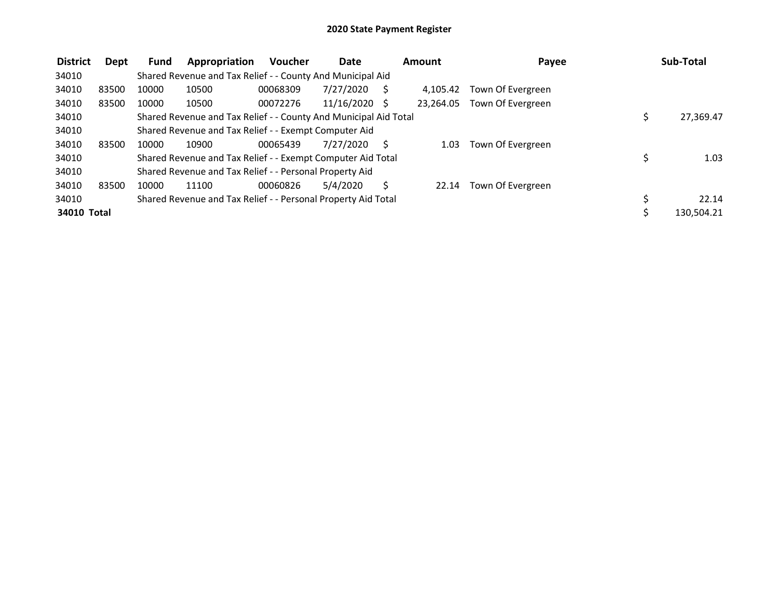| <b>District</b> | Dept  | Fund  | Appropriation                                                    | <b>Voucher</b> | <b>Date</b> |              | Amount    | Payee             | Sub-Total       |
|-----------------|-------|-------|------------------------------------------------------------------|----------------|-------------|--------------|-----------|-------------------|-----------------|
| 34010           |       |       | Shared Revenue and Tax Relief - - County And Municipal Aid       |                |             |              |           |                   |                 |
| 34010           | 83500 | 10000 | 10500                                                            | 00068309       | 7/27/2020   |              | 4.105.42  | Town Of Evergreen |                 |
| 34010           | 83500 | 10000 | 10500                                                            | 00072276       | 11/16/2020  | <sub>S</sub> | 23.264.05 | Town Of Evergreen |                 |
| 34010           |       |       | Shared Revenue and Tax Relief - - County And Municipal Aid Total |                |             |              |           |                   | \$<br>27,369.47 |
| 34010           |       |       | Shared Revenue and Tax Relief - - Exempt Computer Aid            |                |             |              |           |                   |                 |
| 34010           | 83500 | 10000 | 10900                                                            | 00065439       | 7/27/2020   |              | 1.03      | Town Of Evergreen |                 |
| 34010           |       |       | Shared Revenue and Tax Relief - - Exempt Computer Aid Total      |                |             |              |           |                   | \$<br>1.03      |
| 34010           |       |       | Shared Revenue and Tax Relief - - Personal Property Aid          |                |             |              |           |                   |                 |
| 34010           | 83500 | 10000 | 11100                                                            | 00060826       | 5/4/2020    |              | 22.14     | Town Of Evergreen |                 |
| 34010           |       |       | Shared Revenue and Tax Relief - - Personal Property Aid Total    |                |             |              |           |                   | 22.14           |
| 34010 Total     |       |       |                                                                  |                |             |              |           |                   | 130,504.21      |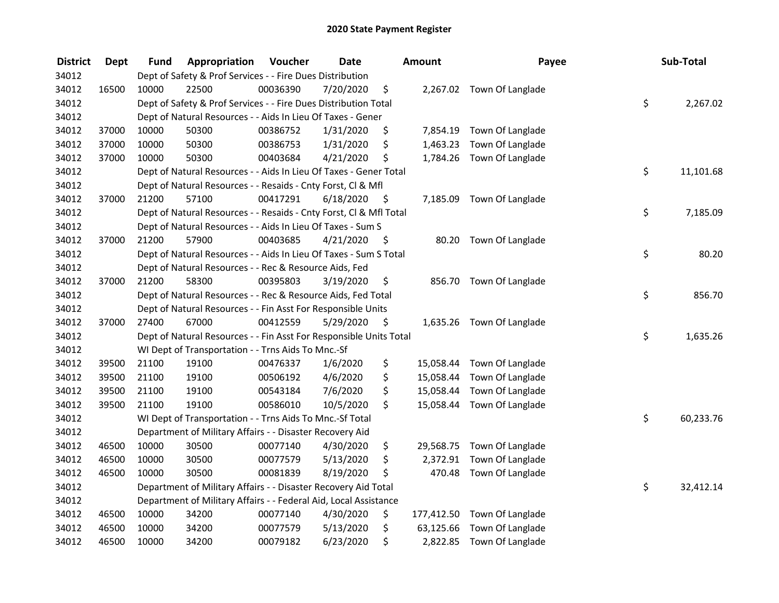| <b>District</b> | <b>Dept</b> | Fund  | Appropriation                                                      | Voucher  | <b>Date</b> |      | Amount    | Payee                       | Sub-Total       |
|-----------------|-------------|-------|--------------------------------------------------------------------|----------|-------------|------|-----------|-----------------------------|-----------------|
| 34012           |             |       | Dept of Safety & Prof Services - - Fire Dues Distribution          |          |             |      |           |                             |                 |
| 34012           | 16500       | 10000 | 22500                                                              | 00036390 | 7/20/2020   | \$   |           | 2,267.02 Town Of Langlade   |                 |
| 34012           |             |       | Dept of Safety & Prof Services - - Fire Dues Distribution Total    |          |             |      |           |                             | \$<br>2,267.02  |
| 34012           |             |       | Dept of Natural Resources - - Aids In Lieu Of Taxes - Gener        |          |             |      |           |                             |                 |
| 34012           | 37000       | 10000 | 50300                                                              | 00386752 | 1/31/2020   | \$   |           | 7,854.19 Town Of Langlade   |                 |
| 34012           | 37000       | 10000 | 50300                                                              | 00386753 | 1/31/2020   | \$   | 1,463.23  | Town Of Langlade            |                 |
| 34012           | 37000       | 10000 | 50300                                                              | 00403684 | 4/21/2020   | \$   |           | 1,784.26 Town Of Langlade   |                 |
| 34012           |             |       | Dept of Natural Resources - - Aids In Lieu Of Taxes - Gener Total  |          |             |      |           |                             | \$<br>11,101.68 |
| 34012           |             |       | Dept of Natural Resources - - Resaids - Cnty Forst, Cl & Mfl       |          |             |      |           |                             |                 |
| 34012           | 37000       | 21200 | 57100                                                              | 00417291 | 6/18/2020   | - \$ |           | 7,185.09 Town Of Langlade   |                 |
| 34012           |             |       | Dept of Natural Resources - - Resaids - Cnty Forst, Cl & Mfl Total |          |             |      |           |                             | \$<br>7,185.09  |
| 34012           |             |       | Dept of Natural Resources - - Aids In Lieu Of Taxes - Sum S        |          |             |      |           |                             |                 |
| 34012           | 37000       | 21200 | 57900                                                              | 00403685 | 4/21/2020   | -\$  | 80.20     | Town Of Langlade            |                 |
| 34012           |             |       | Dept of Natural Resources - - Aids In Lieu Of Taxes - Sum S Total  |          |             |      |           |                             | \$<br>80.20     |
| 34012           |             |       | Dept of Natural Resources - - Rec & Resource Aids, Fed             |          |             |      |           |                             |                 |
| 34012           | 37000       | 21200 | 58300                                                              | 00395803 | 3/19/2020   | \$.  | 856.70    | Town Of Langlade            |                 |
| 34012           |             |       | Dept of Natural Resources - - Rec & Resource Aids, Fed Total       |          |             |      |           |                             | \$<br>856.70    |
| 34012           |             |       | Dept of Natural Resources - - Fin Asst For Responsible Units       |          |             |      |           |                             |                 |
| 34012           | 37000       | 27400 | 67000                                                              | 00412559 | 5/29/2020   | \$   |           | 1,635.26 Town Of Langlade   |                 |
| 34012           |             |       | Dept of Natural Resources - - Fin Asst For Responsible Units Total |          |             |      |           |                             | \$<br>1,635.26  |
| 34012           |             |       | WI Dept of Transportation - - Trns Aids To Mnc.-Sf                 |          |             |      |           |                             |                 |
| 34012           | 39500       | 21100 | 19100                                                              | 00476337 | 1/6/2020    | \$   |           | 15,058.44 Town Of Langlade  |                 |
| 34012           | 39500       | 21100 | 19100                                                              | 00506192 | 4/6/2020    | \$   |           | 15,058.44 Town Of Langlade  |                 |
| 34012           | 39500       | 21100 | 19100                                                              | 00543184 | 7/6/2020    | \$   |           | 15,058.44 Town Of Langlade  |                 |
| 34012           | 39500       | 21100 | 19100                                                              | 00586010 | 10/5/2020   | \$   |           | 15,058.44 Town Of Langlade  |                 |
| 34012           |             |       | WI Dept of Transportation - - Trns Aids To Mnc.-Sf Total           |          |             |      |           |                             | \$<br>60,233.76 |
| 34012           |             |       | Department of Military Affairs - - Disaster Recovery Aid           |          |             |      |           |                             |                 |
| 34012           | 46500       | 10000 | 30500                                                              | 00077140 | 4/30/2020   | \$   |           | 29,568.75 Town Of Langlade  |                 |
| 34012           | 46500       | 10000 | 30500                                                              | 00077579 | 5/13/2020   | \$   | 2,372.91  | Town Of Langlade            |                 |
| 34012           | 46500       | 10000 | 30500                                                              | 00081839 | 8/19/2020   | \$   | 470.48    | Town Of Langlade            |                 |
| 34012           |             |       | Department of Military Affairs - - Disaster Recovery Aid Total     |          |             |      |           |                             | \$<br>32,412.14 |
| 34012           |             |       | Department of Military Affairs - - Federal Aid, Local Assistance   |          |             |      |           |                             |                 |
| 34012           | 46500       | 10000 | 34200                                                              | 00077140 | 4/30/2020   | \$   |           | 177,412.50 Town Of Langlade |                 |
| 34012           | 46500       | 10000 | 34200                                                              | 00077579 | 5/13/2020   | \$   | 63,125.66 | Town Of Langlade            |                 |
| 34012           | 46500       | 10000 | 34200                                                              | 00079182 | 6/23/2020   | \$   | 2,822.85  | Town Of Langlade            |                 |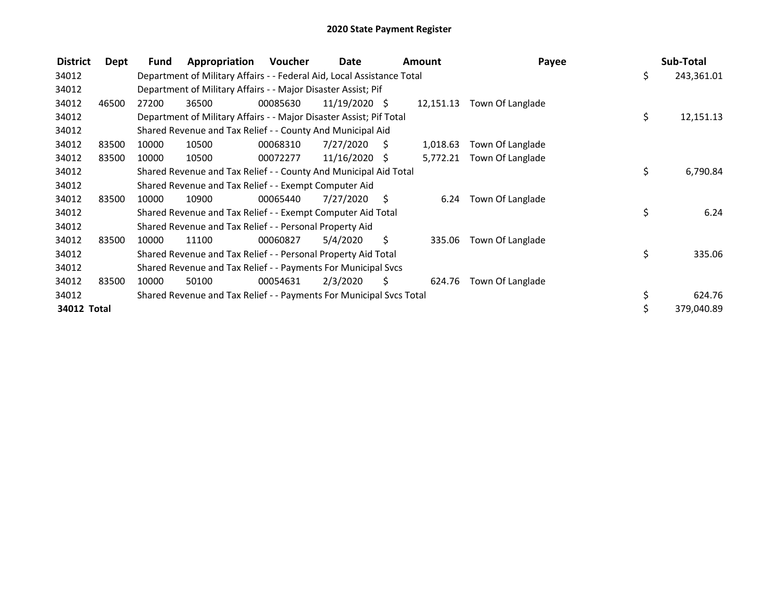| <b>District</b> | Dept  | <b>Fund</b> | Appropriation                                                          | Voucher  | Date            |                | <b>Amount</b> | Payee            | Sub-Total        |
|-----------------|-------|-------------|------------------------------------------------------------------------|----------|-----------------|----------------|---------------|------------------|------------------|
| 34012           |       |             | Department of Military Affairs - - Federal Aid, Local Assistance Total |          |                 |                |               |                  | \$<br>243,361.01 |
| 34012           |       |             | Department of Military Affairs - - Major Disaster Assist; Pif          |          |                 |                |               |                  |                  |
| 34012           | 46500 | 27200       | 36500                                                                  | 00085630 | $11/19/2020$ \$ |                | 12,151.13     | Town Of Langlade |                  |
| 34012           |       |             | Department of Military Affairs - - Major Disaster Assist; Pif Total    |          |                 |                |               |                  | \$<br>12,151.13  |
| 34012           |       |             | Shared Revenue and Tax Relief - - County And Municipal Aid             |          |                 |                |               |                  |                  |
| 34012           | 83500 | 10000       | 10500                                                                  | 00068310 | 7/27/2020       | $\ddot{\zeta}$ | 1,018.63      | Town Of Langlade |                  |
| 34012           | 83500 | 10000       | 10500                                                                  | 00072277 | $11/16/2020$ \$ |                | 5,772.21      | Town Of Langlade |                  |
| 34012           |       |             | Shared Revenue and Tax Relief - - County And Municipal Aid Total       |          |                 |                |               |                  | \$<br>6,790.84   |
| 34012           |       |             | Shared Revenue and Tax Relief - - Exempt Computer Aid                  |          |                 |                |               |                  |                  |
| 34012           | 83500 | 10000       | 10900                                                                  | 00065440 | 7/27/2020       | - S            | 6.24          | Town Of Langlade |                  |
| 34012           |       |             | Shared Revenue and Tax Relief - - Exempt Computer Aid Total            |          |                 |                |               |                  | \$<br>6.24       |
| 34012           |       |             | Shared Revenue and Tax Relief - - Personal Property Aid                |          |                 |                |               |                  |                  |
| 34012           | 83500 | 10000       | 11100                                                                  | 00060827 | 5/4/2020        | S              | 335.06        | Town Of Langlade |                  |
| 34012           |       |             | Shared Revenue and Tax Relief - - Personal Property Aid Total          |          |                 |                |               |                  | \$<br>335.06     |
| 34012           |       |             | Shared Revenue and Tax Relief - - Payments For Municipal Svcs          |          |                 |                |               |                  |                  |
| 34012           | 83500 | 10000       | 50100                                                                  | 00054631 | 2/3/2020        | S              | 624.76        | Town Of Langlade |                  |
| 34012           |       |             | Shared Revenue and Tax Relief - - Payments For Municipal Svcs Total    |          |                 |                |               |                  | \$<br>624.76     |
| 34012 Total     |       |             |                                                                        |          |                 |                |               |                  | 379,040.89       |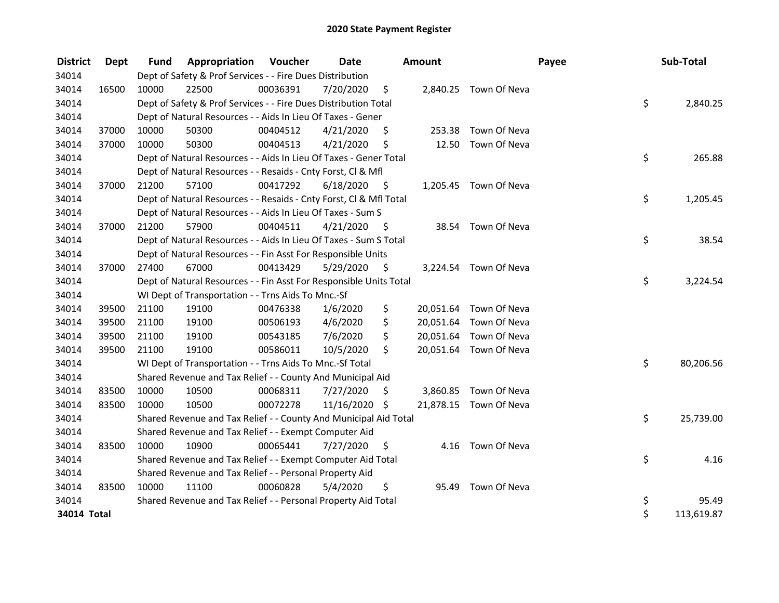| <b>District</b> | Dept  | <b>Fund</b> | <b>Appropriation Voucher</b>                                       |          | Date       |      | Amount |                        | Payee | Sub-Total  |
|-----------------|-------|-------------|--------------------------------------------------------------------|----------|------------|------|--------|------------------------|-------|------------|
| 34014           |       |             | Dept of Safety & Prof Services - - Fire Dues Distribution          |          |            |      |        |                        |       |            |
| 34014           | 16500 | 10000       | 22500                                                              | 00036391 | 7/20/2020  | \$   |        | 2,840.25 Town Of Neva  |       |            |
| 34014           |       |             | Dept of Safety & Prof Services - - Fire Dues Distribution Total    |          |            |      |        |                        | \$    | 2,840.25   |
| 34014           |       |             | Dept of Natural Resources - - Aids In Lieu Of Taxes - Gener        |          |            |      |        |                        |       |            |
| 34014           | 37000 | 10000       | 50300                                                              | 00404512 | 4/21/2020  | S    | 253.38 | Town Of Neva           |       |            |
| 34014           | 37000 | 10000       | 50300                                                              | 00404513 | 4/21/2020  | \$   | 12.50  | Town Of Neva           |       |            |
| 34014           |       |             | Dept of Natural Resources - - Aids In Lieu Of Taxes - Gener Total  |          |            |      |        |                        | \$    | 265.88     |
| 34014           |       |             | Dept of Natural Resources - - Resaids - Cnty Forst, Cl & Mfl       |          |            |      |        |                        |       |            |
| 34014           | 37000 | 21200       | 57100                                                              | 00417292 | 6/18/2020  | - \$ |        | 1,205.45 Town Of Neva  |       |            |
| 34014           |       |             | Dept of Natural Resources - - Resaids - Cnty Forst, Cl & Mfl Total |          |            |      |        |                        | \$    | 1,205.45   |
| 34014           |       |             | Dept of Natural Resources - - Aids In Lieu Of Taxes - Sum S        |          |            |      |        |                        |       |            |
| 34014           | 37000 | 21200       | 57900                                                              | 00404511 | 4/21/2020  | - \$ |        | 38.54 Town Of Neva     |       |            |
| 34014           |       |             | Dept of Natural Resources - - Aids In Lieu Of Taxes - Sum S Total  |          |            |      |        |                        | \$    | 38.54      |
| 34014           |       |             | Dept of Natural Resources - - Fin Asst For Responsible Units       |          |            |      |        |                        |       |            |
| 34014           | 37000 | 27400       | 67000                                                              | 00413429 | 5/29/2020  | \$   |        | 3,224.54 Town Of Neva  |       |            |
| 34014           |       |             | Dept of Natural Resources - - Fin Asst For Responsible Units Total |          |            |      |        |                        | \$    | 3,224.54   |
| 34014           |       |             | WI Dept of Transportation - - Trns Aids To Mnc.-Sf                 |          |            |      |        |                        |       |            |
| 34014           | 39500 | 21100       | 19100                                                              | 00476338 | 1/6/2020   | \$   |        | 20,051.64 Town Of Neva |       |            |
| 34014           | 39500 | 21100       | 19100                                                              | 00506193 | 4/6/2020   | \$   |        | 20,051.64 Town Of Neva |       |            |
| 34014           | 39500 | 21100       | 19100                                                              | 00543185 | 7/6/2020   | \$   |        | 20,051.64 Town Of Neva |       |            |
| 34014           | 39500 | 21100       | 19100                                                              | 00586011 | 10/5/2020  | \$   |        | 20,051.64 Town Of Neva |       |            |
| 34014           |       |             | WI Dept of Transportation - - Trns Aids To Mnc.-Sf Total           |          |            |      |        |                        | \$    | 80,206.56  |
| 34014           |       |             | Shared Revenue and Tax Relief - - County And Municipal Aid         |          |            |      |        |                        |       |            |
| 34014           | 83500 | 10000       | 10500                                                              | 00068311 | 7/27/2020  | \$.  |        | 3,860.85 Town Of Neva  |       |            |
| 34014           | 83500 | 10000       | 10500                                                              | 00072278 | 11/16/2020 | \$   |        | 21,878.15 Town Of Neva |       |            |
| 34014           |       |             | Shared Revenue and Tax Relief - - County And Municipal Aid Total   |          |            |      |        |                        | \$    | 25,739.00  |
| 34014           |       |             | Shared Revenue and Tax Relief - - Exempt Computer Aid              |          |            |      |        |                        |       |            |
| 34014           | 83500 | 10000       | 10900                                                              | 00065441 | 7/27/2020  | \$   |        | 4.16 Town Of Neva      |       |            |
| 34014           |       |             | Shared Revenue and Tax Relief - - Exempt Computer Aid Total        |          |            |      |        |                        | \$    | 4.16       |
| 34014           |       |             | Shared Revenue and Tax Relief - - Personal Property Aid            |          |            |      |        |                        |       |            |
| 34014           | 83500 | 10000       | 11100                                                              | 00060828 | 5/4/2020   | \$   | 95.49  | Town Of Neva           |       |            |
| 34014           |       |             | Shared Revenue and Tax Relief - - Personal Property Aid Total      |          |            |      |        |                        | \$    | 95.49      |
| 34014 Total     |       |             |                                                                    |          |            |      |        |                        | \$    | 113,619.87 |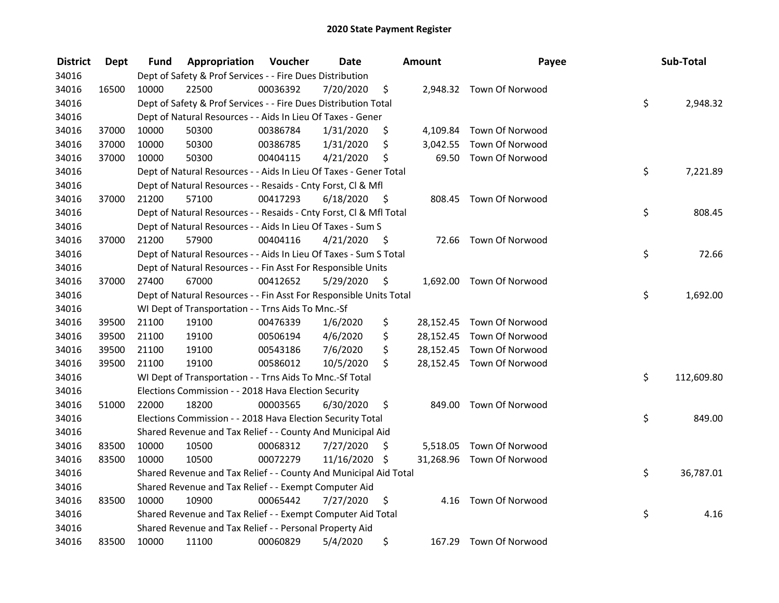| <b>District</b> | <b>Dept</b> | Fund  | Appropriation                                                      | Voucher  | <b>Date</b>   |      | <b>Amount</b> | Payee                     | Sub-Total        |
|-----------------|-------------|-------|--------------------------------------------------------------------|----------|---------------|------|---------------|---------------------------|------------------|
| 34016           |             |       | Dept of Safety & Prof Services - - Fire Dues Distribution          |          |               |      |               |                           |                  |
| 34016           | 16500       | 10000 | 22500                                                              | 00036392 | 7/20/2020     | \$   |               | 2,948.32 Town Of Norwood  |                  |
| 34016           |             |       | Dept of Safety & Prof Services - - Fire Dues Distribution Total    |          |               |      |               |                           | \$<br>2,948.32   |
| 34016           |             |       | Dept of Natural Resources - - Aids In Lieu Of Taxes - Gener        |          |               |      |               |                           |                  |
| 34016           | 37000       | 10000 | 50300                                                              | 00386784 | 1/31/2020     | \$   |               | 4,109.84 Town Of Norwood  |                  |
| 34016           | 37000       | 10000 | 50300                                                              | 00386785 | 1/31/2020     | \$   | 3,042.55      | Town Of Norwood           |                  |
| 34016           | 37000       | 10000 | 50300                                                              | 00404115 | 4/21/2020     | \$   | 69.50         | Town Of Norwood           |                  |
| 34016           |             |       | Dept of Natural Resources - - Aids In Lieu Of Taxes - Gener Total  |          |               |      |               |                           | \$<br>7,221.89   |
| 34016           |             |       | Dept of Natural Resources - - Resaids - Cnty Forst, Cl & Mfl       |          |               |      |               |                           |                  |
| 34016           | 37000       | 21200 | 57100                                                              | 00417293 | 6/18/2020     | - \$ |               | 808.45 Town Of Norwood    |                  |
| 34016           |             |       | Dept of Natural Resources - - Resaids - Cnty Forst, Cl & Mfl Total |          |               |      |               |                           | \$<br>808.45     |
| 34016           |             |       | Dept of Natural Resources - - Aids In Lieu Of Taxes - Sum S        |          |               |      |               |                           |                  |
| 34016           | 37000       | 21200 | 57900                                                              | 00404116 | 4/21/2020     | -\$  |               | 72.66 Town Of Norwood     |                  |
| 34016           |             |       | Dept of Natural Resources - - Aids In Lieu Of Taxes - Sum S Total  |          |               |      |               |                           | \$<br>72.66      |
| 34016           |             |       | Dept of Natural Resources - - Fin Asst For Responsible Units       |          |               |      |               |                           |                  |
| 34016           | 37000       | 27400 | 67000                                                              | 00412652 | 5/29/2020     | \$   |               | 1,692.00 Town Of Norwood  |                  |
| 34016           |             |       | Dept of Natural Resources - - Fin Asst For Responsible Units Total |          |               |      |               |                           | \$<br>1,692.00   |
| 34016           |             |       | WI Dept of Transportation - - Trns Aids To Mnc.-Sf                 |          |               |      |               |                           |                  |
| 34016           | 39500       | 21100 | 19100                                                              | 00476339 | 1/6/2020      | \$   |               | 28,152.45 Town Of Norwood |                  |
| 34016           | 39500       | 21100 | 19100                                                              | 00506194 | 4/6/2020      | \$   |               | 28,152.45 Town Of Norwood |                  |
| 34016           | 39500       | 21100 | 19100                                                              | 00543186 | 7/6/2020      | \$   |               | 28,152.45 Town Of Norwood |                  |
| 34016           | 39500       | 21100 | 19100                                                              | 00586012 | 10/5/2020     | \$   |               | 28,152.45 Town Of Norwood |                  |
| 34016           |             |       | WI Dept of Transportation - - Trns Aids To Mnc.-Sf Total           |          |               |      |               |                           | \$<br>112,609.80 |
| 34016           |             |       | Elections Commission - - 2018 Hava Election Security               |          |               |      |               |                           |                  |
| 34016           | 51000       | 22000 | 18200                                                              | 00003565 | 6/30/2020     | \$   | 849.00        | Town Of Norwood           |                  |
| 34016           |             |       | Elections Commission - - 2018 Hava Election Security Total         |          |               |      |               |                           | \$<br>849.00     |
| 34016           |             |       | Shared Revenue and Tax Relief - - County And Municipal Aid         |          |               |      |               |                           |                  |
| 34016           | 83500       | 10000 | 10500                                                              | 00068312 | 7/27/2020     | \$   |               | 5,518.05 Town Of Norwood  |                  |
| 34016           | 83500       | 10000 | 10500                                                              | 00072279 | 11/16/2020 \$ |      |               | 31,268.96 Town Of Norwood |                  |
| 34016           |             |       | Shared Revenue and Tax Relief - - County And Municipal Aid Total   |          |               |      |               |                           | \$<br>36,787.01  |
| 34016           |             |       | Shared Revenue and Tax Relief - - Exempt Computer Aid              |          |               |      |               |                           |                  |
| 34016           | 83500       | 10000 | 10900                                                              | 00065442 | 7/27/2020     | \$   | 4.16          | Town Of Norwood           |                  |
| 34016           |             |       | Shared Revenue and Tax Relief - - Exempt Computer Aid Total        |          |               |      |               |                           | \$<br>4.16       |
| 34016           |             |       | Shared Revenue and Tax Relief - - Personal Property Aid            |          |               |      |               |                           |                  |
| 34016           | 83500       | 10000 | 11100                                                              | 00060829 | 5/4/2020      | \$   | 167.29        | Town Of Norwood           |                  |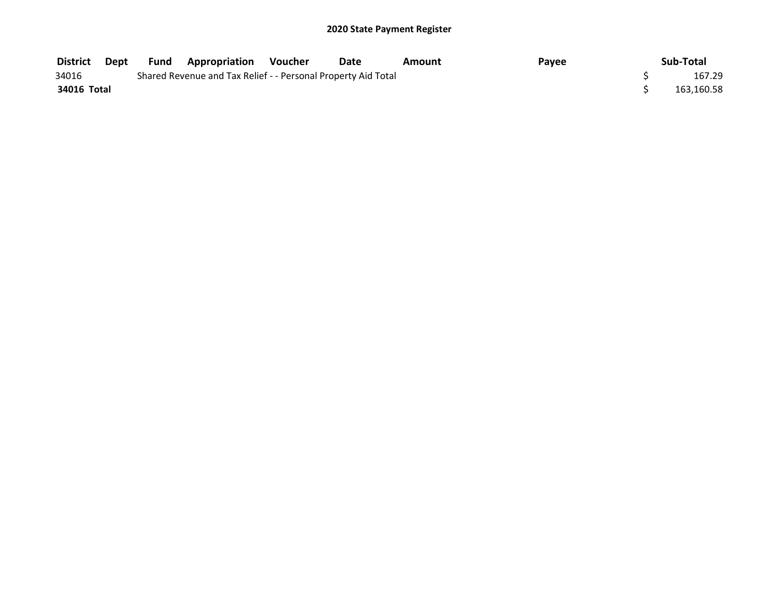| <b>District</b> | Dept | Fund | <b>Appropriation</b>                                          | Voucher | Date | Amount | Payee | Sub-Total  |
|-----------------|------|------|---------------------------------------------------------------|---------|------|--------|-------|------------|
| 34016           |      |      | Shared Revenue and Tax Relief - - Personal Property Aid Total |         |      |        |       | 167.29     |
| 34016 Total     |      |      |                                                               |         |      |        |       | 163,160.58 |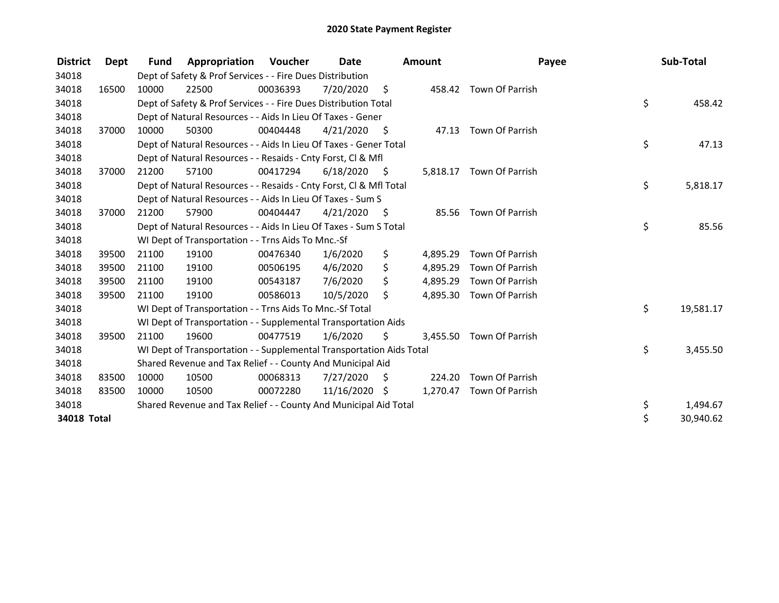| <b>District</b>    | Dept  | <b>Fund</b> | Appropriation                                                        | Voucher  | <b>Date</b>   |      | <b>Amount</b> | Payee                    | Sub-Total       |
|--------------------|-------|-------------|----------------------------------------------------------------------|----------|---------------|------|---------------|--------------------------|-----------------|
| 34018              |       |             | Dept of Safety & Prof Services - - Fire Dues Distribution            |          |               |      |               |                          |                 |
| 34018              | 16500 | 10000       | 22500                                                                | 00036393 | 7/20/2020     | - \$ |               | 458.42 Town Of Parrish   |                 |
| 34018              |       |             | Dept of Safety & Prof Services - - Fire Dues Distribution Total      |          |               |      |               |                          | \$<br>458.42    |
| 34018              |       |             | Dept of Natural Resources - - Aids In Lieu Of Taxes - Gener          |          |               |      |               |                          |                 |
| 34018              | 37000 | 10000       | 50300                                                                | 00404448 | 4/21/2020     | - \$ |               | 47.13 Town Of Parrish    |                 |
| 34018              |       |             | Dept of Natural Resources - - Aids In Lieu Of Taxes - Gener Total    |          |               |      |               |                          | \$<br>47.13     |
| 34018              |       |             | Dept of Natural Resources - - Resaids - Cnty Forst, CI & Mfl         |          |               |      |               |                          |                 |
| 34018              | 37000 | 21200       | 57100                                                                | 00417294 | 6/18/2020     | - \$ |               | 5,818.17 Town Of Parrish |                 |
| 34018              |       |             | Dept of Natural Resources - - Resaids - Cnty Forst, Cl & Mfl Total   |          |               |      |               |                          | \$<br>5,818.17  |
| 34018              |       |             | Dept of Natural Resources - - Aids In Lieu Of Taxes - Sum S          |          |               |      |               |                          |                 |
| 34018              | 37000 | 21200       | 57900                                                                | 00404447 | 4/21/2020     | - \$ | 85.56         | Town Of Parrish          |                 |
| 34018              |       |             | Dept of Natural Resources - - Aids In Lieu Of Taxes - Sum S Total    |          |               |      |               |                          | \$<br>85.56     |
| 34018              |       |             | WI Dept of Transportation - - Trns Aids To Mnc.-Sf                   |          |               |      |               |                          |                 |
| 34018              | 39500 | 21100       | 19100                                                                | 00476340 | 1/6/2020      | \$   | 4,895.29      | Town Of Parrish          |                 |
| 34018              | 39500 | 21100       | 19100                                                                | 00506195 | 4/6/2020      | \$   | 4,895.29      | Town Of Parrish          |                 |
| 34018              | 39500 | 21100       | 19100                                                                | 00543187 | 7/6/2020      | \$   | 4,895.29      | Town Of Parrish          |                 |
| 34018              | 39500 | 21100       | 19100                                                                | 00586013 | 10/5/2020     | \$   | 4,895.30      | Town Of Parrish          |                 |
| 34018              |       |             | WI Dept of Transportation - - Trns Aids To Mnc.-Sf Total             |          |               |      |               |                          | \$<br>19,581.17 |
| 34018              |       |             | WI Dept of Transportation - - Supplemental Transportation Aids       |          |               |      |               |                          |                 |
| 34018              | 39500 | 21100       | 19600                                                                | 00477519 | 1/6/2020      | \$   |               | 3,455.50 Town Of Parrish |                 |
| 34018              |       |             | WI Dept of Transportation - - Supplemental Transportation Aids Total |          |               |      |               |                          | \$<br>3,455.50  |
| 34018              |       |             | Shared Revenue and Tax Relief - - County And Municipal Aid           |          |               |      |               |                          |                 |
| 34018              | 83500 | 10000       | 10500                                                                | 00068313 | 7/27/2020     | S    | 224.20        | Town Of Parrish          |                 |
| 34018              | 83500 | 10000       | 10500                                                                | 00072280 | 11/16/2020 \$ |      |               | 1,270.47 Town Of Parrish |                 |
| 34018              |       |             | Shared Revenue and Tax Relief - - County And Municipal Aid Total     |          |               |      |               |                          | \$<br>1,494.67  |
| <b>34018 Total</b> |       |             |                                                                      |          |               |      |               |                          | \$<br>30,940.62 |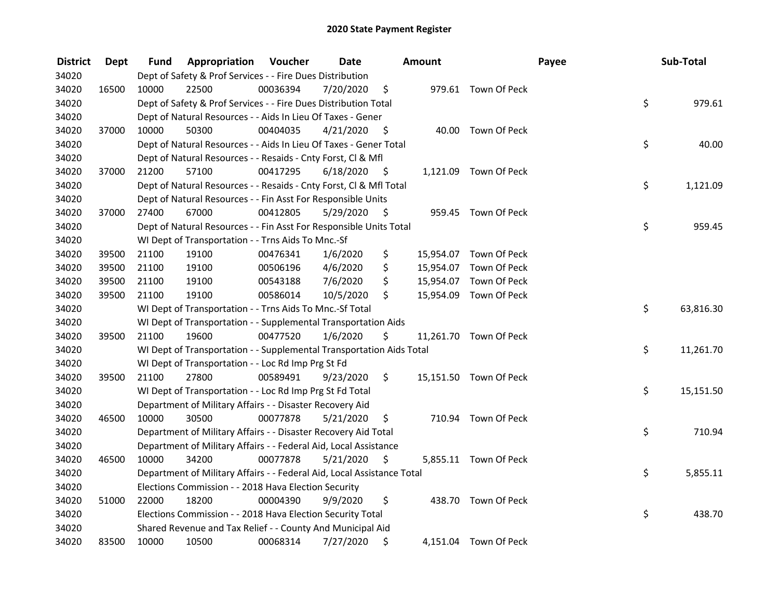| <b>District</b> | Dept  | Fund  | Appropriation                                                          | Voucher  | <b>Date</b> |      | Amount |                        | Payee | Sub-Total |
|-----------------|-------|-------|------------------------------------------------------------------------|----------|-------------|------|--------|------------------------|-------|-----------|
| 34020           |       |       | Dept of Safety & Prof Services - - Fire Dues Distribution              |          |             |      |        |                        |       |           |
| 34020           | 16500 | 10000 | 22500                                                                  | 00036394 | 7/20/2020   | \$   |        | 979.61 Town Of Peck    |       |           |
| 34020           |       |       | Dept of Safety & Prof Services - - Fire Dues Distribution Total        |          |             |      |        |                        | \$    | 979.61    |
| 34020           |       |       | Dept of Natural Resources - - Aids In Lieu Of Taxes - Gener            |          |             |      |        |                        |       |           |
| 34020           | 37000 | 10000 | 50300                                                                  | 00404035 | 4/21/2020   | \$   |        | 40.00 Town Of Peck     |       |           |
| 34020           |       |       | Dept of Natural Resources - - Aids In Lieu Of Taxes - Gener Total      |          |             |      |        |                        | \$    | 40.00     |
| 34020           |       |       | Dept of Natural Resources - - Resaids - Cnty Forst, Cl & Mfl           |          |             |      |        |                        |       |           |
| 34020           | 37000 | 21200 | 57100                                                                  | 00417295 | 6/18/2020   | - \$ |        | 1,121.09 Town Of Peck  |       |           |
| 34020           |       |       | Dept of Natural Resources - - Resaids - Cnty Forst, Cl & Mfl Total     |          |             |      |        |                        | \$    | 1,121.09  |
| 34020           |       |       | Dept of Natural Resources - - Fin Asst For Responsible Units           |          |             |      |        |                        |       |           |
| 34020           | 37000 | 27400 | 67000                                                                  | 00412805 | 5/29/2020   | - \$ |        | 959.45 Town Of Peck    |       |           |
| 34020           |       |       | Dept of Natural Resources - - Fin Asst For Responsible Units Total     |          |             |      |        |                        | \$    | 959.45    |
| 34020           |       |       | WI Dept of Transportation - - Trns Aids To Mnc.-Sf                     |          |             |      |        |                        |       |           |
| 34020           | 39500 | 21100 | 19100                                                                  | 00476341 | 1/6/2020    | \$   |        | 15,954.07 Town Of Peck |       |           |
| 34020           | 39500 | 21100 | 19100                                                                  | 00506196 | 4/6/2020    | \$   |        | 15,954.07 Town Of Peck |       |           |
| 34020           | 39500 | 21100 | 19100                                                                  | 00543188 | 7/6/2020    | \$   |        | 15,954.07 Town Of Peck |       |           |
| 34020           | 39500 | 21100 | 19100                                                                  | 00586014 | 10/5/2020   | \$   |        | 15,954.09 Town Of Peck |       |           |
| 34020           |       |       | WI Dept of Transportation - - Trns Aids To Mnc.-Sf Total               |          |             |      |        |                        | \$    | 63,816.30 |
| 34020           |       |       | WI Dept of Transportation - - Supplemental Transportation Aids         |          |             |      |        |                        |       |           |
| 34020           | 39500 | 21100 | 19600                                                                  | 00477520 | 1/6/2020    | \$   |        | 11,261.70 Town Of Peck |       |           |
| 34020           |       |       | WI Dept of Transportation - - Supplemental Transportation Aids Total   |          |             |      |        |                        | \$    | 11,261.70 |
| 34020           |       |       | WI Dept of Transportation - - Loc Rd Imp Prg St Fd                     |          |             |      |        |                        |       |           |
| 34020           | 39500 | 21100 | 27800                                                                  | 00589491 | 9/23/2020   | \$   |        | 15,151.50 Town Of Peck |       |           |
| 34020           |       |       | WI Dept of Transportation - - Loc Rd Imp Prg St Fd Total               |          |             |      |        |                        | \$    | 15,151.50 |
| 34020           |       |       | Department of Military Affairs - - Disaster Recovery Aid               |          |             |      |        |                        |       |           |
| 34020           | 46500 | 10000 | 30500                                                                  | 00077878 | 5/21/2020   | \$   |        | 710.94 Town Of Peck    |       |           |
| 34020           |       |       | Department of Military Affairs - - Disaster Recovery Aid Total         |          |             |      |        |                        | \$    | 710.94    |
| 34020           |       |       | Department of Military Affairs - - Federal Aid, Local Assistance       |          |             |      |        |                        |       |           |
| 34020           | 46500 | 10000 | 34200                                                                  | 00077878 | 5/21/2020   | \$   |        | 5,855.11 Town Of Peck  |       |           |
| 34020           |       |       | Department of Military Affairs - - Federal Aid, Local Assistance Total |          |             |      |        |                        | \$    | 5,855.11  |
| 34020           |       |       | Elections Commission - - 2018 Hava Election Security                   |          |             |      |        |                        |       |           |
| 34020           | 51000 | 22000 | 18200                                                                  | 00004390 | 9/9/2020    | \$   |        | 438.70 Town Of Peck    |       |           |
| 34020           |       |       | Elections Commission - - 2018 Hava Election Security Total             |          |             |      |        |                        | \$    | 438.70    |
| 34020           |       |       | Shared Revenue and Tax Relief - - County And Municipal Aid             |          |             |      |        |                        |       |           |
| 34020           | 83500 | 10000 | 10500                                                                  | 00068314 | 7/27/2020   | \$   |        | 4,151.04 Town Of Peck  |       |           |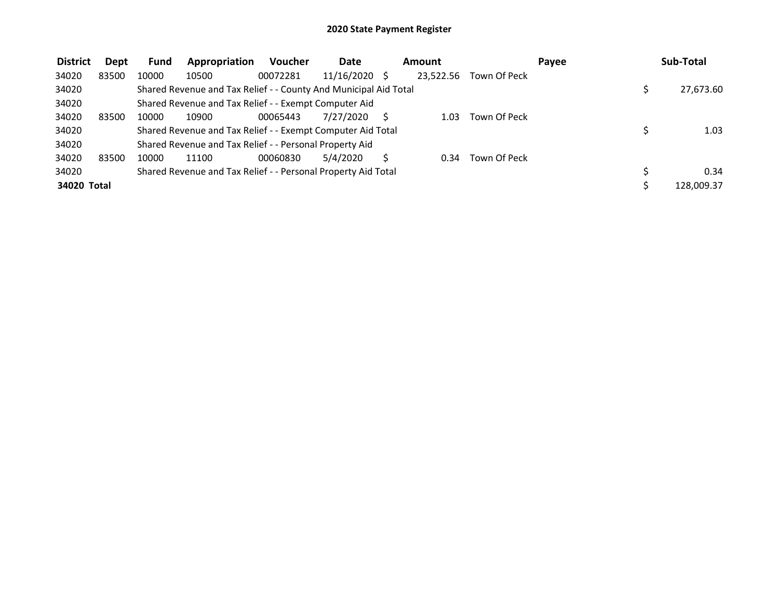| <b>District</b> | Dept  | <b>Fund</b> | Appropriation                                                    | <b>Voucher</b> | <b>Date</b> |              | <b>Amount</b> |              | Pavee | Sub-Total  |
|-----------------|-------|-------------|------------------------------------------------------------------|----------------|-------------|--------------|---------------|--------------|-------|------------|
| 34020           | 83500 | 10000       | 10500                                                            | 00072281       | 11/16/2020  | <sup>S</sup> | 23.522.56     | Town Of Peck |       |            |
| 34020           |       |             | Shared Revenue and Tax Relief - - County And Municipal Aid Total |                |             |              |               |              |       | 27,673.60  |
| 34020           |       |             | Shared Revenue and Tax Relief - - Exempt Computer Aid            |                |             |              |               |              |       |            |
| 34020           | 83500 | 10000       | 10900                                                            | 00065443       | 7/27/2020   |              | 1.03          | Town Of Peck |       |            |
| 34020           |       |             | Shared Revenue and Tax Relief - - Exempt Computer Aid Total      |                |             |              |               |              |       | 1.03       |
| 34020           |       |             | Shared Revenue and Tax Relief - - Personal Property Aid          |                |             |              |               |              |       |            |
| 34020           | 83500 | 10000       | 11100                                                            | 00060830       | 5/4/2020    |              | 0.34          | Town Of Peck |       |            |
| 34020           |       |             | Shared Revenue and Tax Relief - - Personal Property Aid Total    |                |             |              |               |              |       | 0.34       |
| 34020 Total     |       |             |                                                                  |                |             |              |               |              |       | 128.009.37 |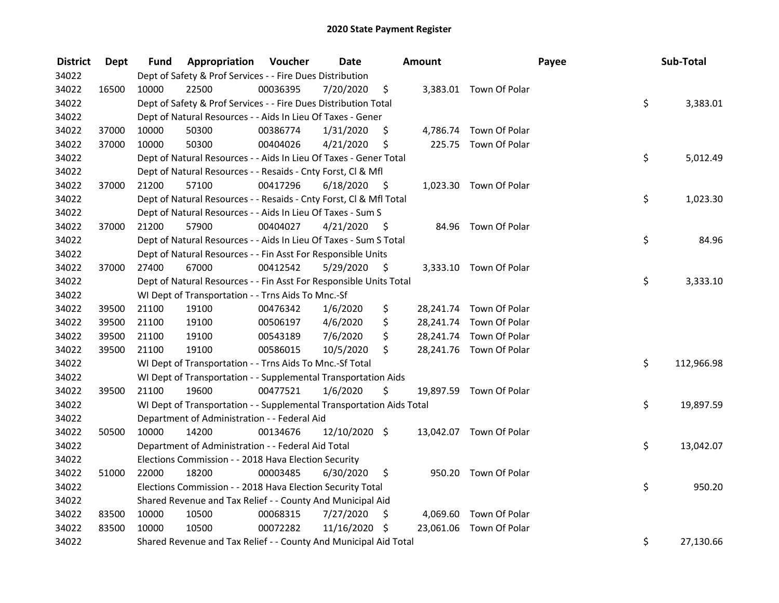| <b>District</b> | Dept  | Fund  | Appropriation                                                        | Voucher  | <b>Date</b>   |      | Amount |                         | Payee | Sub-Total  |
|-----------------|-------|-------|----------------------------------------------------------------------|----------|---------------|------|--------|-------------------------|-------|------------|
| 34022           |       |       | Dept of Safety & Prof Services - - Fire Dues Distribution            |          |               |      |        |                         |       |            |
| 34022           | 16500 | 10000 | 22500                                                                | 00036395 | 7/20/2020     | \$   |        | 3,383.01 Town Of Polar  |       |            |
| 34022           |       |       | Dept of Safety & Prof Services - - Fire Dues Distribution Total      |          |               |      |        |                         | \$    | 3,383.01   |
| 34022           |       |       | Dept of Natural Resources - - Aids In Lieu Of Taxes - Gener          |          |               |      |        |                         |       |            |
| 34022           | 37000 | 10000 | 50300                                                                | 00386774 | 1/31/2020     | \$   |        | 4,786.74 Town Of Polar  |       |            |
| 34022           | 37000 | 10000 | 50300                                                                | 00404026 | 4/21/2020     | \$   |        | 225.75 Town Of Polar    |       |            |
| 34022           |       |       | Dept of Natural Resources - - Aids In Lieu Of Taxes - Gener Total    |          |               |      |        |                         | \$    | 5,012.49   |
| 34022           |       |       | Dept of Natural Resources - - Resaids - Cnty Forst, Cl & Mfl         |          |               |      |        |                         |       |            |
| 34022           | 37000 | 21200 | 57100                                                                | 00417296 | 6/18/2020     | - \$ |        | 1,023.30 Town Of Polar  |       |            |
| 34022           |       |       | Dept of Natural Resources - - Resaids - Cnty Forst, Cl & Mfl Total   |          |               |      |        |                         | \$    | 1,023.30   |
| 34022           |       |       | Dept of Natural Resources - - Aids In Lieu Of Taxes - Sum S          |          |               |      |        |                         |       |            |
| 34022           | 37000 | 21200 | 57900                                                                | 00404027 | 4/21/2020     | - \$ |        | 84.96 Town Of Polar     |       |            |
| 34022           |       |       | Dept of Natural Resources - - Aids In Lieu Of Taxes - Sum S Total    |          |               |      |        |                         | \$    | 84.96      |
| 34022           |       |       | Dept of Natural Resources - - Fin Asst For Responsible Units         |          |               |      |        |                         |       |            |
| 34022           | 37000 | 27400 | 67000                                                                | 00412542 | 5/29/2020     | \$.  |        | 3,333.10 Town Of Polar  |       |            |
| 34022           |       |       | Dept of Natural Resources - - Fin Asst For Responsible Units Total   |          |               |      |        |                         | \$    | 3,333.10   |
| 34022           |       |       | WI Dept of Transportation - - Trns Aids To Mnc.-Sf                   |          |               |      |        |                         |       |            |
| 34022           | 39500 | 21100 | 19100                                                                | 00476342 | 1/6/2020      | \$   |        | 28,241.74 Town Of Polar |       |            |
| 34022           | 39500 | 21100 | 19100                                                                | 00506197 | 4/6/2020      | \$   |        | 28,241.74 Town Of Polar |       |            |
| 34022           | 39500 | 21100 | 19100                                                                | 00543189 | 7/6/2020      | \$   |        | 28,241.74 Town Of Polar |       |            |
| 34022           | 39500 | 21100 | 19100                                                                | 00586015 | 10/5/2020     | \$   |        | 28,241.76 Town Of Polar |       |            |
| 34022           |       |       | WI Dept of Transportation - - Trns Aids To Mnc.-Sf Total             |          |               |      |        |                         | \$    | 112,966.98 |
| 34022           |       |       | WI Dept of Transportation - - Supplemental Transportation Aids       |          |               |      |        |                         |       |            |
| 34022           | 39500 | 21100 | 19600                                                                | 00477521 | 1/6/2020      | \$   |        | 19,897.59 Town Of Polar |       |            |
| 34022           |       |       | WI Dept of Transportation - - Supplemental Transportation Aids Total |          |               |      |        |                         | \$    | 19,897.59  |
| 34022           |       |       | Department of Administration - - Federal Aid                         |          |               |      |        |                         |       |            |
| 34022           | 50500 | 10000 | 14200                                                                | 00134676 | 12/10/2020 \$ |      |        | 13,042.07 Town Of Polar |       |            |
| 34022           |       |       | Department of Administration - - Federal Aid Total                   |          |               |      |        |                         | \$    | 13,042.07  |
| 34022           |       |       | Elections Commission - - 2018 Hava Election Security                 |          |               |      |        |                         |       |            |
| 34022           | 51000 | 22000 | 18200                                                                | 00003485 | 6/30/2020     | \$   |        | 950.20 Town Of Polar    |       |            |
| 34022           |       |       | Elections Commission - - 2018 Hava Election Security Total           |          |               |      |        |                         | \$    | 950.20     |
| 34022           |       |       | Shared Revenue and Tax Relief - - County And Municipal Aid           |          |               |      |        |                         |       |            |
| 34022           | 83500 | 10000 | 10500                                                                | 00068315 | 7/27/2020     | \$   |        | 4,069.60 Town Of Polar  |       |            |
| 34022           | 83500 | 10000 | 10500                                                                | 00072282 | 11/16/2020    | \$   |        | 23,061.06 Town Of Polar |       |            |
| 34022           |       |       | Shared Revenue and Tax Relief - - County And Municipal Aid Total     |          |               |      |        |                         | \$    | 27,130.66  |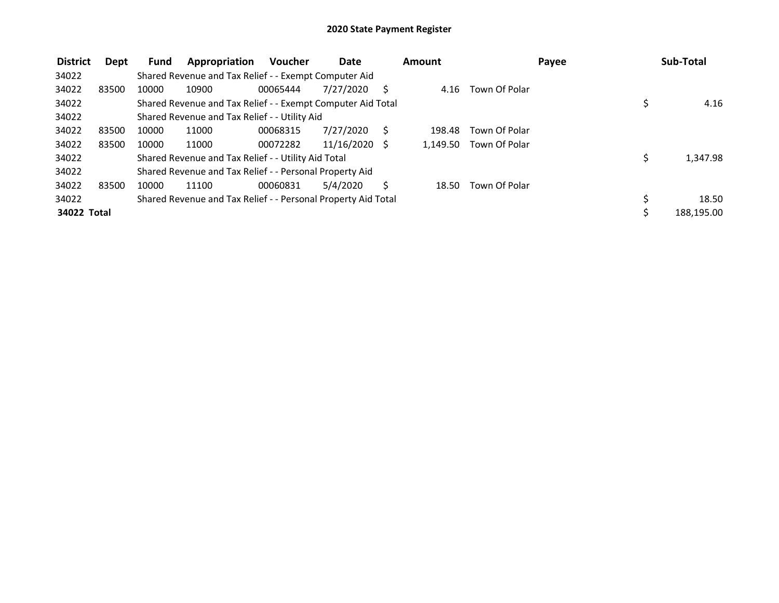| <b>District</b> | Dept  | Fund  | Appropriation                                                 | <b>Voucher</b> | <b>Date</b>     |   | Amount   |               | Payee | Sub-Total  |
|-----------------|-------|-------|---------------------------------------------------------------|----------------|-----------------|---|----------|---------------|-------|------------|
| 34022           |       |       | Shared Revenue and Tax Relief - - Exempt Computer Aid         |                |                 |   |          |               |       |            |
| 34022           | 83500 | 10000 | 10900                                                         | 00065444       | 7/27/2020       |   | 4.16     | Town Of Polar |       |            |
| 34022           |       |       | Shared Revenue and Tax Relief - - Exempt Computer Aid Total   |                |                 |   |          |               |       | 4.16       |
| 34022           |       |       | Shared Revenue and Tax Relief - - Utility Aid                 |                |                 |   |          |               |       |            |
| 34022           | 83500 | 10000 | 11000                                                         | 00068315       | 7/27/2020       | S | 198.48   | Town Of Polar |       |            |
| 34022           | 83500 | 10000 | 11000                                                         | 00072282       | $11/16/2020$ \$ |   | 1.149.50 | Town Of Polar |       |            |
| 34022           |       |       | Shared Revenue and Tax Relief - - Utility Aid Total           |                |                 |   |          |               |       | 1,347.98   |
| 34022           |       |       | Shared Revenue and Tax Relief - - Personal Property Aid       |                |                 |   |          |               |       |            |
| 34022           | 83500 | 10000 | 11100                                                         | 00060831       | 5/4/2020        |   | 18.50    | Town Of Polar |       |            |
| 34022           |       |       | Shared Revenue and Tax Relief - - Personal Property Aid Total |                |                 |   |          |               |       | 18.50      |
| 34022 Total     |       |       |                                                               |                |                 |   |          |               |       | 188,195.00 |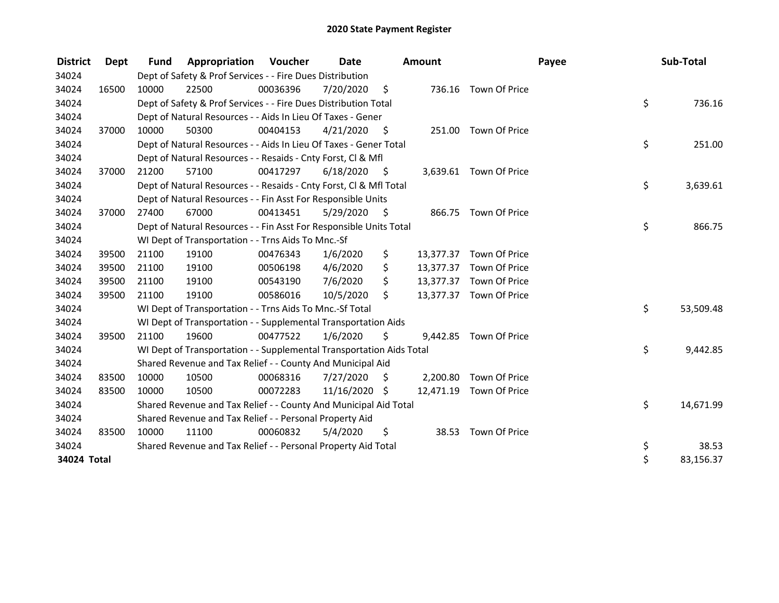| <b>District</b> | Dept  | <b>Fund</b> | Appropriation                                                        | Voucher  | Date          |                    | <b>Amount</b> |                         | Payee | Sub-Total |
|-----------------|-------|-------------|----------------------------------------------------------------------|----------|---------------|--------------------|---------------|-------------------------|-------|-----------|
| 34024           |       |             | Dept of Safety & Prof Services - - Fire Dues Distribution            |          |               |                    |               |                         |       |           |
| 34024           | 16500 | 10000       | 22500                                                                | 00036396 | 7/20/2020     | $\ddot{\varsigma}$ |               | 736.16 Town Of Price    |       |           |
| 34024           |       |             | Dept of Safety & Prof Services - - Fire Dues Distribution Total      |          |               |                    |               |                         | \$    | 736.16    |
| 34024           |       |             | Dept of Natural Resources - - Aids In Lieu Of Taxes - Gener          |          |               |                    |               |                         |       |           |
| 34024           | 37000 | 10000       | 50300                                                                | 00404153 | 4/21/2020     | - \$               |               | 251.00 Town Of Price    |       |           |
| 34024           |       |             | Dept of Natural Resources - - Aids In Lieu Of Taxes - Gener Total    |          |               |                    |               |                         | \$    | 251.00    |
| 34024           |       |             | Dept of Natural Resources - - Resaids - Cnty Forst, CI & Mfl         |          |               |                    |               |                         |       |           |
| 34024           | 37000 | 21200       | 57100                                                                | 00417297 | 6/18/2020     | - \$               |               | 3,639.61 Town Of Price  |       |           |
| 34024           |       |             | Dept of Natural Resources - - Resaids - Cnty Forst, Cl & Mfl Total   |          |               |                    |               |                         | \$    | 3,639.61  |
| 34024           |       |             | Dept of Natural Resources - - Fin Asst For Responsible Units         |          |               |                    |               |                         |       |           |
| 34024           | 37000 | 27400       | 67000                                                                | 00413451 | 5/29/2020     | - \$               |               | 866.75 Town Of Price    |       |           |
| 34024           |       |             | Dept of Natural Resources - - Fin Asst For Responsible Units Total   |          |               |                    |               |                         | \$    | 866.75    |
| 34024           |       |             | WI Dept of Transportation - - Trns Aids To Mnc.-Sf                   |          |               |                    |               |                         |       |           |
| 34024           | 39500 | 21100       | 19100                                                                | 00476343 | 1/6/2020      | \$                 | 13,377.37     | Town Of Price           |       |           |
| 34024           | 39500 | 21100       | 19100                                                                | 00506198 | 4/6/2020      | \$                 | 13,377.37     | Town Of Price           |       |           |
| 34024           | 39500 | 21100       | 19100                                                                | 00543190 | 7/6/2020      | \$                 |               | 13,377.37 Town Of Price |       |           |
| 34024           | 39500 | 21100       | 19100                                                                | 00586016 | 10/5/2020     | \$                 |               | 13,377.37 Town Of Price |       |           |
| 34024           |       |             | WI Dept of Transportation - - Trns Aids To Mnc.-Sf Total             |          |               |                    |               |                         | \$    | 53,509.48 |
| 34024           |       |             | WI Dept of Transportation - - Supplemental Transportation Aids       |          |               |                    |               |                         |       |           |
| 34024           | 39500 | 21100       | 19600                                                                | 00477522 | 1/6/2020      | Ś.                 |               | 9,442.85 Town Of Price  |       |           |
| 34024           |       |             | WI Dept of Transportation - - Supplemental Transportation Aids Total |          |               |                    |               |                         | \$    | 9,442.85  |
| 34024           |       |             | Shared Revenue and Tax Relief - - County And Municipal Aid           |          |               |                    |               |                         |       |           |
| 34024           | 83500 | 10000       | 10500                                                                | 00068316 | 7/27/2020     | - \$               | 2,200.80      | Town Of Price           |       |           |
| 34024           | 83500 | 10000       | 10500                                                                | 00072283 | 11/16/2020 \$ |                    |               | 12,471.19 Town Of Price |       |           |
| 34024           |       |             | Shared Revenue and Tax Relief - - County And Municipal Aid Total     |          |               |                    |               |                         | \$    | 14,671.99 |
| 34024           |       |             | Shared Revenue and Tax Relief - - Personal Property Aid              |          |               |                    |               |                         |       |           |
| 34024           | 83500 | 10000       | 11100                                                                | 00060832 | 5/4/2020      | \$                 |               | 38.53 Town Of Price     |       |           |
| 34024           |       |             | Shared Revenue and Tax Relief - - Personal Property Aid Total        |          |               |                    |               |                         | \$    | 38.53     |
| 34024 Total     |       |             |                                                                      |          |               |                    |               |                         | \$    | 83,156.37 |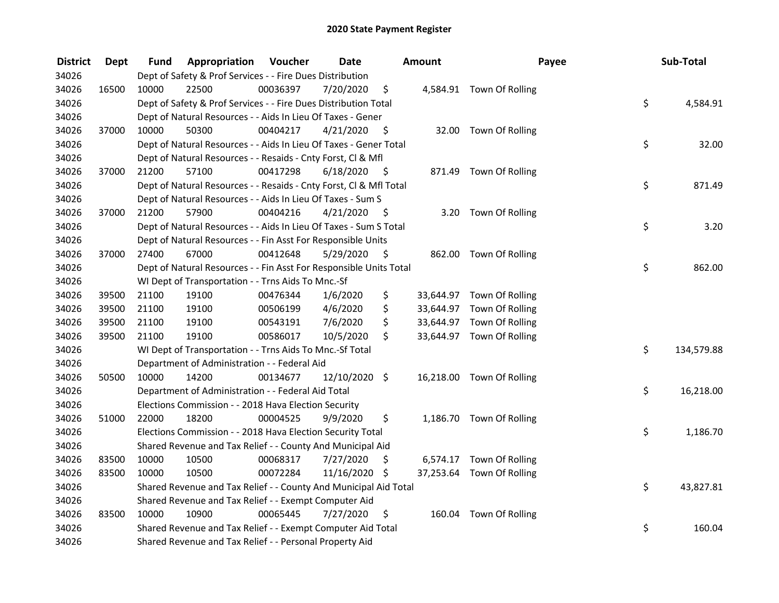| <b>District</b> | <b>Dept</b> | Fund  | <b>Appropriation Voucher</b>                                       |          | <b>Date</b>     |      | Amount | Payee                     | Sub-Total        |
|-----------------|-------------|-------|--------------------------------------------------------------------|----------|-----------------|------|--------|---------------------------|------------------|
| 34026           |             |       | Dept of Safety & Prof Services - - Fire Dues Distribution          |          |                 |      |        |                           |                  |
| 34026           | 16500       | 10000 | 22500                                                              | 00036397 | 7/20/2020       | \$   |        | 4,584.91 Town Of Rolling  |                  |
| 34026           |             |       | Dept of Safety & Prof Services - - Fire Dues Distribution Total    |          |                 |      |        |                           | \$<br>4,584.91   |
| 34026           |             |       | Dept of Natural Resources - - Aids In Lieu Of Taxes - Gener        |          |                 |      |        |                           |                  |
| 34026           | 37000       | 10000 | 50300                                                              | 00404217 | 4/21/2020       | \$   |        | 32.00 Town Of Rolling     |                  |
| 34026           |             |       | Dept of Natural Resources - - Aids In Lieu Of Taxes - Gener Total  |          |                 |      |        |                           | \$<br>32.00      |
| 34026           |             |       | Dept of Natural Resources - - Resaids - Cnty Forst, Cl & Mfl       |          |                 |      |        |                           |                  |
| 34026           | 37000       | 21200 | 57100                                                              | 00417298 | 6/18/2020       | - \$ |        | 871.49 Town Of Rolling    |                  |
| 34026           |             |       | Dept of Natural Resources - - Resaids - Cnty Forst, Cl & Mfl Total |          |                 |      |        |                           | \$<br>871.49     |
| 34026           |             |       | Dept of Natural Resources - - Aids In Lieu Of Taxes - Sum S        |          |                 |      |        |                           |                  |
| 34026           | 37000       | 21200 | 57900                                                              | 00404216 | 4/21/2020       | - \$ |        | 3.20 Town Of Rolling      |                  |
| 34026           |             |       | Dept of Natural Resources - - Aids In Lieu Of Taxes - Sum S Total  |          |                 |      |        |                           | \$<br>3.20       |
| 34026           |             |       | Dept of Natural Resources - - Fin Asst For Responsible Units       |          |                 |      |        |                           |                  |
| 34026           | 37000       | 27400 | 67000                                                              | 00412648 | 5/29/2020       | -\$  |        | 862.00 Town Of Rolling    |                  |
| 34026           |             |       | Dept of Natural Resources - - Fin Asst For Responsible Units Total |          |                 |      |        |                           | \$<br>862.00     |
| 34026           |             |       | WI Dept of Transportation - - Trns Aids To Mnc.-Sf                 |          |                 |      |        |                           |                  |
| 34026           | 39500       | 21100 | 19100                                                              | 00476344 | 1/6/2020        | \$   |        | 33,644.97 Town Of Rolling |                  |
| 34026           | 39500       | 21100 | 19100                                                              | 00506199 | 4/6/2020        | \$   |        | 33,644.97 Town Of Rolling |                  |
| 34026           | 39500       | 21100 | 19100                                                              | 00543191 | 7/6/2020        | \$   |        | 33,644.97 Town Of Rolling |                  |
| 34026           | 39500       | 21100 | 19100                                                              | 00586017 | 10/5/2020       | \$   |        | 33,644.97 Town Of Rolling |                  |
| 34026           |             |       | WI Dept of Transportation - - Trns Aids To Mnc.-Sf Total           |          |                 |      |        |                           | \$<br>134,579.88 |
| 34026           |             |       | Department of Administration - - Federal Aid                       |          |                 |      |        |                           |                  |
| 34026           | 50500       | 10000 | 14200                                                              | 00134677 | $12/10/2020$ \$ |      |        | 16,218.00 Town Of Rolling |                  |
| 34026           |             |       | Department of Administration - - Federal Aid Total                 |          |                 |      |        |                           | \$<br>16,218.00  |
| 34026           |             |       | Elections Commission - - 2018 Hava Election Security               |          |                 |      |        |                           |                  |
| 34026           | 51000       | 22000 | 18200                                                              | 00004525 | 9/9/2020        | \$   |        | 1,186.70 Town Of Rolling  |                  |
| 34026           |             |       | Elections Commission - - 2018 Hava Election Security Total         |          |                 |      |        |                           | \$<br>1,186.70   |
| 34026           |             |       | Shared Revenue and Tax Relief - - County And Municipal Aid         |          |                 |      |        |                           |                  |
| 34026           | 83500       | 10000 | 10500                                                              | 00068317 | 7/27/2020       | \$   |        | 6,574.17 Town Of Rolling  |                  |
| 34026           | 83500       | 10000 | 10500                                                              | 00072284 | 11/16/2020 \$   |      |        | 37,253.64 Town Of Rolling |                  |
| 34026           |             |       | Shared Revenue and Tax Relief - - County And Municipal Aid Total   |          |                 |      |        |                           | \$<br>43,827.81  |
| 34026           |             |       | Shared Revenue and Tax Relief - - Exempt Computer Aid              |          |                 |      |        |                           |                  |
| 34026           | 83500       | 10000 | 10900                                                              | 00065445 | 7/27/2020       | \$   |        | 160.04 Town Of Rolling    |                  |
| 34026           |             |       | Shared Revenue and Tax Relief - - Exempt Computer Aid Total        |          |                 |      |        |                           | \$<br>160.04     |
| 34026           |             |       | Shared Revenue and Tax Relief - - Personal Property Aid            |          |                 |      |        |                           |                  |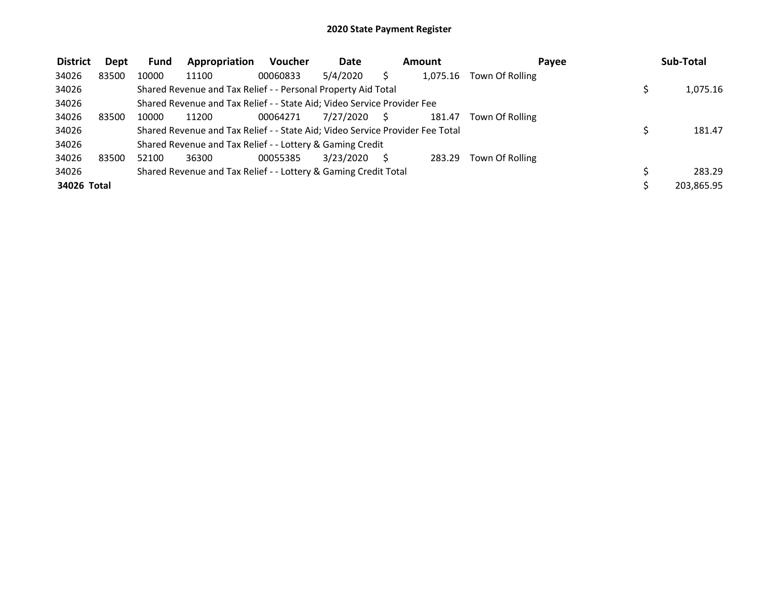| <b>District</b> | Dept  | Fund  | Appropriation                                                                 | <b>Voucher</b> | <b>Date</b> | <b>Amount</b> | Payee           | Sub-Total  |
|-----------------|-------|-------|-------------------------------------------------------------------------------|----------------|-------------|---------------|-----------------|------------|
| 34026           | 83500 | 10000 | 11100                                                                         | 00060833       | 5/4/2020    | 1,075.16      | Town Of Rolling |            |
| 34026           |       |       | Shared Revenue and Tax Relief - - Personal Property Aid Total                 |                |             |               |                 | 1,075.16   |
| 34026           |       |       | Shared Revenue and Tax Relief - - State Aid; Video Service Provider Fee       |                |             |               |                 |            |
| 34026           | 83500 | 10000 | 11200                                                                         | 00064271       | 7/27/2020   | 181.47        | Town Of Rolling |            |
| 34026           |       |       | Shared Revenue and Tax Relief - - State Aid; Video Service Provider Fee Total |                |             |               |                 | 181.47     |
| 34026           |       |       | Shared Revenue and Tax Relief - - Lottery & Gaming Credit                     |                |             |               |                 |            |
| 34026           | 83500 | 52100 | 36300                                                                         | 00055385       | 3/23/2020   | 283.29        | Town Of Rolling |            |
| 34026           |       |       | Shared Revenue and Tax Relief - - Lottery & Gaming Credit Total               |                |             |               |                 | 283.29     |
| 34026 Total     |       |       |                                                                               |                |             |               |                 | 203.865.95 |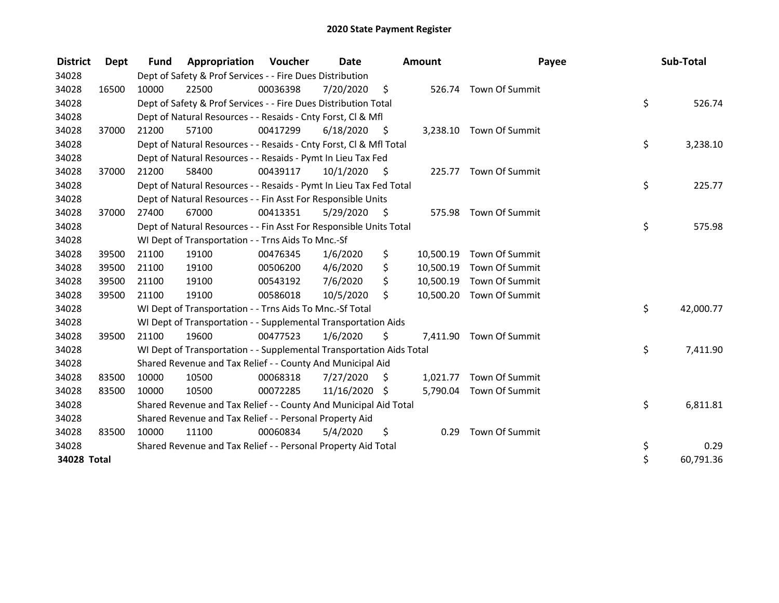| <b>District</b> | Dept  | <b>Fund</b> | Appropriation                                                        | Voucher  | Date          |                     | <b>Amount</b> | Payee                    | Sub-Total       |
|-----------------|-------|-------------|----------------------------------------------------------------------|----------|---------------|---------------------|---------------|--------------------------|-----------------|
| 34028           |       |             | Dept of Safety & Prof Services - - Fire Dues Distribution            |          |               |                     |               |                          |                 |
| 34028           | 16500 | 10000       | 22500                                                                | 00036398 | 7/20/2020     | \$                  |               | 526.74 Town Of Summit    |                 |
| 34028           |       |             | Dept of Safety & Prof Services - - Fire Dues Distribution Total      |          |               |                     |               |                          | \$<br>526.74    |
| 34028           |       |             | Dept of Natural Resources - - Resaids - Cnty Forst, CI & Mfl         |          |               |                     |               |                          |                 |
| 34028           | 37000 | 21200       | 57100                                                                | 00417299 | 6/18/2020     | - \$                |               | 3,238.10 Town Of Summit  |                 |
| 34028           |       |             | Dept of Natural Resources - - Resaids - Cnty Forst, Cl & Mfl Total   |          |               |                     |               |                          | \$<br>3,238.10  |
| 34028           |       |             | Dept of Natural Resources - - Resaids - Pymt In Lieu Tax Fed         |          |               |                     |               |                          |                 |
| 34028           | 37000 | 21200       | 58400                                                                | 00439117 | 10/1/2020     | - \$                |               | 225.77 Town Of Summit    |                 |
| 34028           |       |             | Dept of Natural Resources - - Resaids - Pymt In Lieu Tax Fed Total   |          |               |                     |               |                          | \$<br>225.77    |
| 34028           |       |             | Dept of Natural Resources - - Fin Asst For Responsible Units         |          |               |                     |               |                          |                 |
| 34028           | 37000 | 27400       | 67000                                                                | 00413351 | 5/29/2020     | $\ddot{\mathsf{s}}$ |               | 575.98 Town Of Summit    |                 |
| 34028           |       |             | Dept of Natural Resources - - Fin Asst For Responsible Units Total   |          |               |                     |               |                          | \$<br>575.98    |
| 34028           |       |             | WI Dept of Transportation - - Trns Aids To Mnc.-Sf                   |          |               |                     |               |                          |                 |
| 34028           | 39500 | 21100       | 19100                                                                | 00476345 | 1/6/2020      | \$                  | 10,500.19     | Town Of Summit           |                 |
| 34028           | 39500 | 21100       | 19100                                                                | 00506200 | 4/6/2020      | \$                  | 10,500.19     | Town Of Summit           |                 |
| 34028           | 39500 | 21100       | 19100                                                                | 00543192 | 7/6/2020      | \$                  | 10,500.19     | Town Of Summit           |                 |
| 34028           | 39500 | 21100       | 19100                                                                | 00586018 | 10/5/2020     | \$                  |               | 10,500.20 Town Of Summit |                 |
| 34028           |       |             | WI Dept of Transportation - - Trns Aids To Mnc.-Sf Total             |          |               |                     |               |                          | \$<br>42,000.77 |
| 34028           |       |             | WI Dept of Transportation - - Supplemental Transportation Aids       |          |               |                     |               |                          |                 |
| 34028           | 39500 | 21100       | 19600                                                                | 00477523 | 1/6/2020      | \$                  |               | 7,411.90 Town Of Summit  |                 |
| 34028           |       |             | WI Dept of Transportation - - Supplemental Transportation Aids Total |          |               |                     |               |                          | \$<br>7,411.90  |
| 34028           |       |             | Shared Revenue and Tax Relief - - County And Municipal Aid           |          |               |                     |               |                          |                 |
| 34028           | 83500 | 10000       | 10500                                                                | 00068318 | 7/27/2020     | - \$                |               | 1,021.77 Town Of Summit  |                 |
| 34028           | 83500 | 10000       | 10500                                                                | 00072285 | 11/16/2020 \$ |                     |               | 5,790.04 Town Of Summit  |                 |
| 34028           |       |             | Shared Revenue and Tax Relief - - County And Municipal Aid Total     |          |               |                     |               |                          | \$<br>6,811.81  |
| 34028           |       |             | Shared Revenue and Tax Relief - - Personal Property Aid              |          |               |                     |               |                          |                 |
| 34028           | 83500 | 10000       | 11100                                                                | 00060834 | 5/4/2020      | \$                  | 0.29          | Town Of Summit           |                 |
| 34028           |       |             | Shared Revenue and Tax Relief - - Personal Property Aid Total        |          |               |                     |               |                          | \$<br>0.29      |
| 34028 Total     |       |             |                                                                      |          |               |                     |               |                          | \$<br>60,791.36 |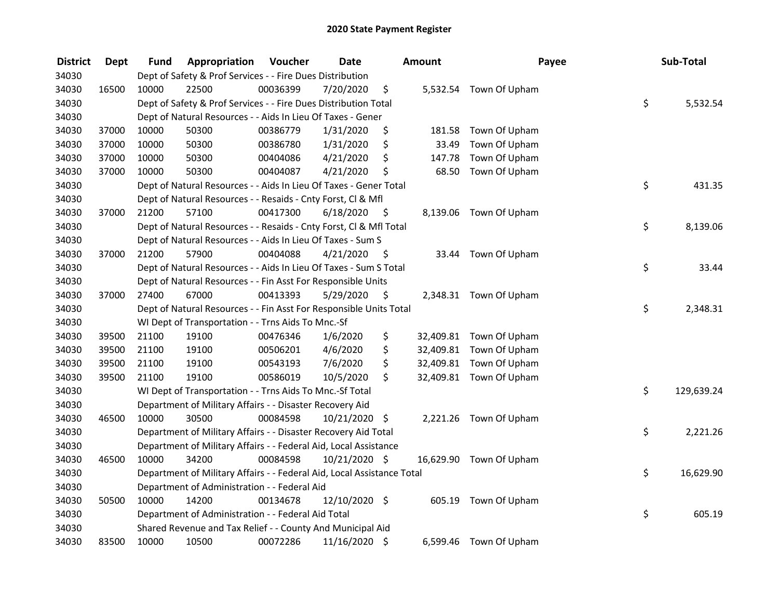| <b>District</b> | <b>Dept</b> | Fund  | Appropriation                                                          | Voucher  | <b>Date</b>   |      | <b>Amount</b> | Payee                   | Sub-Total        |
|-----------------|-------------|-------|------------------------------------------------------------------------|----------|---------------|------|---------------|-------------------------|------------------|
| 34030           |             |       | Dept of Safety & Prof Services - - Fire Dues Distribution              |          |               |      |               |                         |                  |
| 34030           | 16500       | 10000 | 22500                                                                  | 00036399 | 7/20/2020     | \$   |               | 5,532.54 Town Of Upham  |                  |
| 34030           |             |       | Dept of Safety & Prof Services - - Fire Dues Distribution Total        |          |               |      |               |                         | \$<br>5,532.54   |
| 34030           |             |       | Dept of Natural Resources - - Aids In Lieu Of Taxes - Gener            |          |               |      |               |                         |                  |
| 34030           | 37000       | 10000 | 50300                                                                  | 00386779 | 1/31/2020     | \$   | 181.58        | Town Of Upham           |                  |
| 34030           | 37000       | 10000 | 50300                                                                  | 00386780 | 1/31/2020     | \$   | 33.49         | Town Of Upham           |                  |
| 34030           | 37000       | 10000 | 50300                                                                  | 00404086 | 4/21/2020     | \$   | 147.78        | Town Of Upham           |                  |
| 34030           | 37000       | 10000 | 50300                                                                  | 00404087 | 4/21/2020     | \$   | 68.50         | Town Of Upham           |                  |
| 34030           |             |       | Dept of Natural Resources - - Aids In Lieu Of Taxes - Gener Total      |          |               |      |               |                         | \$<br>431.35     |
| 34030           |             |       | Dept of Natural Resources - - Resaids - Cnty Forst, Cl & Mfl           |          |               |      |               |                         |                  |
| 34030           | 37000       | 21200 | 57100                                                                  | 00417300 | 6/18/2020     | - \$ |               | 8,139.06 Town Of Upham  |                  |
| 34030           |             |       | Dept of Natural Resources - - Resaids - Cnty Forst, Cl & Mfl Total     |          |               |      |               |                         | \$<br>8,139.06   |
| 34030           |             |       | Dept of Natural Resources - - Aids In Lieu Of Taxes - Sum S            |          |               |      |               |                         |                  |
| 34030           | 37000       | 21200 | 57900                                                                  | 00404088 | 4/21/2020     | -S   |               | 33.44 Town Of Upham     |                  |
| 34030           |             |       | Dept of Natural Resources - - Aids In Lieu Of Taxes - Sum S Total      |          |               |      |               |                         | \$<br>33.44      |
| 34030           |             |       | Dept of Natural Resources - - Fin Asst For Responsible Units           |          |               |      |               |                         |                  |
| 34030           | 37000       | 27400 | 67000                                                                  | 00413393 | 5/29/2020     | \$   |               | 2,348.31 Town Of Upham  |                  |
| 34030           |             |       | Dept of Natural Resources - - Fin Asst For Responsible Units Total     |          |               |      |               |                         | \$<br>2,348.31   |
| 34030           |             |       | WI Dept of Transportation - - Trns Aids To Mnc.-Sf                     |          |               |      |               |                         |                  |
| 34030           | 39500       | 21100 | 19100                                                                  | 00476346 | 1/6/2020      | \$   |               | 32,409.81 Town Of Upham |                  |
| 34030           | 39500       | 21100 | 19100                                                                  | 00506201 | 4/6/2020      | \$   |               | 32,409.81 Town Of Upham |                  |
| 34030           | 39500       | 21100 | 19100                                                                  | 00543193 | 7/6/2020      | \$   |               | 32,409.81 Town Of Upham |                  |
| 34030           | 39500       | 21100 | 19100                                                                  | 00586019 | 10/5/2020     | \$.  |               | 32,409.81 Town Of Upham |                  |
| 34030           |             |       | WI Dept of Transportation - - Trns Aids To Mnc.-Sf Total               |          |               |      |               |                         | \$<br>129,639.24 |
| 34030           |             |       | Department of Military Affairs - - Disaster Recovery Aid               |          |               |      |               |                         |                  |
| 34030           | 46500       | 10000 | 30500                                                                  | 00084598 | 10/21/2020 \$ |      |               | 2,221.26 Town Of Upham  |                  |
| 34030           |             |       | Department of Military Affairs - - Disaster Recovery Aid Total         |          |               |      |               |                         | \$<br>2,221.26   |
| 34030           |             |       | Department of Military Affairs - - Federal Aid, Local Assistance       |          |               |      |               |                         |                  |
| 34030           | 46500       | 10000 | 34200                                                                  | 00084598 | 10/21/2020 \$ |      |               | 16,629.90 Town Of Upham |                  |
| 34030           |             |       | Department of Military Affairs - - Federal Aid, Local Assistance Total |          |               |      |               |                         | \$<br>16,629.90  |
| 34030           |             |       | Department of Administration - - Federal Aid                           |          |               |      |               |                         |                  |
| 34030           | 50500       | 10000 | 14200                                                                  | 00134678 | 12/10/2020 \$ |      |               | 605.19 Town Of Upham    |                  |
| 34030           |             |       | Department of Administration - - Federal Aid Total                     |          |               |      |               |                         | \$<br>605.19     |
| 34030           |             |       | Shared Revenue and Tax Relief - - County And Municipal Aid             |          |               |      |               |                         |                  |
| 34030           | 83500       | 10000 | 10500                                                                  | 00072286 | 11/16/2020 \$ |      |               | 6,599.46 Town Of Upham  |                  |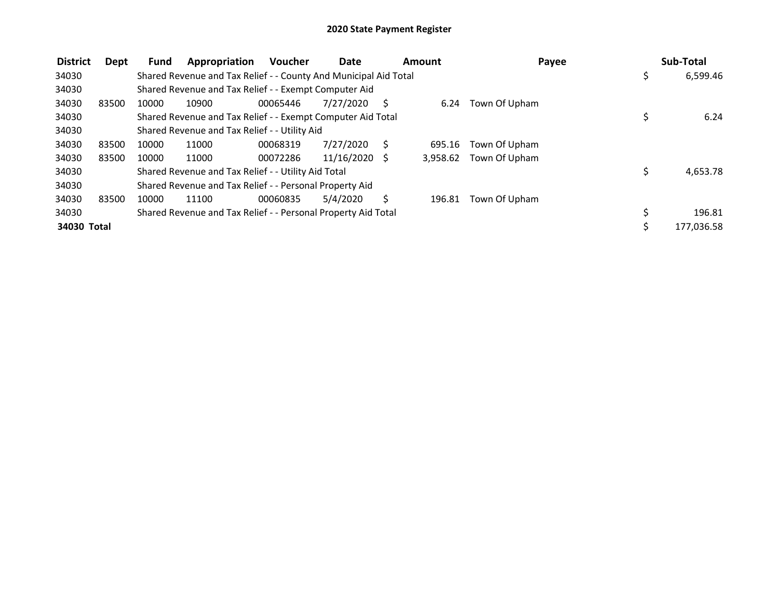| <b>District</b> | Dept  | Fund  | Appropriation                                                    | <b>Voucher</b> | Date            |   | Amount   | Payee         | Sub-Total      |
|-----------------|-------|-------|------------------------------------------------------------------|----------------|-----------------|---|----------|---------------|----------------|
| 34030           |       |       | Shared Revenue and Tax Relief - - County And Municipal Aid Total |                |                 |   |          |               | \$<br>6,599.46 |
| 34030           |       |       | Shared Revenue and Tax Relief - - Exempt Computer Aid            |                |                 |   |          |               |                |
| 34030           | 83500 | 10000 | 10900                                                            | 00065446       | 7/27/2020       | S | 6.24     | Town Of Upham |                |
| 34030           |       |       | Shared Revenue and Tax Relief - - Exempt Computer Aid Total      |                |                 |   |          |               | 6.24           |
| 34030           |       |       | Shared Revenue and Tax Relief - - Utility Aid                    |                |                 |   |          |               |                |
| 34030           | 83500 | 10000 | 11000                                                            | 00068319       | 7/27/2020       | S | 695.16   | Town Of Upham |                |
| 34030           | 83500 | 10000 | 11000                                                            | 00072286       | $11/16/2020$ \$ |   | 3,958.62 | Town Of Upham |                |
| 34030           |       |       | Shared Revenue and Tax Relief - - Utility Aid Total              |                |                 |   |          |               | \$<br>4,653.78 |
| 34030           |       |       | Shared Revenue and Tax Relief - - Personal Property Aid          |                |                 |   |          |               |                |
| 34030           | 83500 | 10000 | 11100                                                            | 00060835       | 5/4/2020        | Ś | 196.81   | Town Of Upham |                |
| 34030           |       |       | Shared Revenue and Tax Relief - - Personal Property Aid Total    |                |                 |   |          |               | 196.81         |
| 34030 Total     |       |       |                                                                  |                |                 |   |          |               | 177,036.58     |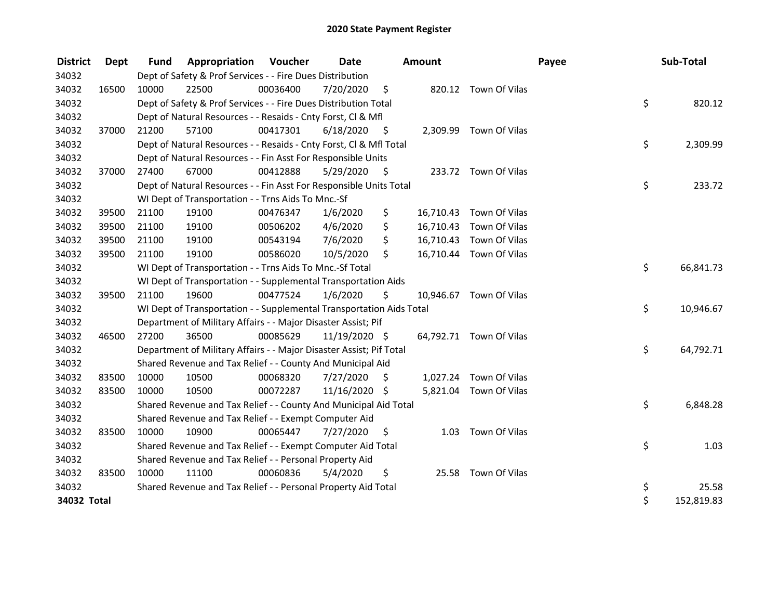| <b>District</b> | Dept  | <b>Fund</b> | <b>Appropriation Voucher</b>                                         |          | Date          |      | <b>Amount</b> |                         | Payee | Sub-Total  |        |
|-----------------|-------|-------------|----------------------------------------------------------------------|----------|---------------|------|---------------|-------------------------|-------|------------|--------|
| 34032           |       |             | Dept of Safety & Prof Services - - Fire Dues Distribution            |          |               |      |               |                         |       |            |        |
| 34032           | 16500 | 10000       | 22500                                                                | 00036400 | 7/20/2020     | \$   |               | 820.12 Town Of Vilas    |       |            |        |
| 34032           |       |             | Dept of Safety & Prof Services - - Fire Dues Distribution Total      |          |               |      |               |                         | \$    |            | 820.12 |
| 34032           |       |             | Dept of Natural Resources - - Resaids - Cnty Forst, Cl & Mfl         |          |               |      |               |                         |       |            |        |
| 34032           | 37000 | 21200       | 57100                                                                | 00417301 | 6/18/2020     | - \$ |               | 2,309.99 Town Of Vilas  |       |            |        |
| 34032           |       |             | Dept of Natural Resources - - Resaids - Cnty Forst, Cl & Mfl Total   |          |               |      |               |                         | \$    | 2,309.99   |        |
| 34032           |       |             | Dept of Natural Resources - - Fin Asst For Responsible Units         |          |               |      |               |                         |       |            |        |
| 34032           | 37000 | 27400       | 67000                                                                | 00412888 | 5/29/2020     | - \$ |               | 233.72 Town Of Vilas    |       |            |        |
| 34032           |       |             | Dept of Natural Resources - - Fin Asst For Responsible Units Total   |          |               |      |               |                         | \$    |            | 233.72 |
| 34032           |       |             | WI Dept of Transportation - - Trns Aids To Mnc.-Sf                   |          |               |      |               |                         |       |            |        |
| 34032           | 39500 | 21100       | 19100                                                                | 00476347 | 1/6/2020      | \$   |               | 16,710.43 Town Of Vilas |       |            |        |
| 34032           | 39500 | 21100       | 19100                                                                | 00506202 | 4/6/2020      | \$   | 16,710.43     | Town Of Vilas           |       |            |        |
| 34032           | 39500 | 21100       | 19100                                                                | 00543194 | 7/6/2020      | \$   |               | 16,710.43 Town Of Vilas |       |            |        |
| 34032           | 39500 | 21100       | 19100                                                                | 00586020 | 10/5/2020     | \$   |               | 16,710.44 Town Of Vilas |       |            |        |
| 34032           |       |             | WI Dept of Transportation - - Trns Aids To Mnc.-Sf Total             |          |               |      |               |                         | \$    | 66,841.73  |        |
| 34032           |       |             | WI Dept of Transportation - - Supplemental Transportation Aids       |          |               |      |               |                         |       |            |        |
| 34032           | 39500 | 21100       | 19600                                                                | 00477524 | 1/6/2020      | \$   |               | 10,946.67 Town Of Vilas |       |            |        |
| 34032           |       |             | WI Dept of Transportation - - Supplemental Transportation Aids Total |          |               |      |               |                         | \$    | 10,946.67  |        |
| 34032           |       |             | Department of Military Affairs - - Major Disaster Assist; Pif        |          |               |      |               |                         |       |            |        |
| 34032           | 46500 | 27200       | 36500                                                                | 00085629 | 11/19/2020 \$ |      |               | 64,792.71 Town Of Vilas |       |            |        |
| 34032           |       |             | Department of Military Affairs - - Major Disaster Assist; Pif Total  |          |               |      |               |                         | \$    | 64,792.71  |        |
| 34032           |       |             | Shared Revenue and Tax Relief - - County And Municipal Aid           |          |               |      |               |                         |       |            |        |
| 34032           | 83500 | 10000       | 10500                                                                | 00068320 | 7/27/2020     | \$   |               | 1,027.24 Town Of Vilas  |       |            |        |
| 34032           | 83500 | 10000       | 10500                                                                | 00072287 | 11/16/2020 \$ |      |               | 5,821.04 Town Of Vilas  |       |            |        |
| 34032           |       |             | Shared Revenue and Tax Relief - - County And Municipal Aid Total     |          |               |      |               |                         | \$    | 6,848.28   |        |
| 34032           |       |             | Shared Revenue and Tax Relief - - Exempt Computer Aid                |          |               |      |               |                         |       |            |        |
| 34032           | 83500 | 10000       | 10900                                                                | 00065447 | 7/27/2020     | S    | 1.03          | Town Of Vilas           |       |            |        |
| 34032           |       |             | Shared Revenue and Tax Relief - - Exempt Computer Aid Total          |          |               |      |               |                         | \$    |            | 1.03   |
| 34032           |       |             | Shared Revenue and Tax Relief - - Personal Property Aid              |          |               |      |               |                         |       |            |        |
| 34032           | 83500 | 10000       | 11100                                                                | 00060836 | 5/4/2020      | \$   |               | 25.58 Town Of Vilas     |       |            |        |
| 34032           |       |             | Shared Revenue and Tax Relief - - Personal Property Aid Total        |          |               |      |               |                         | \$    |            | 25.58  |
| 34032 Total     |       |             |                                                                      |          |               |      |               |                         | \$    | 152,819.83 |        |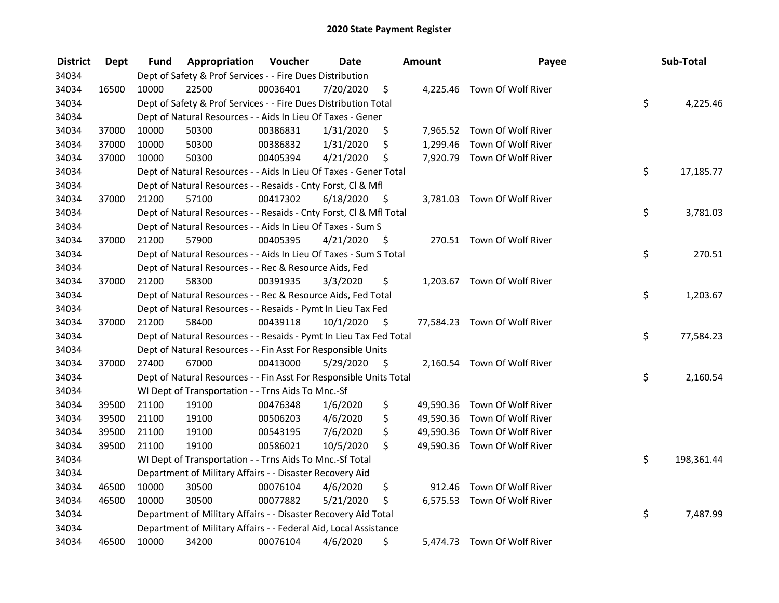| <b>District</b> | <b>Dept</b> | Fund  | Appropriation                                                      | Voucher  | <b>Date</b> |      | Amount   | Payee                        | Sub-Total        |
|-----------------|-------------|-------|--------------------------------------------------------------------|----------|-------------|------|----------|------------------------------|------------------|
| 34034           |             |       | Dept of Safety & Prof Services - - Fire Dues Distribution          |          |             |      |          |                              |                  |
| 34034           | 16500       | 10000 | 22500                                                              | 00036401 | 7/20/2020   | \$   |          | 4,225.46 Town Of Wolf River  |                  |
| 34034           |             |       | Dept of Safety & Prof Services - - Fire Dues Distribution Total    |          |             |      |          |                              | \$<br>4,225.46   |
| 34034           |             |       | Dept of Natural Resources - - Aids In Lieu Of Taxes - Gener        |          |             |      |          |                              |                  |
| 34034           | 37000       | 10000 | 50300                                                              | 00386831 | 1/31/2020   | \$   |          | 7,965.52 Town Of Wolf River  |                  |
| 34034           | 37000       | 10000 | 50300                                                              | 00386832 | 1/31/2020   | \$   | 1,299.46 | Town Of Wolf River           |                  |
| 34034           | 37000       | 10000 | 50300                                                              | 00405394 | 4/21/2020   | \$   |          | 7,920.79 Town Of Wolf River  |                  |
| 34034           |             |       | Dept of Natural Resources - - Aids In Lieu Of Taxes - Gener Total  |          |             |      |          |                              | \$<br>17,185.77  |
| 34034           |             |       | Dept of Natural Resources - - Resaids - Cnty Forst, Cl & Mfl       |          |             |      |          |                              |                  |
| 34034           | 37000       | 21200 | 57100                                                              | 00417302 | 6/18/2020   | - \$ |          | 3,781.03 Town Of Wolf River  |                  |
| 34034           |             |       | Dept of Natural Resources - - Resaids - Cnty Forst, Cl & Mfl Total |          |             |      |          |                              | \$<br>3,781.03   |
| 34034           |             |       | Dept of Natural Resources - - Aids In Lieu Of Taxes - Sum S        |          |             |      |          |                              |                  |
| 34034           | 37000       | 21200 | 57900                                                              | 00405395 | 4/21/2020   | -\$  |          | 270.51 Town Of Wolf River    |                  |
| 34034           |             |       | Dept of Natural Resources - - Aids In Lieu Of Taxes - Sum S Total  |          |             |      |          |                              | \$<br>270.51     |
| 34034           |             |       | Dept of Natural Resources - - Rec & Resource Aids, Fed             |          |             |      |          |                              |                  |
| 34034           | 37000       | 21200 | 58300                                                              | 00391935 | 3/3/2020    | \$   |          | 1,203.67 Town Of Wolf River  |                  |
| 34034           |             |       | Dept of Natural Resources - - Rec & Resource Aids, Fed Total       |          |             |      |          |                              | \$<br>1,203.67   |
| 34034           |             |       | Dept of Natural Resources - - Resaids - Pymt In Lieu Tax Fed       |          |             |      |          |                              |                  |
| 34034           | 37000       | 21200 | 58400                                                              | 00439118 | 10/1/2020   | \$   |          | 77,584.23 Town Of Wolf River |                  |
| 34034           |             |       | Dept of Natural Resources - - Resaids - Pymt In Lieu Tax Fed Total |          |             |      |          |                              | \$<br>77,584.23  |
| 34034           |             |       | Dept of Natural Resources - - Fin Asst For Responsible Units       |          |             |      |          |                              |                  |
| 34034           | 37000       | 27400 | 67000                                                              | 00413000 | 5/29/2020   | - \$ |          | 2,160.54 Town Of Wolf River  |                  |
| 34034           |             |       | Dept of Natural Resources - - Fin Asst For Responsible Units Total |          |             |      |          |                              | \$<br>2,160.54   |
| 34034           |             |       | WI Dept of Transportation - - Trns Aids To Mnc.-Sf                 |          |             |      |          |                              |                  |
| 34034           | 39500       | 21100 | 19100                                                              | 00476348 | 1/6/2020    | \$   |          | 49,590.36 Town Of Wolf River |                  |
| 34034           | 39500       | 21100 | 19100                                                              | 00506203 | 4/6/2020    | \$   |          | 49,590.36 Town Of Wolf River |                  |
| 34034           | 39500       | 21100 | 19100                                                              | 00543195 | 7/6/2020    | \$   |          | 49,590.36 Town Of Wolf River |                  |
| 34034           | 39500       | 21100 | 19100                                                              | 00586021 | 10/5/2020   | \$   |          | 49,590.36 Town Of Wolf River |                  |
| 34034           |             |       | WI Dept of Transportation - - Trns Aids To Mnc.-Sf Total           |          |             |      |          |                              | \$<br>198,361.44 |
| 34034           |             |       | Department of Military Affairs - - Disaster Recovery Aid           |          |             |      |          |                              |                  |
| 34034           | 46500       | 10000 | 30500                                                              | 00076104 | 4/6/2020    | \$   | 912.46   | Town Of Wolf River           |                  |
| 34034           | 46500       | 10000 | 30500                                                              | 00077882 | 5/21/2020   | \$   |          | 6,575.53 Town Of Wolf River  |                  |
| 34034           |             |       | Department of Military Affairs - - Disaster Recovery Aid Total     |          |             |      |          |                              | \$<br>7,487.99   |
| 34034           |             |       | Department of Military Affairs - - Federal Aid, Local Assistance   |          |             |      |          |                              |                  |
| 34034           | 46500       | 10000 | 34200                                                              | 00076104 | 4/6/2020    | \$   |          | 5,474.73 Town Of Wolf River  |                  |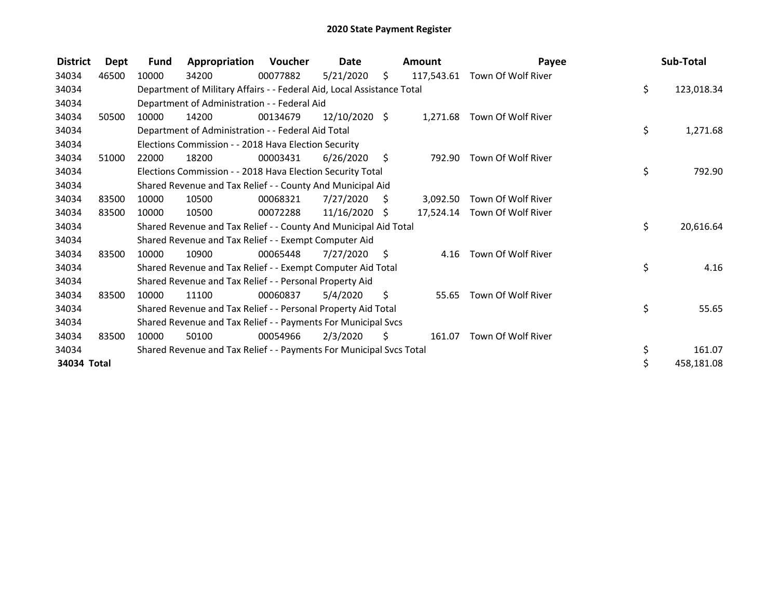| <b>District</b> | <b>Dept</b> | <b>Fund</b> | Appropriation                                                          | Voucher  | Date          |      | <b>Amount</b> | Payee                         | Sub-Total        |
|-----------------|-------------|-------------|------------------------------------------------------------------------|----------|---------------|------|---------------|-------------------------------|------------------|
| 34034           | 46500       | 10000       | 34200                                                                  | 00077882 | 5/21/2020     | \$.  |               | 117,543.61 Town Of Wolf River |                  |
| 34034           |             |             | Department of Military Affairs - - Federal Aid, Local Assistance Total |          |               |      |               |                               | \$<br>123,018.34 |
| 34034           |             |             | Department of Administration - - Federal Aid                           |          |               |      |               |                               |                  |
| 34034           | 50500       | 10000       | 14200                                                                  | 00134679 | 12/10/2020 \$ |      | 1,271.68      | Town Of Wolf River            |                  |
| 34034           |             |             | Department of Administration - - Federal Aid Total                     |          |               |      |               |                               | \$<br>1,271.68   |
| 34034           |             |             | Elections Commission - - 2018 Hava Election Security                   |          |               |      |               |                               |                  |
| 34034           | 51000       | 22000       | 18200                                                                  | 00003431 | 6/26/2020     | - \$ | 792.90        | Town Of Wolf River            |                  |
| 34034           |             |             | Elections Commission - - 2018 Hava Election Security Total             |          |               |      |               |                               | \$<br>792.90     |
| 34034           |             |             | Shared Revenue and Tax Relief - - County And Municipal Aid             |          |               |      |               |                               |                  |
| 34034           | 83500       | 10000       | 10500                                                                  | 00068321 | 7/27/2020     | S.   | 3,092.50      | Town Of Wolf River            |                  |
| 34034           | 83500       | 10000       | 10500                                                                  | 00072288 | 11/16/2020 \$ |      |               | 17,524.14 Town Of Wolf River  |                  |
| 34034           |             |             | Shared Revenue and Tax Relief - - County And Municipal Aid Total       |          |               |      |               |                               | \$<br>20,616.64  |
| 34034           |             |             | Shared Revenue and Tax Relief - - Exempt Computer Aid                  |          |               |      |               |                               |                  |
| 34034           | 83500       | 10000       | 10900                                                                  | 00065448 | 7/27/2020     | S.   | 4.16          | Town Of Wolf River            |                  |
| 34034           |             |             | Shared Revenue and Tax Relief - - Exempt Computer Aid Total            |          |               |      |               |                               | \$<br>4.16       |
| 34034           |             |             | Shared Revenue and Tax Relief - - Personal Property Aid                |          |               |      |               |                               |                  |
| 34034           | 83500       | 10000       | 11100                                                                  | 00060837 | 5/4/2020      | \$   | 55.65         | Town Of Wolf River            |                  |
| 34034           |             |             | Shared Revenue and Tax Relief - - Personal Property Aid Total          |          |               |      |               |                               | \$<br>55.65      |
| 34034           |             |             | Shared Revenue and Tax Relief - - Payments For Municipal Svcs          |          |               |      |               |                               |                  |
| 34034           | 83500       | 10000       | 50100                                                                  | 00054966 | 2/3/2020      | Ŝ.   | 161.07        | Town Of Wolf River            |                  |
| 34034           |             |             | Shared Revenue and Tax Relief - - Payments For Municipal Svcs Total    |          |               |      |               |                               | \$<br>161.07     |
| 34034 Total     |             |             |                                                                        |          |               |      |               |                               | \$<br>458,181.08 |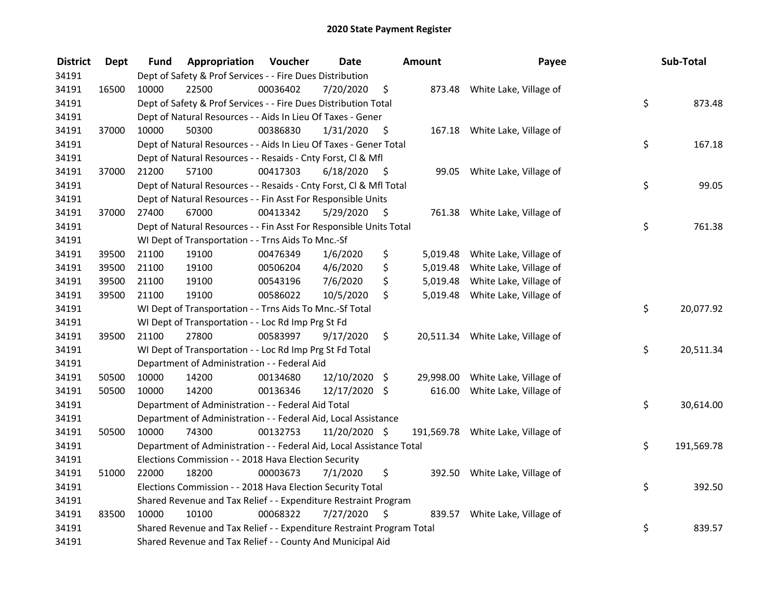| <b>District</b> | <b>Dept</b> | Fund  | Appropriation                                                         | Voucher  | <b>Date</b>   |      | Amount    | Payee                             | Sub-Total        |
|-----------------|-------------|-------|-----------------------------------------------------------------------|----------|---------------|------|-----------|-----------------------------------|------------------|
| 34191           |             |       | Dept of Safety & Prof Services - - Fire Dues Distribution             |          |               |      |           |                                   |                  |
| 34191           | 16500       | 10000 | 22500                                                                 | 00036402 | 7/20/2020     | \$   |           | 873.48 White Lake, Village of     |                  |
| 34191           |             |       | Dept of Safety & Prof Services - - Fire Dues Distribution Total       |          |               |      |           |                                   | \$<br>873.48     |
| 34191           |             |       | Dept of Natural Resources - - Aids In Lieu Of Taxes - Gener           |          |               |      |           |                                   |                  |
| 34191           | 37000       | 10000 | 50300                                                                 | 00386830 | 1/31/2020     | - \$ |           | 167.18 White Lake, Village of     |                  |
| 34191           |             |       | Dept of Natural Resources - - Aids In Lieu Of Taxes - Gener Total     |          |               |      |           |                                   | \$<br>167.18     |
| 34191           |             |       | Dept of Natural Resources - - Resaids - Cnty Forst, Cl & Mfl          |          |               |      |           |                                   |                  |
| 34191           | 37000       | 21200 | 57100                                                                 | 00417303 | 6/18/2020     | - \$ |           | 99.05 White Lake, Village of      |                  |
| 34191           |             |       | Dept of Natural Resources - - Resaids - Cnty Forst, Cl & Mfl Total    |          |               |      |           |                                   | \$<br>99.05      |
| 34191           |             |       | Dept of Natural Resources - - Fin Asst For Responsible Units          |          |               |      |           |                                   |                  |
| 34191           | 37000       | 27400 | 67000                                                                 | 00413342 | 5/29/2020     | \$   |           | 761.38 White Lake, Village of     |                  |
| 34191           |             |       | Dept of Natural Resources - - Fin Asst For Responsible Units Total    |          |               |      |           |                                   | \$<br>761.38     |
| 34191           |             |       | WI Dept of Transportation - - Trns Aids To Mnc.-Sf                    |          |               |      |           |                                   |                  |
| 34191           | 39500       | 21100 | 19100                                                                 | 00476349 | 1/6/2020      | \$   | 5,019.48  | White Lake, Village of            |                  |
| 34191           | 39500       | 21100 | 19100                                                                 | 00506204 | 4/6/2020      | \$   | 5,019.48  | White Lake, Village of            |                  |
| 34191           | 39500       | 21100 | 19100                                                                 | 00543196 | 7/6/2020      | \$   | 5,019.48  | White Lake, Village of            |                  |
| 34191           | 39500       | 21100 | 19100                                                                 | 00586022 | 10/5/2020     | \$   | 5,019.48  | White Lake, Village of            |                  |
| 34191           |             |       | WI Dept of Transportation - - Trns Aids To Mnc.-Sf Total              |          |               |      |           |                                   | \$<br>20,077.92  |
| 34191           |             |       | WI Dept of Transportation - - Loc Rd Imp Prg St Fd                    |          |               |      |           |                                   |                  |
| 34191           | 39500       | 21100 | 27800                                                                 | 00583997 | 9/17/2020     | \$   |           | 20,511.34 White Lake, Village of  |                  |
| 34191           |             |       | WI Dept of Transportation - - Loc Rd Imp Prg St Fd Total              |          |               |      |           |                                   | \$<br>20,511.34  |
| 34191           |             |       | Department of Administration - - Federal Aid                          |          |               |      |           |                                   |                  |
| 34191           | 50500       | 10000 | 14200                                                                 | 00134680 | 12/10/2020 \$ |      | 29,998.00 | White Lake, Village of            |                  |
| 34191           | 50500       | 10000 | 14200                                                                 | 00136346 | 12/17/2020 \$ |      | 616.00    | White Lake, Village of            |                  |
| 34191           |             |       | Department of Administration - - Federal Aid Total                    |          |               |      |           |                                   | \$<br>30,614.00  |
| 34191           |             |       | Department of Administration - - Federal Aid, Local Assistance        |          |               |      |           |                                   |                  |
| 34191           | 50500       | 10000 | 74300                                                                 | 00132753 | 11/20/2020 \$ |      |           | 191,569.78 White Lake, Village of |                  |
| 34191           |             |       | Department of Administration - - Federal Aid, Local Assistance Total  |          |               |      |           |                                   | \$<br>191,569.78 |
| 34191           |             |       | Elections Commission - - 2018 Hava Election Security                  |          |               |      |           |                                   |                  |
| 34191           | 51000       | 22000 | 18200                                                                 | 00003673 | 7/1/2020      | \$   |           | 392.50 White Lake, Village of     |                  |
| 34191           |             |       | Elections Commission - - 2018 Hava Election Security Total            |          |               |      |           |                                   | \$<br>392.50     |
| 34191           |             |       | Shared Revenue and Tax Relief - - Expenditure Restraint Program       |          |               |      |           |                                   |                  |
| 34191           | 83500       | 10000 | 10100                                                                 | 00068322 | 7/27/2020     | - \$ |           | 839.57 White Lake, Village of     |                  |
| 34191           |             |       | Shared Revenue and Tax Relief - - Expenditure Restraint Program Total |          |               |      |           |                                   | \$<br>839.57     |
| 34191           |             |       | Shared Revenue and Tax Relief - - County And Municipal Aid            |          |               |      |           |                                   |                  |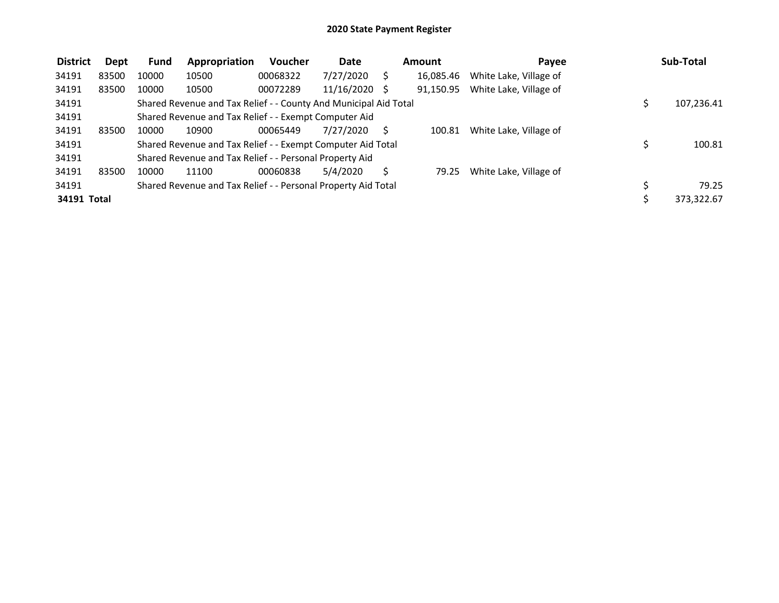| <b>District</b> | Dept  | <b>Fund</b> | Appropriation                                                    | Voucher  | Date       | Amount    | Payee                  | Sub-Total    |
|-----------------|-------|-------------|------------------------------------------------------------------|----------|------------|-----------|------------------------|--------------|
| 34191           | 83500 | 10000       | 10500                                                            | 00068322 | 7/27/2020  | 16,085.46 | White Lake, Village of |              |
| 34191           | 83500 | 10000       | 10500                                                            | 00072289 | 11/16/2020 | 91.150.95 | White Lake, Village of |              |
| 34191           |       |             | Shared Revenue and Tax Relief - - County And Municipal Aid Total |          |            |           |                        | 107,236.41   |
| 34191           |       |             | Shared Revenue and Tax Relief - - Exempt Computer Aid            |          |            |           |                        |              |
| 34191           | 83500 | 10000       | 10900                                                            | 00065449 | 7/27/2020  | 100.81    | White Lake, Village of |              |
| 34191           |       |             | Shared Revenue and Tax Relief - - Exempt Computer Aid Total      |          |            |           |                        | \$<br>100.81 |
| 34191           |       |             | Shared Revenue and Tax Relief - - Personal Property Aid          |          |            |           |                        |              |
| 34191           | 83500 | 10000       | 11100                                                            | 00060838 | 5/4/2020   | 79.25     | White Lake, Village of |              |
| 34191           |       |             | Shared Revenue and Tax Relief - - Personal Property Aid Total    |          |            |           |                        | 79.25        |
| 34191 Total     |       |             |                                                                  |          |            |           |                        | 373,322.67   |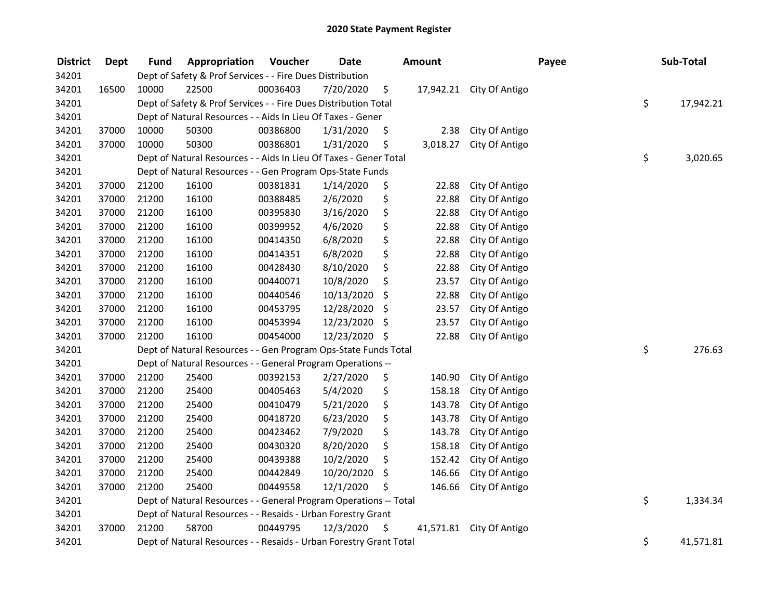| <b>District</b> | <b>Dept</b> | Fund  | Appropriation                                                      | Voucher  | <b>Date</b>   |     | <b>Amount</b> |                          | Payee | Sub-Total       |
|-----------------|-------------|-------|--------------------------------------------------------------------|----------|---------------|-----|---------------|--------------------------|-------|-----------------|
| 34201           |             |       | Dept of Safety & Prof Services - - Fire Dues Distribution          |          |               |     |               |                          |       |                 |
| 34201           | 16500       | 10000 | 22500                                                              | 00036403 | 7/20/2020     | \$  |               | 17,942.21 City Of Antigo |       |                 |
| 34201           |             |       | Dept of Safety & Prof Services - - Fire Dues Distribution Total    |          |               |     |               |                          |       | \$<br>17,942.21 |
| 34201           |             |       | Dept of Natural Resources - - Aids In Lieu Of Taxes - Gener        |          |               |     |               |                          |       |                 |
| 34201           | 37000       | 10000 | 50300                                                              | 00386800 | 1/31/2020     | \$  | 2.38          | City Of Antigo           |       |                 |
| 34201           | 37000       | 10000 | 50300                                                              | 00386801 | 1/31/2020     | \$  | 3,018.27      | City Of Antigo           |       |                 |
| 34201           |             |       | Dept of Natural Resources - - Aids In Lieu Of Taxes - Gener Total  |          |               |     |               |                          |       | \$<br>3,020.65  |
| 34201           |             |       | Dept of Natural Resources - - Gen Program Ops-State Funds          |          |               |     |               |                          |       |                 |
| 34201           | 37000       | 21200 | 16100                                                              | 00381831 | 1/14/2020     | \$  | 22.88         | City Of Antigo           |       |                 |
| 34201           | 37000       | 21200 | 16100                                                              | 00388485 | 2/6/2020      | \$  | 22.88         | City Of Antigo           |       |                 |
| 34201           | 37000       | 21200 | 16100                                                              | 00395830 | 3/16/2020     | \$  | 22.88         | City Of Antigo           |       |                 |
| 34201           | 37000       | 21200 | 16100                                                              | 00399952 | 4/6/2020      | \$  | 22.88         | City Of Antigo           |       |                 |
| 34201           | 37000       | 21200 | 16100                                                              | 00414350 | 6/8/2020      | \$  | 22.88         | City Of Antigo           |       |                 |
| 34201           | 37000       | 21200 | 16100                                                              | 00414351 | 6/8/2020      | \$  | 22.88         | City Of Antigo           |       |                 |
| 34201           | 37000       | 21200 | 16100                                                              | 00428430 | 8/10/2020     | \$  | 22.88         | City Of Antigo           |       |                 |
| 34201           | 37000       | 21200 | 16100                                                              | 00440071 | 10/8/2020     | \$  | 23.57         | City Of Antigo           |       |                 |
| 34201           | 37000       | 21200 | 16100                                                              | 00440546 | 10/13/2020    | \$  | 22.88         | City Of Antigo           |       |                 |
| 34201           | 37000       | 21200 | 16100                                                              | 00453795 | 12/28/2020    | -\$ | 23.57         | City Of Antigo           |       |                 |
| 34201           | 37000       | 21200 | 16100                                                              | 00453994 | 12/23/2020    | \$  | 23.57         | City Of Antigo           |       |                 |
| 34201           | 37000       | 21200 | 16100                                                              | 00454000 | 12/23/2020 \$ |     | 22.88         | City Of Antigo           |       |                 |
| 34201           |             |       | Dept of Natural Resources - - Gen Program Ops-State Funds Total    |          |               |     |               |                          |       | \$<br>276.63    |
| 34201           |             |       | Dept of Natural Resources - - General Program Operations --        |          |               |     |               |                          |       |                 |
| 34201           | 37000       | 21200 | 25400                                                              | 00392153 | 2/27/2020     | \$  | 140.90        | City Of Antigo           |       |                 |
| 34201           | 37000       | 21200 | 25400                                                              | 00405463 | 5/4/2020      | \$  | 158.18        | City Of Antigo           |       |                 |
| 34201           | 37000       | 21200 | 25400                                                              | 00410479 | 5/21/2020     | \$  | 143.78        | City Of Antigo           |       |                 |
| 34201           | 37000       | 21200 | 25400                                                              | 00418720 | 6/23/2020     | \$  | 143.78        | City Of Antigo           |       |                 |
| 34201           | 37000       | 21200 | 25400                                                              | 00423462 | 7/9/2020      | \$  | 143.78        | City Of Antigo           |       |                 |
| 34201           | 37000       | 21200 | 25400                                                              | 00430320 | 8/20/2020     | \$  | 158.18        | City Of Antigo           |       |                 |
| 34201           | 37000       | 21200 | 25400                                                              | 00439388 | 10/2/2020     | \$  | 152.42        | City Of Antigo           |       |                 |
| 34201           | 37000       | 21200 | 25400                                                              | 00442849 | 10/20/2020    | \$  | 146.66        | City Of Antigo           |       |                 |
| 34201           | 37000       | 21200 | 25400                                                              | 00449558 | 12/1/2020     | \$  | 146.66        | City Of Antigo           |       |                 |
| 34201           |             |       | Dept of Natural Resources - - General Program Operations -- Total  |          |               |     |               |                          |       | \$<br>1,334.34  |
| 34201           |             |       | Dept of Natural Resources - - Resaids - Urban Forestry Grant       |          |               |     |               |                          |       |                 |
| 34201           | 37000       | 21200 | 58700                                                              | 00449795 | 12/3/2020     | \$  | 41,571.81     | City Of Antigo           |       |                 |
| 34201           |             |       | Dept of Natural Resources - - Resaids - Urban Forestry Grant Total |          |               |     |               |                          |       | \$<br>41,571.81 |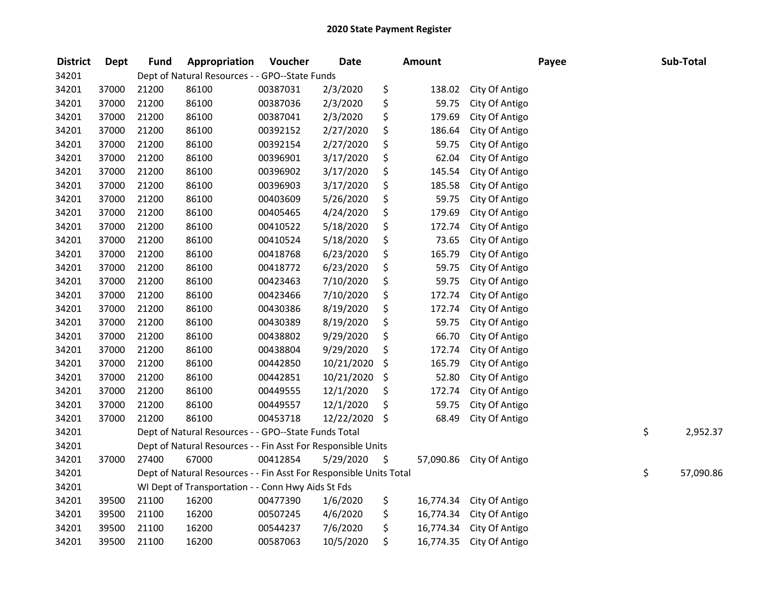| <b>District</b> | <b>Dept</b> | <b>Fund</b> | Appropriation                                                      | Voucher  | <b>Date</b> | <b>Amount</b>   |                | Payee | Sub-Total       |
|-----------------|-------------|-------------|--------------------------------------------------------------------|----------|-------------|-----------------|----------------|-------|-----------------|
| 34201           |             |             | Dept of Natural Resources - - GPO--State Funds                     |          |             |                 |                |       |                 |
| 34201           | 37000       | 21200       | 86100                                                              | 00387031 | 2/3/2020    | \$<br>138.02    | City Of Antigo |       |                 |
| 34201           | 37000       | 21200       | 86100                                                              | 00387036 | 2/3/2020    | \$<br>59.75     | City Of Antigo |       |                 |
| 34201           | 37000       | 21200       | 86100                                                              | 00387041 | 2/3/2020    | \$<br>179.69    | City Of Antigo |       |                 |
| 34201           | 37000       | 21200       | 86100                                                              | 00392152 | 2/27/2020   | \$<br>186.64    | City Of Antigo |       |                 |
| 34201           | 37000       | 21200       | 86100                                                              | 00392154 | 2/27/2020   | \$<br>59.75     | City Of Antigo |       |                 |
| 34201           | 37000       | 21200       | 86100                                                              | 00396901 | 3/17/2020   | \$<br>62.04     | City Of Antigo |       |                 |
| 34201           | 37000       | 21200       | 86100                                                              | 00396902 | 3/17/2020   | \$<br>145.54    | City Of Antigo |       |                 |
| 34201           | 37000       | 21200       | 86100                                                              | 00396903 | 3/17/2020   | \$<br>185.58    | City Of Antigo |       |                 |
| 34201           | 37000       | 21200       | 86100                                                              | 00403609 | 5/26/2020   | \$<br>59.75     | City Of Antigo |       |                 |
| 34201           | 37000       | 21200       | 86100                                                              | 00405465 | 4/24/2020   | \$<br>179.69    | City Of Antigo |       |                 |
| 34201           | 37000       | 21200       | 86100                                                              | 00410522 | 5/18/2020   | \$<br>172.74    | City Of Antigo |       |                 |
| 34201           | 37000       | 21200       | 86100                                                              | 00410524 | 5/18/2020   | \$<br>73.65     | City Of Antigo |       |                 |
| 34201           | 37000       | 21200       | 86100                                                              | 00418768 | 6/23/2020   | \$<br>165.79    | City Of Antigo |       |                 |
| 34201           | 37000       | 21200       | 86100                                                              | 00418772 | 6/23/2020   | \$<br>59.75     | City Of Antigo |       |                 |
| 34201           | 37000       | 21200       | 86100                                                              | 00423463 | 7/10/2020   | \$<br>59.75     | City Of Antigo |       |                 |
| 34201           | 37000       | 21200       | 86100                                                              | 00423466 | 7/10/2020   | \$<br>172.74    | City Of Antigo |       |                 |
| 34201           | 37000       | 21200       | 86100                                                              | 00430386 | 8/19/2020   | \$<br>172.74    | City Of Antigo |       |                 |
| 34201           | 37000       | 21200       | 86100                                                              | 00430389 | 8/19/2020   | \$<br>59.75     | City Of Antigo |       |                 |
| 34201           | 37000       | 21200       | 86100                                                              | 00438802 | 9/29/2020   | \$<br>66.70     | City Of Antigo |       |                 |
| 34201           | 37000       | 21200       | 86100                                                              | 00438804 | 9/29/2020   | \$<br>172.74    | City Of Antigo |       |                 |
| 34201           | 37000       | 21200       | 86100                                                              | 00442850 | 10/21/2020  | \$<br>165.79    | City Of Antigo |       |                 |
| 34201           | 37000       | 21200       | 86100                                                              | 00442851 | 10/21/2020  | \$<br>52.80     | City Of Antigo |       |                 |
| 34201           | 37000       | 21200       | 86100                                                              | 00449555 | 12/1/2020   | \$<br>172.74    | City Of Antigo |       |                 |
| 34201           | 37000       | 21200       | 86100                                                              | 00449557 | 12/1/2020   | \$<br>59.75     | City Of Antigo |       |                 |
| 34201           | 37000       | 21200       | 86100                                                              | 00453718 | 12/22/2020  | \$<br>68.49     | City Of Antigo |       |                 |
| 34201           |             |             | Dept of Natural Resources - - GPO--State Funds Total               |          |             |                 |                |       | \$<br>2,952.37  |
| 34201           |             |             | Dept of Natural Resources - - Fin Asst For Responsible Units       |          |             |                 |                |       |                 |
| 34201           | 37000       | 27400       | 67000                                                              | 00412854 | 5/29/2020   | \$<br>57,090.86 | City Of Antigo |       |                 |
| 34201           |             |             | Dept of Natural Resources - - Fin Asst For Responsible Units Total |          |             |                 |                |       | \$<br>57,090.86 |
| 34201           |             |             | WI Dept of Transportation - - Conn Hwy Aids St Fds                 |          |             |                 |                |       |                 |
| 34201           | 39500       | 21100       | 16200                                                              | 00477390 | 1/6/2020    | \$<br>16,774.34 | City Of Antigo |       |                 |
| 34201           | 39500       | 21100       | 16200                                                              | 00507245 | 4/6/2020    | \$<br>16,774.34 | City Of Antigo |       |                 |
| 34201           | 39500       | 21100       | 16200                                                              | 00544237 | 7/6/2020    | \$<br>16,774.34 | City Of Antigo |       |                 |
| 34201           | 39500       | 21100       | 16200                                                              | 00587063 | 10/5/2020   | \$<br>16,774.35 | City Of Antigo |       |                 |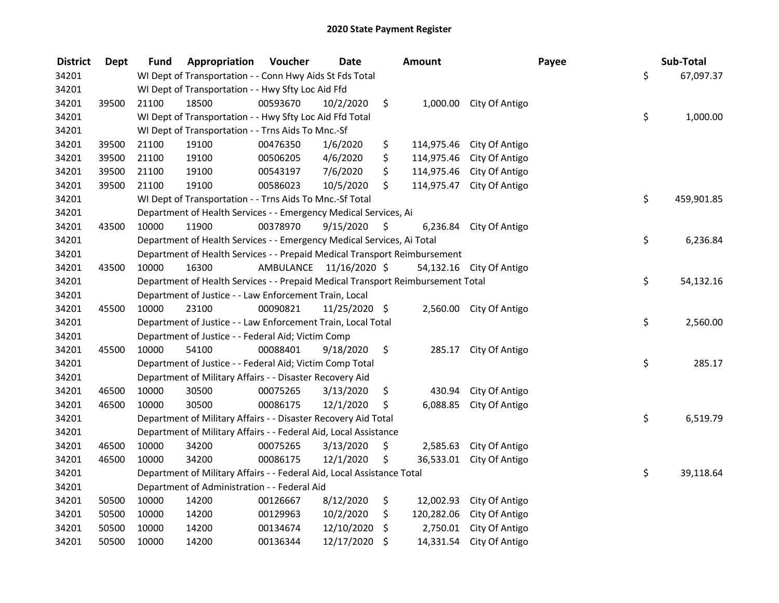| <b>District</b> | <b>Dept</b> | <b>Fund</b> | Appropriation                                                                   | Voucher                 | <b>Date</b>   | Amount           |                         | Payee | Sub-Total        |
|-----------------|-------------|-------------|---------------------------------------------------------------------------------|-------------------------|---------------|------------------|-------------------------|-------|------------------|
| 34201           |             |             | WI Dept of Transportation - - Conn Hwy Aids St Fds Total                        |                         |               |                  |                         |       | \$<br>67,097.37  |
| 34201           |             |             | WI Dept of Transportation - - Hwy Sfty Loc Aid Ffd                              |                         |               |                  |                         |       |                  |
| 34201           | 39500       | 21100       | 18500                                                                           | 00593670                | 10/2/2020     | \$               | 1,000.00 City Of Antigo |       |                  |
| 34201           |             |             | WI Dept of Transportation - - Hwy Sfty Loc Aid Ffd Total                        |                         |               |                  |                         |       | \$<br>1,000.00   |
| 34201           |             |             | WI Dept of Transportation - - Trns Aids To Mnc.-Sf                              |                         |               |                  |                         |       |                  |
| 34201           | 39500       | 21100       | 19100                                                                           | 00476350                | 1/6/2020      | \$<br>114,975.46 | City Of Antigo          |       |                  |
| 34201           | 39500       | 21100       | 19100                                                                           | 00506205                | 4/6/2020      | \$<br>114,975.46 | City Of Antigo          |       |                  |
| 34201           | 39500       | 21100       | 19100                                                                           | 00543197                | 7/6/2020      | \$<br>114,975.46 | City Of Antigo          |       |                  |
| 34201           | 39500       | 21100       | 19100                                                                           | 00586023                | 10/5/2020     | \$<br>114,975.47 | City Of Antigo          |       |                  |
| 34201           |             |             | WI Dept of Transportation - - Trns Aids To Mnc.-Sf Total                        |                         |               |                  |                         |       | \$<br>459,901.85 |
| 34201           |             |             | Department of Health Services - - Emergency Medical Services, Ai                |                         |               |                  |                         |       |                  |
| 34201           | 43500       | 10000       | 11900                                                                           | 00378970                | 9/15/2020     | \$<br>6,236.84   | City Of Antigo          |       |                  |
| 34201           |             |             | Department of Health Services - - Emergency Medical Services, Ai Total          |                         |               |                  |                         |       | \$<br>6,236.84   |
| 34201           |             |             | Department of Health Services - - Prepaid Medical Transport Reimbursement       |                         |               |                  |                         |       |                  |
| 34201           | 43500       | 10000       | 16300                                                                           | AMBULANCE 11/16/2020 \$ |               | 54,132.16        | City Of Antigo          |       |                  |
| 34201           |             |             | Department of Health Services - - Prepaid Medical Transport Reimbursement Total |                         |               |                  |                         |       | \$<br>54,132.16  |
| 34201           |             |             | Department of Justice - - Law Enforcement Train, Local                          |                         |               |                  |                         |       |                  |
| 34201           | 45500       | 10000       | 23100                                                                           | 00090821                | 11/25/2020 \$ | 2,560.00         | City Of Antigo          |       |                  |
| 34201           |             |             | Department of Justice - - Law Enforcement Train, Local Total                    |                         |               |                  |                         |       | \$<br>2,560.00   |
| 34201           |             |             | Department of Justice - - Federal Aid; Victim Comp                              |                         |               |                  |                         |       |                  |
| 34201           | 45500       | 10000       | 54100                                                                           | 00088401                | 9/18/2020     | \$<br>285.17     | City Of Antigo          |       |                  |
| 34201           |             |             | Department of Justice - - Federal Aid; Victim Comp Total                        |                         |               |                  |                         |       | \$<br>285.17     |
| 34201           |             |             | Department of Military Affairs - - Disaster Recovery Aid                        |                         |               |                  |                         |       |                  |
| 34201           | 46500       | 10000       | 30500                                                                           | 00075265                | 3/13/2020     | \$<br>430.94     | City Of Antigo          |       |                  |
| 34201           | 46500       | 10000       | 30500                                                                           | 00086175                | 12/1/2020     | \$<br>6,088.85   | City Of Antigo          |       |                  |
| 34201           |             |             | Department of Military Affairs - - Disaster Recovery Aid Total                  |                         |               |                  |                         |       | \$<br>6,519.79   |
| 34201           |             |             | Department of Military Affairs - - Federal Aid, Local Assistance                |                         |               |                  |                         |       |                  |
| 34201           | 46500       | 10000       | 34200                                                                           | 00075265                | 3/13/2020     | \$<br>2,585.63   | City Of Antigo          |       |                  |
| 34201           | 46500       | 10000       | 34200                                                                           | 00086175                | 12/1/2020     | \$<br>36,533.01  | City Of Antigo          |       |                  |
| 34201           |             |             | Department of Military Affairs - - Federal Aid, Local Assistance Total          |                         |               |                  |                         |       | \$<br>39,118.64  |
| 34201           |             |             | Department of Administration - - Federal Aid                                    |                         |               |                  |                         |       |                  |
| 34201           | 50500       | 10000       | 14200                                                                           | 00126667                | 8/12/2020     | \$<br>12,002.93  | City Of Antigo          |       |                  |
| 34201           | 50500       | 10000       | 14200                                                                           | 00129963                | 10/2/2020     | \$<br>120,282.06 | City Of Antigo          |       |                  |
| 34201           | 50500       | 10000       | 14200                                                                           | 00134674                | 12/10/2020    | \$<br>2,750.01   | City Of Antigo          |       |                  |
| 34201           | 50500       | 10000       | 14200                                                                           | 00136344                | 12/17/2020    | \$<br>14,331.54  | City Of Antigo          |       |                  |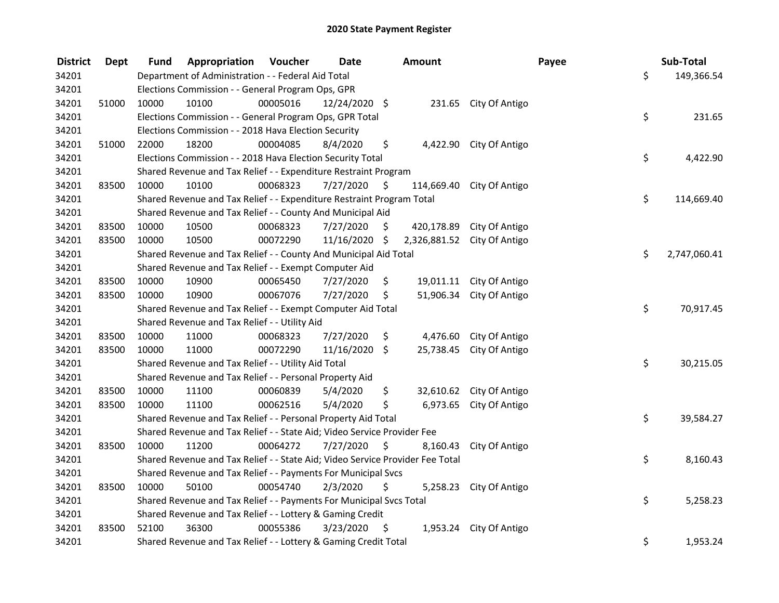| <b>District</b> | <b>Dept</b> | Fund  | Appropriation                                                                 | Voucher  | <b>Date</b>   |      | <b>Amount</b> |                           | Payee | Sub-Total    |
|-----------------|-------------|-------|-------------------------------------------------------------------------------|----------|---------------|------|---------------|---------------------------|-------|--------------|
| 34201           |             |       | Department of Administration - - Federal Aid Total                            |          |               |      |               |                           | \$    | 149,366.54   |
| 34201           |             |       | Elections Commission - - General Program Ops, GPR                             |          |               |      |               |                           |       |              |
| 34201           | 51000       | 10000 | 10100                                                                         | 00005016 | 12/24/2020 \$ |      |               | 231.65 City Of Antigo     |       |              |
| 34201           |             |       | Elections Commission - - General Program Ops, GPR Total                       |          |               |      |               |                           | \$    | 231.65       |
| 34201           |             |       | Elections Commission - - 2018 Hava Election Security                          |          |               |      |               |                           |       |              |
| 34201           | 51000       | 22000 | 18200                                                                         | 00004085 | 8/4/2020      | \$   |               | 4,422.90 City Of Antigo   |       |              |
| 34201           |             |       | Elections Commission - - 2018 Hava Election Security Total                    |          |               |      |               |                           | \$    | 4,422.90     |
| 34201           |             |       | Shared Revenue and Tax Relief - - Expenditure Restraint Program               |          |               |      |               |                           |       |              |
| 34201           | 83500       | 10000 | 10100                                                                         | 00068323 | 7/27/2020     | \$   |               | 114,669.40 City Of Antigo |       |              |
| 34201           |             |       | Shared Revenue and Tax Relief - - Expenditure Restraint Program Total         |          |               |      |               |                           | \$    | 114,669.40   |
| 34201           |             |       | Shared Revenue and Tax Relief - - County And Municipal Aid                    |          |               |      |               |                           |       |              |
| 34201           | 83500       | 10000 | 10500                                                                         | 00068323 | 7/27/2020     | \$.  | 420,178.89    | City Of Antigo            |       |              |
| 34201           | 83500       | 10000 | 10500                                                                         | 00072290 | 11/16/2020    | \$   | 2,326,881.52  | City Of Antigo            |       |              |
| 34201           |             |       | Shared Revenue and Tax Relief - - County And Municipal Aid Total              |          |               |      |               |                           | \$    | 2,747,060.41 |
| 34201           |             |       | Shared Revenue and Tax Relief - - Exempt Computer Aid                         |          |               |      |               |                           |       |              |
| 34201           | 83500       | 10000 | 10900                                                                         | 00065450 | 7/27/2020     | \$   |               | 19,011.11 City Of Antigo  |       |              |
| 34201           | 83500       | 10000 | 10900                                                                         | 00067076 | 7/27/2020     | \$   | 51,906.34     | City Of Antigo            |       |              |
| 34201           |             |       | Shared Revenue and Tax Relief - - Exempt Computer Aid Total                   |          |               |      |               |                           | \$    | 70,917.45    |
| 34201           |             |       | Shared Revenue and Tax Relief - - Utility Aid                                 |          |               |      |               |                           |       |              |
| 34201           | 83500       | 10000 | 11000                                                                         | 00068323 | 7/27/2020     | \$   | 4,476.60      | City Of Antigo            |       |              |
| 34201           | 83500       | 10000 | 11000                                                                         | 00072290 | 11/16/2020 \$ |      |               | 25,738.45 City Of Antigo  |       |              |
| 34201           |             |       | Shared Revenue and Tax Relief - - Utility Aid Total                           |          |               |      |               |                           | \$    | 30,215.05    |
| 34201           |             |       | Shared Revenue and Tax Relief - - Personal Property Aid                       |          |               |      |               |                           |       |              |
| 34201           | 83500       | 10000 | 11100                                                                         | 00060839 | 5/4/2020      | \$   | 32,610.62     | City Of Antigo            |       |              |
| 34201           | 83500       | 10000 | 11100                                                                         | 00062516 | 5/4/2020      | \$   | 6,973.65      | City Of Antigo            |       |              |
| 34201           |             |       | Shared Revenue and Tax Relief - - Personal Property Aid Total                 |          |               |      |               |                           | \$    | 39,584.27    |
| 34201           |             |       | Shared Revenue and Tax Relief - - State Aid; Video Service Provider Fee       |          |               |      |               |                           |       |              |
| 34201           | 83500       | 10000 | 11200                                                                         | 00064272 | 7/27/2020     | \$   | 8,160.43      | City Of Antigo            |       |              |
| 34201           |             |       | Shared Revenue and Tax Relief - - State Aid; Video Service Provider Fee Total |          |               |      |               |                           | \$    | 8,160.43     |
| 34201           |             |       | Shared Revenue and Tax Relief - - Payments For Municipal Svcs                 |          |               |      |               |                           |       |              |
| 34201           | 83500       | 10000 | 50100                                                                         | 00054740 | 2/3/2020      | \$   | 5,258.23      | City Of Antigo            |       |              |
| 34201           |             |       | Shared Revenue and Tax Relief - - Payments For Municipal Svcs Total           |          |               |      |               |                           | \$    | 5,258.23     |
| 34201           |             |       | Shared Revenue and Tax Relief - - Lottery & Gaming Credit                     |          |               |      |               |                           |       |              |
| 34201           | 83500       | 52100 | 36300                                                                         | 00055386 | 3/23/2020     | - \$ | 1,953.24      | City Of Antigo            |       |              |
| 34201           |             |       | Shared Revenue and Tax Relief - - Lottery & Gaming Credit Total               |          |               |      |               |                           | \$    | 1,953.24     |